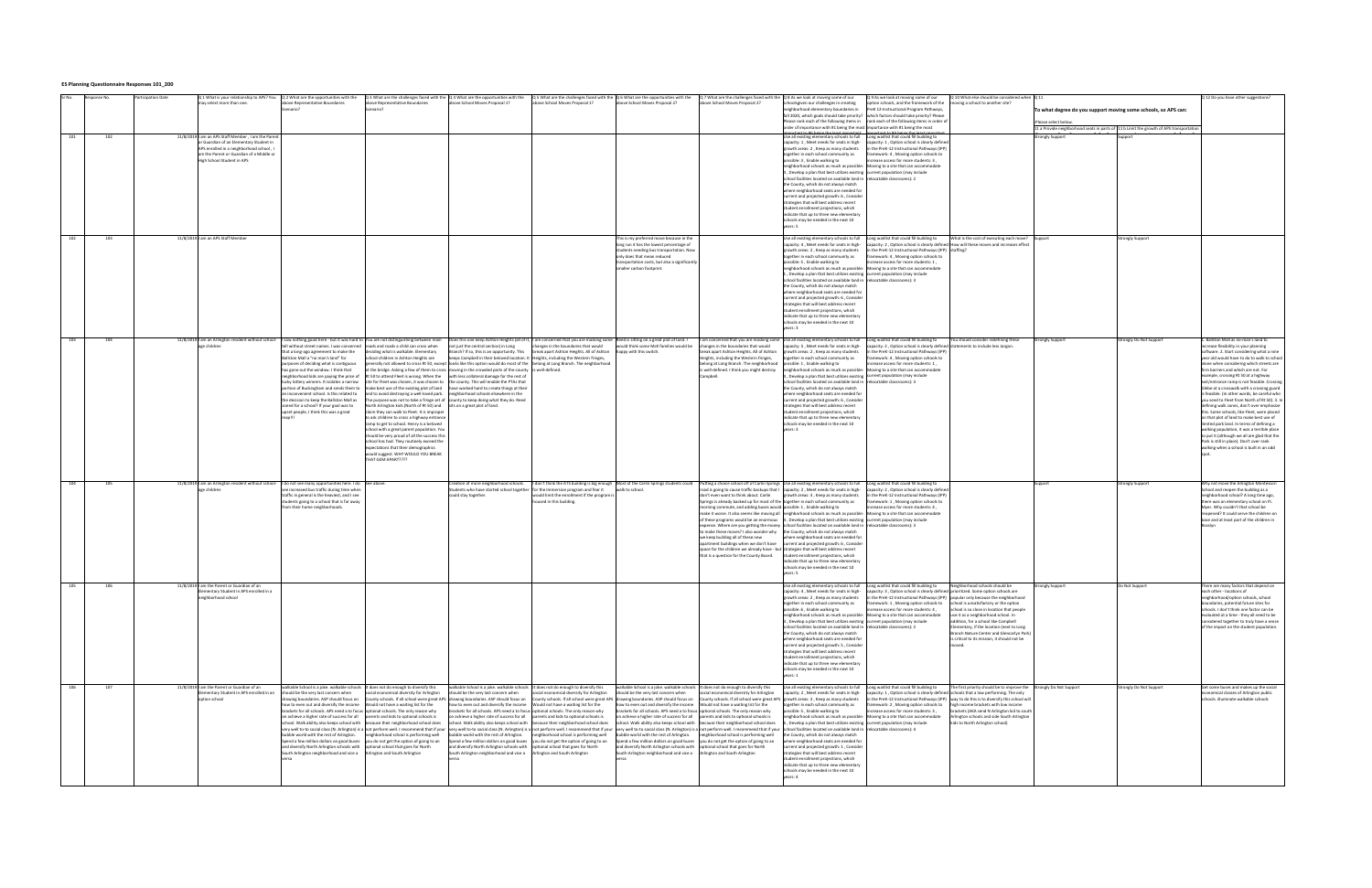## **ES Planning Questionnaire Responses 101\_200**

|     | esponse Na | articipation Date<br>Q 1 What is your relationship to APS? You<br>ay select more than one | Q 2 What are the opportunities with the<br>ove Representative Boundaries<br>cenario                                                                                                                                            | Q 3 What are the challenges faced with the Q 4 What are the opportunities with the<br>bove Representative Boundaries<br>cenario?                                                                                               | bove School Moves Proposal 1?                                                                           | ve School Moves Proposal 13                  | $Q$ 5 What are the challenges faced with the $Q$ 6 What are the opportunities with the<br>ove School Moves Proposal 2?                                                                                                     | Q 7 What are the challenges faced with the Q 8 As we look at moving some of our<br>ove School Moves Proposal 2? | hoolsgiven our challenges in creating<br>eighborhood elementary boundaries in<br>fall 2020, which goals should take priority? which factors should take priority? Please      | Q 9 As we look at moving some of our<br>ion schools, and the framework of the<br>PreK 12-Instructional Program Pathways,<br>Please rank each of the following items in rank each of the following items in order of | Q 10 What else should be considered when Q 11<br>ving a school to another site?           | To what degree do you support moving some schools, so APS can:<br>:Please select below  |                       | Q 12 Do you have other suggestions?          |
|-----|------------|-------------------------------------------------------------------------------------------|--------------------------------------------------------------------------------------------------------------------------------------------------------------------------------------------------------------------------------|--------------------------------------------------------------------------------------------------------------------------------------------------------------------------------------------------------------------------------|---------------------------------------------------------------------------------------------------------|----------------------------------------------|----------------------------------------------------------------------------------------------------------------------------------------------------------------------------------------------------------------------------|-----------------------------------------------------------------------------------------------------------------|-------------------------------------------------------------------------------------------------------------------------------------------------------------------------------|---------------------------------------------------------------------------------------------------------------------------------------------------------------------------------------------------------------------|-------------------------------------------------------------------------------------------|-----------------------------------------------------------------------------------------|-----------------------|----------------------------------------------|
|     |            |                                                                                           |                                                                                                                                                                                                                                |                                                                                                                                                                                                                                |                                                                                                         |                                              |                                                                                                                                                                                                                            |                                                                                                                 | order of importance with #1 being the most importance with #1 being the most                                                                                                  |                                                                                                                                                                                                                     |                                                                                           | 11 a Provide neighborhood seats in parts of 11 b Limit the growth of APS transportation |                       |                                              |
|     |            |                                                                                           |                                                                                                                                                                                                                                |                                                                                                                                                                                                                                |                                                                                                         |                                              |                                                                                                                                                                                                                            |                                                                                                                 | ant to #6 hoing the le                                                                                                                                                        |                                                                                                                                                                                                                     |                                                                                           |                                                                                         |                       |                                              |
| 101 | 102        | 11/8/2019 I am an APS Staff Member, I am the Parent                                       |                                                                                                                                                                                                                                |                                                                                                                                                                                                                                |                                                                                                         |                                              |                                                                                                                                                                                                                            |                                                                                                                 | mportant to the bound the least important. I important to the bound the least import<br>Use all existing elementary schools to full Long waitlist that could fill building to |                                                                                                                                                                                                                     |                                                                                           | <b>Strongly Support</b>                                                                 |                       |                                              |
|     |            | r Guardian of an Elementary Student in                                                    |                                                                                                                                                                                                                                |                                                                                                                                                                                                                                |                                                                                                         |                                              |                                                                                                                                                                                                                            |                                                                                                                 | capacity: 1, Meet needs for seats in high-                                                                                                                                    | capacity: 1, Option school is clearly defined                                                                                                                                                                       |                                                                                           |                                                                                         |                       |                                              |
|     |            | APS enrolled in a neighborhood school, I                                                  |                                                                                                                                                                                                                                |                                                                                                                                                                                                                                |                                                                                                         |                                              |                                                                                                                                                                                                                            |                                                                                                                 | growth areas: 2, Keep as many students                                                                                                                                        | in the PreK-12 Instructional Pathways (IPP)                                                                                                                                                                         |                                                                                           |                                                                                         |                       |                                              |
|     |            | m the Parent or Guardian of a Middle or                                                   |                                                                                                                                                                                                                                |                                                                                                                                                                                                                                |                                                                                                         |                                              |                                                                                                                                                                                                                            |                                                                                                                 | ogether in each school community as                                                                                                                                           | ramework: 4, Moving option schools to                                                                                                                                                                               |                                                                                           |                                                                                         |                       |                                              |
|     |            | High School Student in APS                                                                |                                                                                                                                                                                                                                |                                                                                                                                                                                                                                |                                                                                                         |                                              |                                                                                                                                                                                                                            |                                                                                                                 | possible: 3, Enable walking to                                                                                                                                                | acrease access for more students: 3.                                                                                                                                                                                |                                                                                           |                                                                                         |                       |                                              |
|     |            |                                                                                           |                                                                                                                                                                                                                                |                                                                                                                                                                                                                                |                                                                                                         |                                              |                                                                                                                                                                                                                            |                                                                                                                 | neighborhood schools as much as possible:                                                                                                                                     | Moving to a site that can accommodate                                                                                                                                                                               |                                                                                           |                                                                                         |                       |                                              |
|     |            |                                                                                           |                                                                                                                                                                                                                                |                                                                                                                                                                                                                                |                                                                                                         |                                              |                                                                                                                                                                                                                            |                                                                                                                 | 1, Develop a plan that best utilizes existing current population (may include                                                                                                 |                                                                                                                                                                                                                     |                                                                                           |                                                                                         |                       |                                              |
|     |            |                                                                                           |                                                                                                                                                                                                                                |                                                                                                                                                                                                                                |                                                                                                         |                                              |                                                                                                                                                                                                                            |                                                                                                                 | school facilities located on available land in relocatable classrooms): 2                                                                                                     |                                                                                                                                                                                                                     |                                                                                           |                                                                                         |                       |                                              |
|     |            |                                                                                           |                                                                                                                                                                                                                                |                                                                                                                                                                                                                                |                                                                                                         |                                              |                                                                                                                                                                                                                            |                                                                                                                 | the County, which do not always match                                                                                                                                         |                                                                                                                                                                                                                     |                                                                                           |                                                                                         |                       |                                              |
|     |            |                                                                                           |                                                                                                                                                                                                                                |                                                                                                                                                                                                                                |                                                                                                         |                                              |                                                                                                                                                                                                                            |                                                                                                                 | where neighborhood seats are needed for                                                                                                                                       |                                                                                                                                                                                                                     |                                                                                           |                                                                                         |                       |                                              |
|     |            |                                                                                           |                                                                                                                                                                                                                                |                                                                                                                                                                                                                                |                                                                                                         |                                              |                                                                                                                                                                                                                            |                                                                                                                 | current and projected growth: 6, Consider                                                                                                                                     |                                                                                                                                                                                                                     |                                                                                           |                                                                                         |                       |                                              |
|     |            |                                                                                           |                                                                                                                                                                                                                                |                                                                                                                                                                                                                                |                                                                                                         |                                              |                                                                                                                                                                                                                            |                                                                                                                 | strategies that will best address recent                                                                                                                                      |                                                                                                                                                                                                                     |                                                                                           |                                                                                         |                       |                                              |
|     |            |                                                                                           |                                                                                                                                                                                                                                |                                                                                                                                                                                                                                |                                                                                                         |                                              |                                                                                                                                                                                                                            |                                                                                                                 | tudent enrollment projections, which                                                                                                                                          |                                                                                                                                                                                                                     |                                                                                           |                                                                                         |                       |                                              |
|     |            |                                                                                           |                                                                                                                                                                                                                                |                                                                                                                                                                                                                                |                                                                                                         |                                              |                                                                                                                                                                                                                            |                                                                                                                 | ndicate that up to three new elementar                                                                                                                                        |                                                                                                                                                                                                                     |                                                                                           |                                                                                         |                       |                                              |
|     |            |                                                                                           |                                                                                                                                                                                                                                |                                                                                                                                                                                                                                |                                                                                                         |                                              |                                                                                                                                                                                                                            |                                                                                                                 | schools may be needed in the next 10                                                                                                                                          |                                                                                                                                                                                                                     |                                                                                           |                                                                                         |                       |                                              |
|     |            |                                                                                           |                                                                                                                                                                                                                                |                                                                                                                                                                                                                                |                                                                                                         |                                              |                                                                                                                                                                                                                            |                                                                                                                 | ears: 5                                                                                                                                                                       |                                                                                                                                                                                                                     |                                                                                           |                                                                                         |                       |                                              |
|     |            |                                                                                           |                                                                                                                                                                                                                                |                                                                                                                                                                                                                                |                                                                                                         |                                              |                                                                                                                                                                                                                            |                                                                                                                 |                                                                                                                                                                               |                                                                                                                                                                                                                     |                                                                                           |                                                                                         |                       |                                              |
| 102 |            | 11/8/2019 I am an APS Staff Member                                                        |                                                                                                                                                                                                                                |                                                                                                                                                                                                                                |                                                                                                         |                                              | is is my preferred move because in the                                                                                                                                                                                     |                                                                                                                 | Jse all existing elementary schools to full                                                                                                                                   | Long waitlist that could fill building to                                                                                                                                                                           | What is the cost of executing each move?                                                  |                                                                                         | trongly Support       |                                              |
|     |            |                                                                                           |                                                                                                                                                                                                                                |                                                                                                                                                                                                                                |                                                                                                         |                                              | ong run it has the lowest percentage of                                                                                                                                                                                    |                                                                                                                 | canacity: 4 . Meet needs for seats in high-                                                                                                                                   | anacity: 2. Ontion school is clearly defined. How will these moves and increases effect                                                                                                                             |                                                                                           |                                                                                         |                       |                                              |
|     |            |                                                                                           |                                                                                                                                                                                                                                |                                                                                                                                                                                                                                |                                                                                                         |                                              | tudents needing bus transportation. Now                                                                                                                                                                                    |                                                                                                                 | growth areas: 2, Keep as many students                                                                                                                                        | n the PreK-12 Instructional Pathways (IPP) staffing?                                                                                                                                                                |                                                                                           |                                                                                         |                       |                                              |
|     |            |                                                                                           |                                                                                                                                                                                                                                |                                                                                                                                                                                                                                |                                                                                                         |                                              | only does that mean reduced                                                                                                                                                                                                |                                                                                                                 | ogether in each school community as                                                                                                                                           | ramework: 4, Moving option schools to                                                                                                                                                                               |                                                                                           |                                                                                         |                       |                                              |
|     |            |                                                                                           |                                                                                                                                                                                                                                |                                                                                                                                                                                                                                |                                                                                                         |                                              | ansportation costs, but also a significantly                                                                                                                                                                               |                                                                                                                 | ossible: 5, Enable walking to                                                                                                                                                 | acrease access for more students: 1,                                                                                                                                                                                |                                                                                           |                                                                                         |                       |                                              |
|     |            |                                                                                           |                                                                                                                                                                                                                                |                                                                                                                                                                                                                                |                                                                                                         |                                              | smaller carbon footprint.                                                                                                                                                                                                  |                                                                                                                 | eighborhood schools as much as possible:                                                                                                                                      | Moving to a site that can accommodate                                                                                                                                                                               |                                                                                           |                                                                                         |                       |                                              |
|     |            |                                                                                           |                                                                                                                                                                                                                                |                                                                                                                                                                                                                                |                                                                                                         |                                              |                                                                                                                                                                                                                            |                                                                                                                 | L. Develop a plan that best utilizes existing current population (may include                                                                                                 |                                                                                                                                                                                                                     |                                                                                           |                                                                                         |                       |                                              |
|     |            |                                                                                           |                                                                                                                                                                                                                                |                                                                                                                                                                                                                                |                                                                                                         |                                              |                                                                                                                                                                                                                            |                                                                                                                 | school facilities located on available land in relocatable classrooms): 3                                                                                                     |                                                                                                                                                                                                                     |                                                                                           |                                                                                         |                       |                                              |
|     |            |                                                                                           |                                                                                                                                                                                                                                |                                                                                                                                                                                                                                |                                                                                                         |                                              |                                                                                                                                                                                                                            |                                                                                                                 | the County, which do not always match                                                                                                                                         |                                                                                                                                                                                                                     |                                                                                           |                                                                                         |                       |                                              |
|     |            |                                                                                           |                                                                                                                                                                                                                                |                                                                                                                                                                                                                                |                                                                                                         |                                              |                                                                                                                                                                                                                            |                                                                                                                 | where neighborhood seats are needed fo                                                                                                                                        |                                                                                                                                                                                                                     |                                                                                           |                                                                                         |                       |                                              |
|     |            |                                                                                           |                                                                                                                                                                                                                                |                                                                                                                                                                                                                                |                                                                                                         |                                              |                                                                                                                                                                                                                            |                                                                                                                 | current and projected growth: 6, Conside                                                                                                                                      |                                                                                                                                                                                                                     |                                                                                           |                                                                                         |                       |                                              |
|     |            |                                                                                           |                                                                                                                                                                                                                                |                                                                                                                                                                                                                                |                                                                                                         |                                              |                                                                                                                                                                                                                            |                                                                                                                 | trategies that will best address recent                                                                                                                                       |                                                                                                                                                                                                                     |                                                                                           |                                                                                         |                       |                                              |
|     |            |                                                                                           |                                                                                                                                                                                                                                |                                                                                                                                                                                                                                |                                                                                                         |                                              |                                                                                                                                                                                                                            |                                                                                                                 | tudent enrollment projections, which                                                                                                                                          |                                                                                                                                                                                                                     |                                                                                           |                                                                                         |                       |                                              |
|     |            |                                                                                           |                                                                                                                                                                                                                                |                                                                                                                                                                                                                                |                                                                                                         |                                              |                                                                                                                                                                                                                            |                                                                                                                 | ndicate that up to three new elementary                                                                                                                                       |                                                                                                                                                                                                                     |                                                                                           |                                                                                         |                       |                                              |
|     |            |                                                                                           |                                                                                                                                                                                                                                |                                                                                                                                                                                                                                |                                                                                                         |                                              |                                                                                                                                                                                                                            |                                                                                                                 | hools may be needed in the next 10                                                                                                                                            |                                                                                                                                                                                                                     |                                                                                           |                                                                                         |                       |                                              |
|     |            |                                                                                           |                                                                                                                                                                                                                                |                                                                                                                                                                                                                                |                                                                                                         |                                              |                                                                                                                                                                                                                            |                                                                                                                 |                                                                                                                                                                               |                                                                                                                                                                                                                     |                                                                                           |                                                                                         |                       |                                              |
|     |            |                                                                                           |                                                                                                                                                                                                                                |                                                                                                                                                                                                                                |                                                                                                         |                                              |                                                                                                                                                                                                                            |                                                                                                                 |                                                                                                                                                                               |                                                                                                                                                                                                                     |                                                                                           |                                                                                         |                       |                                              |
| 103 | 104        |                                                                                           | 11/8/2019   am an Arlington resident without school- I saw nothing good here - but it was hard to   You are not distinguishing between main Does this one keep Ashton Heights (all of it,  I am concerned that you are masking |                                                                                                                                                                                                                                |                                                                                                         |                                              |                                                                                                                                                                                                                            |                                                                                                                 | I am concerned that you are masking some Use all existing elementary schools to full Long waitlist that could fill building to                                                |                                                                                                                                                                                                                     | You should consider redefining these                                                      | trongly Support                                                                         | rongly Do Not Support | Ballston Mall as no-man's land to            |
|     |            | age children                                                                              | ell without street names. I was concerned                                                                                                                                                                                      | roads and roads a child can cross when                                                                                                                                                                                         | not just the central section) in Long                                                                   | changes in the boundaries that would         | would think some McK families would be                                                                                                                                                                                     | hanges in the boundaries that would                                                                             | capacity: 5, Meet needs for seats in high-                                                                                                                                    | capacity: 2, Option school is clearly defined statements to include less Jargon.                                                                                                                                    |                                                                                           |                                                                                         |                       | ncrease flexibility in your planning         |
|     |            |                                                                                           | that a long-ago agreement to make the                                                                                                                                                                                          | leciding what is walkable. Elementary                                                                                                                                                                                          | Branch? If so, this is an opportunity. This                                                             | break apart Ashton Heights. All of Ashton    | appy with this switch.                                                                                                                                                                                                     | oreak apart Ashton Heights. All of Ashton                                                                       | growth areas: 2, Keep as many students                                                                                                                                        | in the PreK-12 Instructional Pathways (IPP)                                                                                                                                                                         |                                                                                           |                                                                                         |                       | software. 2. Start considering what a nine   |
|     |            |                                                                                           | Ballston Mall a "no man's land" for                                                                                                                                                                                            | chool children in Ashton Heights are                                                                                                                                                                                           | keeps Campbell in their beloved location. It Heights, including the Western fringes,                    |                                              |                                                                                                                                                                                                                            | Heights, including the Western fringes,                                                                         | together in each school community as                                                                                                                                          | ramework: 4, Moving option schools to                                                                                                                                                                               |                                                                                           |                                                                                         |                       | year old would have to do to walk to school  |
|     |            |                                                                                           | purposes of deciding what is contiguous                                                                                                                                                                                        | generally not allowed to cross Rt 50, except looks like this option would do most of the belong at Long Branch. The neighborhood                                                                                               |                                                                                                         |                                              |                                                                                                                                                                                                                            | pelong at Long Branch. The neighborhood                                                                         | possible: 1, Enable walking to                                                                                                                                                | ncrease access for more students: 1,                                                                                                                                                                                |                                                                                           |                                                                                         |                       | alone when considering which streets are     |
|     |            |                                                                                           | has gone out the window. I think that                                                                                                                                                                                          |                                                                                                                                                                                                                                | at the bridge. Asking a few of them to cross moving in the crowded parts of the county is well-defined. |                                              |                                                                                                                                                                                                                            | well-defined. I think you might destroy                                                                         | eighborhood schools as much as possible:                                                                                                                                      | Moving to a site that can accommodate                                                                                                                                                                               |                                                                                           |                                                                                         |                       | irm barriers and which are not. For          |
|     |            |                                                                                           | eighborhood kids are paying the price of                                                                                                                                                                                       | Rt 50 to attend Fleet is wrong. When the                                                                                                                                                                                       | with less collateral damage for the rest of                                                             |                                              |                                                                                                                                                                                                                            | ampbell.                                                                                                        | Develop a plan that best utilizes existing current population (may include                                                                                                    |                                                                                                                                                                                                                     |                                                                                           |                                                                                         |                       | xample, crossing Rt 50 at a highway          |
|     |            |                                                                                           | lucky lottery winners. It isolates a narrow                                                                                                                                                                                    | site for Fleet was chosen, it was chosen to the county. This will enable the PTAs that                                                                                                                                         |                                                                                                         |                                              |                                                                                                                                                                                                                            |                                                                                                                 | chool facilities located on available land in <b>relocatable classrooms)</b> : 3                                                                                              |                                                                                                                                                                                                                     |                                                                                           |                                                                                         |                       | exit/entrance ramp is not feasible. Crossin  |
|     |            |                                                                                           |                                                                                                                                                                                                                                | portion of Buckingham and sends them to make best use of the existing plot of land have worked hard to create things at their                                                                                                  |                                                                                                         |                                              |                                                                                                                                                                                                                            |                                                                                                                 | the County, which do not always match                                                                                                                                         |                                                                                                                                                                                                                     |                                                                                           |                                                                                         |                       | Glebe at a crosswalk with a crossing guard   |
|     |            |                                                                                           | an inconvenient school. Is this related to                                                                                                                                                                                     | and to avoid destroying a well-loved park. neighborhood schools elsewhere in the                                                                                                                                               |                                                                                                         |                                              |                                                                                                                                                                                                                            |                                                                                                                 | where neighborhood seats are needed for                                                                                                                                       |                                                                                                                                                                                                                     |                                                                                           |                                                                                         |                       | is feasible. (In other words, be careful who |
|     |            |                                                                                           | he decision to keep the Ballston Mall as                                                                                                                                                                                       |                                                                                                                                                                                                                                | he purpose was not to take a fringe set of county to keep doing what they do. Reed                      |                                              |                                                                                                                                                                                                                            |                                                                                                                 | urrent and projected growth: 6, Conside                                                                                                                                       |                                                                                                                                                                                                                     |                                                                                           |                                                                                         |                       | ou send to Fleet from North of Rt 50), 3, In |
|     |            |                                                                                           | zoned for a school? If your goal was to                                                                                                                                                                                        | North Arlington kids (North of Rt 50) and sits on a great plot of land.                                                                                                                                                        |                                                                                                         |                                              |                                                                                                                                                                                                                            |                                                                                                                 | rategies that will best address recent                                                                                                                                        |                                                                                                                                                                                                                     |                                                                                           |                                                                                         |                       | lefining walk zones, don't over emphasize    |
|     |            |                                                                                           | upset people, I think this was a great                                                                                                                                                                                         | claim they can walk to Fleet. It is improper                                                                                                                                                                                   |                                                                                                         |                                              |                                                                                                                                                                                                                            |                                                                                                                 | student enrollment projections, which                                                                                                                                         |                                                                                                                                                                                                                     |                                                                                           |                                                                                         |                       | his. Some schools, like Fleet, were placed   |
|     |            |                                                                                           |                                                                                                                                                                                                                                | to ask children to cross a highway entrance                                                                                                                                                                                    |                                                                                                         |                                              |                                                                                                                                                                                                                            |                                                                                                                 | ndicate that up to three new elementar                                                                                                                                        |                                                                                                                                                                                                                     |                                                                                           |                                                                                         |                       | on that plot of land to make best use of     |
|     |            |                                                                                           |                                                                                                                                                                                                                                | ramp to get to school. Henry is a beloved                                                                                                                                                                                      |                                                                                                         |                                              |                                                                                                                                                                                                                            |                                                                                                                 | schools may be needed in the next 10                                                                                                                                          |                                                                                                                                                                                                                     |                                                                                           |                                                                                         |                       | mited park land. In terms of defining a      |
|     |            |                                                                                           |                                                                                                                                                                                                                                | chool with a great parent population. Yo                                                                                                                                                                                       |                                                                                                         |                                              |                                                                                                                                                                                                                            |                                                                                                                 |                                                                                                                                                                               |                                                                                                                                                                                                                     |                                                                                           |                                                                                         |                       | ralking population, it was a terrible place  |
|     |            |                                                                                           |                                                                                                                                                                                                                                | should be very proud of all the success this                                                                                                                                                                                   |                                                                                                         |                                              |                                                                                                                                                                                                                            |                                                                                                                 |                                                                                                                                                                               |                                                                                                                                                                                                                     |                                                                                           |                                                                                         |                       | to put it (although we all are glad that the |
|     |            |                                                                                           |                                                                                                                                                                                                                                | school has had. They routinely exceed the                                                                                                                                                                                      |                                                                                                         |                                              |                                                                                                                                                                                                                            |                                                                                                                 |                                                                                                                                                                               |                                                                                                                                                                                                                     |                                                                                           |                                                                                         |                       | Park is still in place). Don't over-rank     |
|     |            |                                                                                           |                                                                                                                                                                                                                                | xpectations that their demographics                                                                                                                                                                                            |                                                                                                         |                                              |                                                                                                                                                                                                                            |                                                                                                                 |                                                                                                                                                                               |                                                                                                                                                                                                                     |                                                                                           |                                                                                         |                       | walking when a school is built in an odd     |
|     |            |                                                                                           |                                                                                                                                                                                                                                | would suggest. WHY WOULD YOU BREAK                                                                                                                                                                                             |                                                                                                         |                                              |                                                                                                                                                                                                                            |                                                                                                                 |                                                                                                                                                                               |                                                                                                                                                                                                                     |                                                                                           |                                                                                         |                       |                                              |
|     |            |                                                                                           |                                                                                                                                                                                                                                | THAT GFM APART ????                                                                                                                                                                                                            |                                                                                                         |                                              |                                                                                                                                                                                                                            |                                                                                                                 |                                                                                                                                                                               |                                                                                                                                                                                                                     |                                                                                           |                                                                                         |                       |                                              |
|     |            |                                                                                           |                                                                                                                                                                                                                                |                                                                                                                                                                                                                                |                                                                                                         |                                              |                                                                                                                                                                                                                            |                                                                                                                 |                                                                                                                                                                               |                                                                                                                                                                                                                     |                                                                                           |                                                                                         |                       |                                              |
|     |            |                                                                                           |                                                                                                                                                                                                                                |                                                                                                                                                                                                                                |                                                                                                         |                                              |                                                                                                                                                                                                                            |                                                                                                                 |                                                                                                                                                                               |                                                                                                                                                                                                                     |                                                                                           |                                                                                         |                       |                                              |
|     |            |                                                                                           |                                                                                                                                                                                                                                |                                                                                                                                                                                                                                |                                                                                                         |                                              |                                                                                                                                                                                                                            |                                                                                                                 |                                                                                                                                                                               |                                                                                                                                                                                                                     |                                                                                           |                                                                                         |                       |                                              |
| 104 | 105        |                                                                                           | 11/8/2019 I am an Arlington resident without school- I do not see many opportunities here. I do See above.                                                                                                                     |                                                                                                                                                                                                                                | Creation of more neighborhood schools.                                                                  |                                              | I don't think the ATS building is big enough Most of the Carlin Springs students could Putting a choice school off of Carlin Springs Use all existing elementary schools to full Long waitlist that could fill building to |                                                                                                                 |                                                                                                                                                                               |                                                                                                                                                                                                                     |                                                                                           |                                                                                         | rongly Support        | Why not move the Arlington Montessori        |
|     |            | e children                                                                                | ee increased bus traffic during time when                                                                                                                                                                                      |                                                                                                                                                                                                                                | Students who have started school together for the Immersion program and fear it                         |                                              | walk to school.                                                                                                                                                                                                            |                                                                                                                 | oad is going to cause traffic backups that I capacity: 2, Meet needs for seats in high-                                                                                       | capacity: 2 . Option school is clearly defined                                                                                                                                                                      |                                                                                           |                                                                                         |                       | School and reopen the building as a          |
|     |            |                                                                                           | traffic in general is the heaviest, and I see                                                                                                                                                                                  |                                                                                                                                                                                                                                | could stay together                                                                                     | would limit the enrollment if the program is |                                                                                                                                                                                                                            | don't even want to think about. Carlin                                                                          | growth areas: 3, Keep as many students                                                                                                                                        | in the PreK-12 Instructional Pathways (IPP)                                                                                                                                                                         |                                                                                           |                                                                                         |                       | neighborhood school? A long time ago,        |
|     |            |                                                                                           | tudents going to a school that is far away                                                                                                                                                                                     |                                                                                                                                                                                                                                |                                                                                                         | housed in this building.                     |                                                                                                                                                                                                                            | Springs is already backed up for most of the together in each school community as                               |                                                                                                                                                                               | framework: 1, Moving option schools to                                                                                                                                                                              |                                                                                           |                                                                                         |                       | there was an elementary school on Ft         |
|     |            |                                                                                           | rom their home neighborhoods.                                                                                                                                                                                                  |                                                                                                                                                                                                                                |                                                                                                         |                                              |                                                                                                                                                                                                                            | norning commute, and adding buses would possible: 1, Enable walking to                                          |                                                                                                                                                                               | ncrease access for more students: 4,                                                                                                                                                                                |                                                                                           |                                                                                         |                       | Myer. Why couldn't that school be            |
|     |            |                                                                                           |                                                                                                                                                                                                                                |                                                                                                                                                                                                                                |                                                                                                         |                                              |                                                                                                                                                                                                                            |                                                                                                                 | make it worse. It also seems like moving all neighborhood schools as much as possible: Moving to a site that can accommodate                                                  |                                                                                                                                                                                                                     |                                                                                           |                                                                                         |                       | reopened? It could serve the children or     |
|     |            |                                                                                           |                                                                                                                                                                                                                                |                                                                                                                                                                                                                                |                                                                                                         |                                              |                                                                                                                                                                                                                            |                                                                                                                 | of these programs would be an enormous 4, Develop a plan that best utilizes existing current population (may include                                                          |                                                                                                                                                                                                                     |                                                                                           |                                                                                         |                       | base and at least part of the children in    |
|     |            |                                                                                           |                                                                                                                                                                                                                                |                                                                                                                                                                                                                                |                                                                                                         |                                              |                                                                                                                                                                                                                            |                                                                                                                 | expense. Where are you getting the money school facilities located on available land in relocatable classrooms): 3                                                            |                                                                                                                                                                                                                     |                                                                                           |                                                                                         |                       |                                              |
|     |            |                                                                                           |                                                                                                                                                                                                                                |                                                                                                                                                                                                                                |                                                                                                         |                                              |                                                                                                                                                                                                                            | to make these moves? I also wonder why the County, which do not always match                                    |                                                                                                                                                                               |                                                                                                                                                                                                                     |                                                                                           |                                                                                         |                       |                                              |
|     |            |                                                                                           |                                                                                                                                                                                                                                |                                                                                                                                                                                                                                |                                                                                                         |                                              |                                                                                                                                                                                                                            | we keep building all of these new                                                                               | where neighborhood seats are needed for                                                                                                                                       |                                                                                                                                                                                                                     |                                                                                           |                                                                                         |                       |                                              |
|     |            |                                                                                           |                                                                                                                                                                                                                                |                                                                                                                                                                                                                                |                                                                                                         |                                              |                                                                                                                                                                                                                            | partment buildings when we don't have                                                                           | current and projected growth: 6 . Consider                                                                                                                                    |                                                                                                                                                                                                                     |                                                                                           |                                                                                         |                       |                                              |
|     |            |                                                                                           |                                                                                                                                                                                                                                |                                                                                                                                                                                                                                |                                                                                                         |                                              |                                                                                                                                                                                                                            | space for the children we already have - but strategies that will best address recent                           |                                                                                                                                                                               |                                                                                                                                                                                                                     |                                                                                           |                                                                                         |                       |                                              |
|     |            |                                                                                           |                                                                                                                                                                                                                                |                                                                                                                                                                                                                                |                                                                                                         |                                              |                                                                                                                                                                                                                            | that is a question for the County Board.                                                                        | student enrollment projections, which                                                                                                                                         |                                                                                                                                                                                                                     |                                                                                           |                                                                                         |                       |                                              |
|     |            |                                                                                           |                                                                                                                                                                                                                                |                                                                                                                                                                                                                                |                                                                                                         |                                              |                                                                                                                                                                                                                            |                                                                                                                 | ndicate that up to three new elementary                                                                                                                                       |                                                                                                                                                                                                                     |                                                                                           |                                                                                         |                       |                                              |
|     |            |                                                                                           |                                                                                                                                                                                                                                |                                                                                                                                                                                                                                |                                                                                                         |                                              |                                                                                                                                                                                                                            |                                                                                                                 | schools may be needed in the next 10                                                                                                                                          |                                                                                                                                                                                                                     |                                                                                           |                                                                                         |                       |                                              |
|     |            |                                                                                           |                                                                                                                                                                                                                                |                                                                                                                                                                                                                                |                                                                                                         |                                              |                                                                                                                                                                                                                            |                                                                                                                 | ars: 5                                                                                                                                                                        |                                                                                                                                                                                                                     |                                                                                           |                                                                                         |                       |                                              |
|     |            |                                                                                           |                                                                                                                                                                                                                                |                                                                                                                                                                                                                                |                                                                                                         |                                              |                                                                                                                                                                                                                            |                                                                                                                 |                                                                                                                                                                               |                                                                                                                                                                                                                     |                                                                                           |                                                                                         |                       |                                              |
| 105 | 106        | 11/8/2019 I am the Parent or Guardian of an                                               |                                                                                                                                                                                                                                |                                                                                                                                                                                                                                |                                                                                                         |                                              |                                                                                                                                                                                                                            |                                                                                                                 |                                                                                                                                                                               | Use all existing elementary schools to full Long waitlist that could fill building to Neighborhood schools should be                                                                                                |                                                                                           | strongly Support                                                                        | Do Not Suppor         | There are many factors that depend on        |
|     |            |                                                                                           |                                                                                                                                                                                                                                |                                                                                                                                                                                                                                |                                                                                                         |                                              |                                                                                                                                                                                                                            |                                                                                                                 | needs for seats in high-                                                                                                                                                      | acity: 3 , Option school is clearly defin                                                                                                                                                                           |                                                                                           |                                                                                         |                       |                                              |
|     |            | eighborhood school                                                                        |                                                                                                                                                                                                                                |                                                                                                                                                                                                                                |                                                                                                         |                                              |                                                                                                                                                                                                                            |                                                                                                                 |                                                                                                                                                                               | growth areas: 2, Keep as many students [in the PreK-12 Instructional Pathways (IPP) popular only because the neighborhood                                                                                           |                                                                                           |                                                                                         |                       | neighborhood/option schools, school          |
|     |            |                                                                                           |                                                                                                                                                                                                                                |                                                                                                                                                                                                                                |                                                                                                         |                                              |                                                                                                                                                                                                                            |                                                                                                                 | together in each school community as                                                                                                                                          | framework: 1, Moving option schools to school is unsatisfactory or the option                                                                                                                                       |                                                                                           |                                                                                         |                       | boundaries, potential future sites for       |
|     |            |                                                                                           |                                                                                                                                                                                                                                |                                                                                                                                                                                                                                |                                                                                                         |                                              |                                                                                                                                                                                                                            |                                                                                                                 | possible: 6, Enable walking to                                                                                                                                                | increase access for more students: 4,                                                                                                                                                                               | school is so close in location that people                                                |                                                                                         |                       | schools. I don't think one factor can be     |
|     |            |                                                                                           |                                                                                                                                                                                                                                |                                                                                                                                                                                                                                |                                                                                                         |                                              |                                                                                                                                                                                                                            |                                                                                                                 | neighborhood schools as much as possible: Moving to a site that can accommodate                                                                                               |                                                                                                                                                                                                                     | use it as a neighborhood school. In                                                       |                                                                                         |                       | evaluated at a time - they all need to be    |
|     |            |                                                                                           |                                                                                                                                                                                                                                |                                                                                                                                                                                                                                |                                                                                                         |                                              |                                                                                                                                                                                                                            |                                                                                                                 | 3, Develop a plan that best utilizes existing current population (may include                                                                                                 |                                                                                                                                                                                                                     | addition, for a school like Campbell                                                      |                                                                                         |                       | considered together to truly have a sense    |
|     |            |                                                                                           |                                                                                                                                                                                                                                |                                                                                                                                                                                                                                |                                                                                                         |                                              |                                                                                                                                                                                                                            |                                                                                                                 | school facilities located on available land in relocatable classrooms): 2                                                                                                     |                                                                                                                                                                                                                     | lementary, if the location (next to Long                                                  |                                                                                         |                       | of the impact on the student population.     |
|     |            |                                                                                           |                                                                                                                                                                                                                                |                                                                                                                                                                                                                                |                                                                                                         |                                              |                                                                                                                                                                                                                            |                                                                                                                 | the County, which do not always match                                                                                                                                         |                                                                                                                                                                                                                     | Branch Nature Center and Glencarlyn Park)                                                 |                                                                                         |                       |                                              |
|     |            |                                                                                           |                                                                                                                                                                                                                                |                                                                                                                                                                                                                                |                                                                                                         |                                              |                                                                                                                                                                                                                            |                                                                                                                 | where neighborhood seats are needed for                                                                                                                                       |                                                                                                                                                                                                                     | s critical to its mission, it should not be                                               |                                                                                         |                       |                                              |
|     |            |                                                                                           |                                                                                                                                                                                                                                |                                                                                                                                                                                                                                |                                                                                                         |                                              |                                                                                                                                                                                                                            |                                                                                                                 | current and projected growth: 5, Consider                                                                                                                                     |                                                                                                                                                                                                                     |                                                                                           |                                                                                         |                       |                                              |
|     |            |                                                                                           |                                                                                                                                                                                                                                |                                                                                                                                                                                                                                |                                                                                                         |                                              |                                                                                                                                                                                                                            |                                                                                                                 | rategies that will best address recent                                                                                                                                        |                                                                                                                                                                                                                     |                                                                                           |                                                                                         |                       |                                              |
|     |            |                                                                                           |                                                                                                                                                                                                                                |                                                                                                                                                                                                                                |                                                                                                         |                                              |                                                                                                                                                                                                                            |                                                                                                                 | student enrollment projections, which                                                                                                                                         |                                                                                                                                                                                                                     |                                                                                           |                                                                                         |                       |                                              |
|     |            |                                                                                           |                                                                                                                                                                                                                                |                                                                                                                                                                                                                                |                                                                                                         |                                              |                                                                                                                                                                                                                            |                                                                                                                 | indicate that up to three new elementary                                                                                                                                      |                                                                                                                                                                                                                     |                                                                                           |                                                                                         |                       |                                              |
|     |            |                                                                                           |                                                                                                                                                                                                                                |                                                                                                                                                                                                                                |                                                                                                         |                                              |                                                                                                                                                                                                                            |                                                                                                                 | chools may be needed in the next 10                                                                                                                                           |                                                                                                                                                                                                                     |                                                                                           |                                                                                         |                       |                                              |
|     |            |                                                                                           |                                                                                                                                                                                                                                |                                                                                                                                                                                                                                |                                                                                                         |                                              |                                                                                                                                                                                                                            |                                                                                                                 |                                                                                                                                                                               |                                                                                                                                                                                                                     |                                                                                           |                                                                                         |                       |                                              |
|     |            |                                                                                           |                                                                                                                                                                                                                                |                                                                                                                                                                                                                                |                                                                                                         |                                              |                                                                                                                                                                                                                            |                                                                                                                 |                                                                                                                                                                               |                                                                                                                                                                                                                     |                                                                                           |                                                                                         |                       |                                              |
| 106 | 107        | 11/8/2019 I am the Parent or Guardian of an                                               |                                                                                                                                                                                                                                | alkable School is a joke. walkable schools It does not do enough to diversify this                                                                                                                                             | walkable School is a joke. walkable schools lt does not do enough to diversify this                     |                                              | valkable School is a joke. walkable schools It does not do enough to diversify this                                                                                                                                        |                                                                                                                 | Jse all existing elementary schools to full Long waitlist that could fill building to                                                                                         |                                                                                                                                                                                                                     | The first priority should be to improve the Strongly Do Not Support                       |                                                                                         | rongly Do Not Support | Get some buses and makes up the social       |
|     |            | lementary Student in APS enrolled in an                                                   | should be the very last concern when                                                                                                                                                                                           | social economical diversity for Arlington                                                                                                                                                                                      | should be the very last concern when                                                                    | social economical diversity for Arlington    | should be the very last concern when                                                                                                                                                                                       | social economical diversity for Arlington                                                                       | apacity: 2 , Meet needs for seats in high-                                                                                                                                    | capacity: 1, Option school is clearly defined schools that a low performing. The only                                                                                                                               |                                                                                           |                                                                                         |                       | economical classes of Arlington public       |
|     |            | option school                                                                             | frawing boundaries. ASP should focus on                                                                                                                                                                                        |                                                                                                                                                                                                                                |                                                                                                         |                                              | County schools. If all school were great APS drawing boundaries. ASP should focus on County schools. If all school were great APS drawing boundaries. ASP should focus on                                                  |                                                                                                                 | County schools. If all school were great APS growth areas: 3, Keep as many students                                                                                           | n the PreK-12 Instructional Pathways (IPP) way to do this is to diversify this school will                                                                                                                          |                                                                                           |                                                                                         |                       | schools. illuminate walkable schools         |
|     |            |                                                                                           | how to even out and diversify the income                                                                                                                                                                                       | Would not have a waiting list for the                                                                                                                                                                                          |                                                                                                         |                                              | how to even out and diversify the income                                                                                                                                                                                   | Would not have a waiting list for the                                                                           | together in each school community as                                                                                                                                          | ramework: 2, Moving option schools to                                                                                                                                                                               | high income brackets with low income                                                      |                                                                                         |                       |                                              |
|     |            |                                                                                           |                                                                                                                                                                                                                                |                                                                                                                                                                                                                                | how to even out and diversify the income Would not have a waiting list for the                          |                                              |                                                                                                                                                                                                                            |                                                                                                                 | possible: 5, Enable walking to                                                                                                                                                | increase access for more students: 3,                                                                                                                                                                               |                                                                                           |                                                                                         |                       |                                              |
|     |            |                                                                                           |                                                                                                                                                                                                                                | brackets for all schools. APS need a to focus optional schools. The only reason why                                                                                                                                            | brackets for all schools. APS need a to focus optional schools. The only reason why                     |                                              | brackets for all schools. APS need a to focus optional schools. The only reason why                                                                                                                                        |                                                                                                                 |                                                                                                                                                                               |                                                                                                                                                                                                                     | brackets (AKA send N Arlington kid to south<br>Arlington schools and side South Arlington |                                                                                         |                       |                                              |
|     |            |                                                                                           |                                                                                                                                                                                                                                | on achieve a higher rate of success for all parents and kids to optional schools is                                                                                                                                            | on achieve a higher rate of success for all parents and kids to optional schools is                     |                                              | on achieve a higher rate of success for all parents and kids to optional schools is                                                                                                                                        |                                                                                                                 | neighborhood schools as much as possible: Moving to a site that can accommodate                                                                                               |                                                                                                                                                                                                                     |                                                                                           |                                                                                         |                       |                                              |
|     |            |                                                                                           |                                                                                                                                                                                                                                | school. Walk ability also keeps school with because their neighborhood school does                                                                                                                                             | school. Walk ability also keeps school with because their neighborhood school does                      |                                              | school. Walk ability also keeps school with because their neighborhood school does                                                                                                                                         |                                                                                                                 | 6, Develop a plan that best utilizes existing current population (may include                                                                                                 |                                                                                                                                                                                                                     | kids to North Arlington school)                                                           |                                                                                         |                       |                                              |
|     |            |                                                                                           |                                                                                                                                                                                                                                | very well to-to social class (N. Arlington) is a not perform well. I recommend that if your  very well to-to social class (N. Arlington) is a not perform well. I recomment that if your  very well to-to social class (N. Arl |                                                                                                         |                                              |                                                                                                                                                                                                                            |                                                                                                                 |                                                                                                                                                                               |                                                                                                                                                                                                                     |                                                                                           |                                                                                         |                       |                                              |
|     |            |                                                                                           | bubble world with the rest of Arlington.                                                                                                                                                                                       | neighborhood school is performing well                                                                                                                                                                                         | bubble world with the rest of Arlington. neighborhood school is performing well                         |                                              | bubble world with the rest of Arlington. neighborhood school is performing well                                                                                                                                            |                                                                                                                 | the County, which do not always match                                                                                                                                         |                                                                                                                                                                                                                     |                                                                                           |                                                                                         |                       |                                              |
|     |            |                                                                                           |                                                                                                                                                                                                                                | Spend a few million dollars on good buses you do not get the option of going to an                                                                                                                                             | Spend a few million dollars on good buses you do not get the option of going to an                      |                                              | Spend a few million dollars on good buses you do not get the option of going to an                                                                                                                                         |                                                                                                                 | where neighborhood seats are needed for                                                                                                                                       |                                                                                                                                                                                                                     |                                                                                           |                                                                                         |                       |                                              |
|     |            |                                                                                           | and diversify North Arlington schools with   optional school that goes for North                                                                                                                                               |                                                                                                                                                                                                                                | and diversify North Arlington schools with   optional school that goes for North                        |                                              | and diversify North Arlington schools with    coptional school that goes for North                                                                                                                                         |                                                                                                                 | current and projected growth: 1, Consider                                                                                                                                     |                                                                                                                                                                                                                     |                                                                                           |                                                                                         |                       |                                              |
|     |            |                                                                                           | South Arlington neighborhood and vice a Arlington and South Arlington                                                                                                                                                          |                                                                                                                                                                                                                                | South Arlington neighborhood and vice a Arlington and South Arlington                                   |                                              | South Arlington neighborhood and vice a Arlington and South Arlington                                                                                                                                                      |                                                                                                                 | trategies that will best address recent                                                                                                                                       |                                                                                                                                                                                                                     |                                                                                           |                                                                                         |                       |                                              |
|     |            |                                                                                           |                                                                                                                                                                                                                                |                                                                                                                                                                                                                                |                                                                                                         |                                              |                                                                                                                                                                                                                            |                                                                                                                 | tudent enrollment projections, which                                                                                                                                          |                                                                                                                                                                                                                     |                                                                                           |                                                                                         |                       |                                              |
|     |            |                                                                                           |                                                                                                                                                                                                                                |                                                                                                                                                                                                                                |                                                                                                         |                                              |                                                                                                                                                                                                                            |                                                                                                                 | ndicate that up to three new elementary                                                                                                                                       |                                                                                                                                                                                                                     |                                                                                           |                                                                                         |                       |                                              |
|     |            |                                                                                           |                                                                                                                                                                                                                                |                                                                                                                                                                                                                                |                                                                                                         |                                              |                                                                                                                                                                                                                            |                                                                                                                 | chools may be needed in the next 10                                                                                                                                           |                                                                                                                                                                                                                     |                                                                                           |                                                                                         |                       |                                              |
|     |            |                                                                                           |                                                                                                                                                                                                                                |                                                                                                                                                                                                                                |                                                                                                         |                                              |                                                                                                                                                                                                                            |                                                                                                                 | ars: 4                                                                                                                                                                        |                                                                                                                                                                                                                     |                                                                                           |                                                                                         |                       |                                              |
|     |            |                                                                                           |                                                                                                                                                                                                                                |                                                                                                                                                                                                                                |                                                                                                         |                                              |                                                                                                                                                                                                                            |                                                                                                                 |                                                                                                                                                                               |                                                                                                                                                                                                                     |                                                                                           |                                                                                         |                       |                                              |
|     |            |                                                                                           |                                                                                                                                                                                                                                |                                                                                                                                                                                                                                |                                                                                                         |                                              |                                                                                                                                                                                                                            |                                                                                                                 |                                                                                                                                                                               |                                                                                                                                                                                                                     |                                                                                           |                                                                                         |                       |                                              |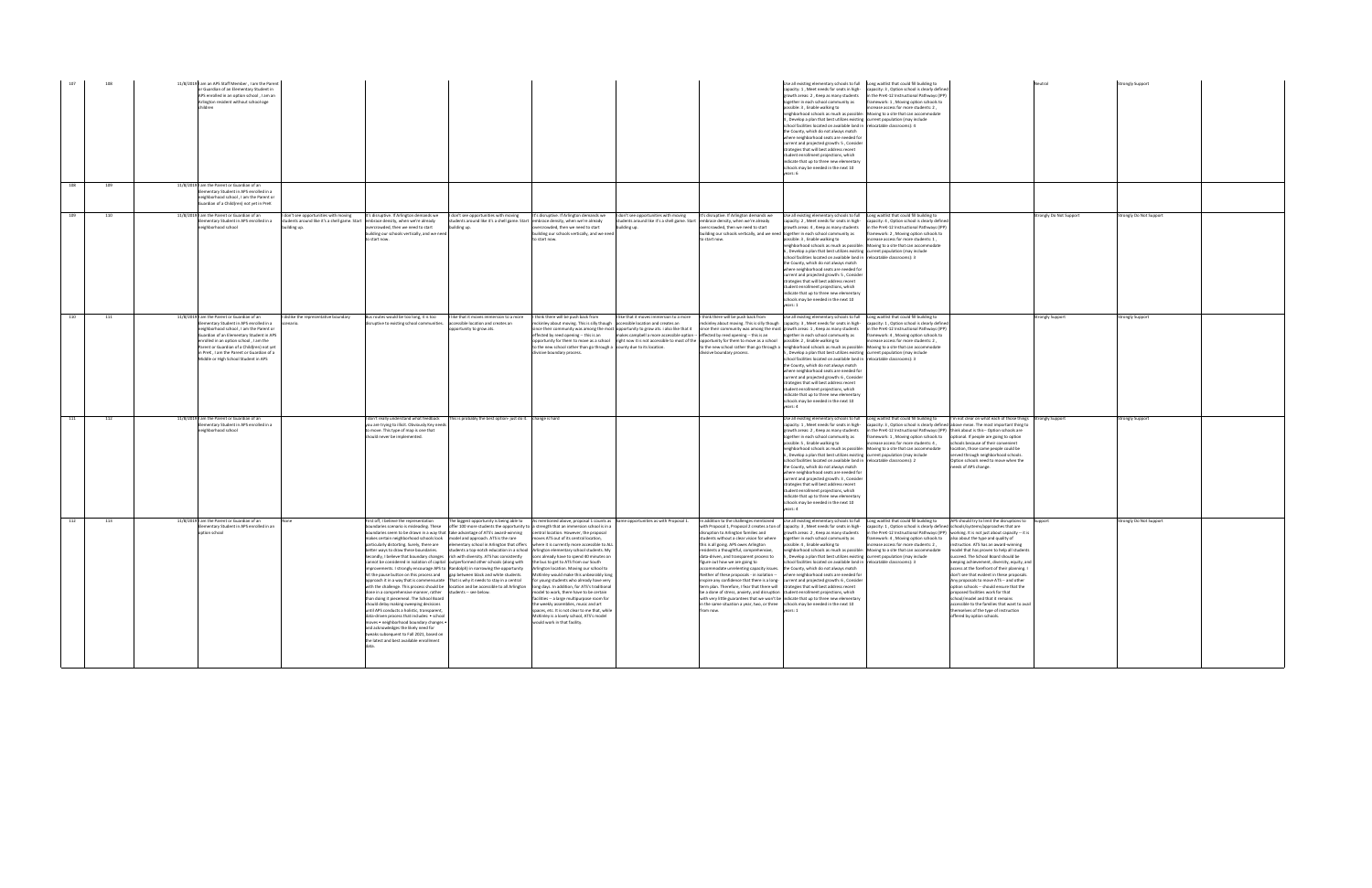|     | 108 | 11/8/2019 I am an APS Staff Member, I am the Parent<br>or Guardian of an Elementary Student in<br>APS enrolled in an option school . I am an<br>Arlington resident without school-age<br>children                                                                                                                                                                                                |                                                                                                                                                                                                                                                                                                                                                                                                                                                                                                                                                                                                                                                                                                                                                                                                                      |                                                                                                                                                                                                                                                                                                                                                                                                                                                                  |                                                                                                                                                                                                                                                                                                                                                                                                                                                                                                                                                                                                                                                                                                                                                                                                                                                                                                                                                                                                                                            |                                                                                                                                                                                                                                                                                                                                                                                        |                                                                                                                                                                                                                                                                                                                                                                                                                                                                                                                                                                                                                                                                                                                                                                                                                                                                                               | Use all existing elementary schools to full Long waitlist that could fill building to<br>capacity: 1, Meet needs for seats in high-<br>growth areas: 2, Keep as many students<br>ogether in each school community as<br>possible: 3, Enable walking to<br>neighborhood schools as much as possible: Moving to a site that can accommodate<br>1, Develop a plan that best utilizes existing current population (may include<br>school facilities located on available land in relocatable classrooms): 4<br>the County, which do not always match<br>where neighborhood seats are needed for<br>current and projected growth: 5, Consider<br>rategies that will best address recent<br>student enrollment projections, which<br>indicate that up to three new elementary<br>schools may be needed in the next 10<br>ears: 6                                                                                                                                        | capacity: 3, Option school is clearly defined<br>in the PreK-12 Instructional Pathways (IPP)<br>ramework: 1, Moving option schools to<br>acrease access for more students: 2,                                              |                                                                                                                                                                                                                                                                                                                                                                                                                                                                                                                                                                                                                                                                                                                   | <b>Strongly Support</b> |  |
|-----|-----|--------------------------------------------------------------------------------------------------------------------------------------------------------------------------------------------------------------------------------------------------------------------------------------------------------------------------------------------------------------------------------------------------|----------------------------------------------------------------------------------------------------------------------------------------------------------------------------------------------------------------------------------------------------------------------------------------------------------------------------------------------------------------------------------------------------------------------------------------------------------------------------------------------------------------------------------------------------------------------------------------------------------------------------------------------------------------------------------------------------------------------------------------------------------------------------------------------------------------------|------------------------------------------------------------------------------------------------------------------------------------------------------------------------------------------------------------------------------------------------------------------------------------------------------------------------------------------------------------------------------------------------------------------------------------------------------------------|--------------------------------------------------------------------------------------------------------------------------------------------------------------------------------------------------------------------------------------------------------------------------------------------------------------------------------------------------------------------------------------------------------------------------------------------------------------------------------------------------------------------------------------------------------------------------------------------------------------------------------------------------------------------------------------------------------------------------------------------------------------------------------------------------------------------------------------------------------------------------------------------------------------------------------------------------------------------------------------------------------------------------------------------|----------------------------------------------------------------------------------------------------------------------------------------------------------------------------------------------------------------------------------------------------------------------------------------------------------------------------------------------------------------------------------------|-----------------------------------------------------------------------------------------------------------------------------------------------------------------------------------------------------------------------------------------------------------------------------------------------------------------------------------------------------------------------------------------------------------------------------------------------------------------------------------------------------------------------------------------------------------------------------------------------------------------------------------------------------------------------------------------------------------------------------------------------------------------------------------------------------------------------------------------------------------------------------------------------|-------------------------------------------------------------------------------------------------------------------------------------------------------------------------------------------------------------------------------------------------------------------------------------------------------------------------------------------------------------------------------------------------------------------------------------------------------------------------------------------------------------------------------------------------------------------------------------------------------------------------------------------------------------------------------------------------------------------------------------------------------------------------------------------------------------------------------------------------------------------------------------------------------------------------------------------------------------------|----------------------------------------------------------------------------------------------------------------------------------------------------------------------------------------------------------------------------|-------------------------------------------------------------------------------------------------------------------------------------------------------------------------------------------------------------------------------------------------------------------------------------------------------------------------------------------------------------------------------------------------------------------------------------------------------------------------------------------------------------------------------------------------------------------------------------------------------------------------------------------------------------------------------------------------------------------|-------------------------|--|
| 108 | 109 | 11/8/2019 I am the Parent or Guardian of an<br>Elementary Student in APS enrolled in a<br>eighborhood school, I am the Parent or<br>Guardian of a Child(ren) not yet in PreK                                                                                                                                                                                                                     |                                                                                                                                                                                                                                                                                                                                                                                                                                                                                                                                                                                                                                                                                                                                                                                                                      |                                                                                                                                                                                                                                                                                                                                                                                                                                                                  |                                                                                                                                                                                                                                                                                                                                                                                                                                                                                                                                                                                                                                                                                                                                                                                                                                                                                                                                                                                                                                            |                                                                                                                                                                                                                                                                                                                                                                                        |                                                                                                                                                                                                                                                                                                                                                                                                                                                                                                                                                                                                                                                                                                                                                                                                                                                                                               |                                                                                                                                                                                                                                                                                                                                                                                                                                                                                                                                                                                                                                                                                                                                                                                                                                                                                                                                                                   |                                                                                                                                                                                                                            |                                                                                                                                                                                                                                                                                                                                                                                                                                                                                                                                                                                                                                                                                                                   |                         |  |
| 109 | 110 | 11/8/2019 I am the Parent or Guardian of an<br>don't see opportunities with moving<br>lementary Student in APS enrolled in a<br>eighborhood school<br>uilding up.                                                                                                                                                                                                                                | It's disruptive. If Arlington demands we<br>tudents around like it's a shell game. Start embrace density, when we're already<br>ercrowded, then we need to start<br>building our schools vertically, and we need<br>to start now.                                                                                                                                                                                                                                                                                                                                                                                                                                                                                                                                                                                    | I don't see opportunities with moving<br>students around like it's a shell game. Start embrace density, when we're already<br>building up.                                                                                                                                                                                                                                                                                                                       | It's disruptive. If Arlington demands we<br>rcrowded, then we need to start<br>building our schools vertically, and we need<br>to start now.                                                                                                                                                                                                                                                                                                                                                                                                                                                                                                                                                                                                                                                                                                                                                                                                                                                                                               | I don't see opportunities with moving<br>students around like it's a shell game. Start embrace density, when we're already<br>building up.                                                                                                                                                                                                                                             | It's disruptive. If Arlington demands we<br>ercrowded, then we need to start<br>puilding our schools vertically, and we need together in each school community as<br>o start now.                                                                                                                                                                                                                                                                                                                                                                                                                                                                                                                                                                                                                                                                                                             | Use all existing elementary schools to full  Long waitlist that could fill building to<br>owth areas: 4, Keep as many students<br>possible: 3, Enable walking to<br>eighborhood schools as much as possible: Moving to a site that can accommodate<br>Develop a plan that best utilizes existing current population (may include<br>school facilities located on available land in relocatable classrooms): 3<br>the County, which do not always match<br>where neighborhood seats are needed for<br>current and projected growth: 5, Consider<br>rategies that will best address recent<br>student enrollment projections, which<br>ndicate that up to three new elementary<br>chools may be needed in the next 10                                                                                                                                                                                                                                               | capacity: 2. Meet needs for seats in high- capacity: 4. Ontion school is clearly defined<br>in the PreK-12 Instructional Pathways (IPP)<br>framework: 2, Moving option schools to<br>increase access for more students: 1, | trongly Do Not Support                                                                                                                                                                                                                                                                                                                                                                                                                                                                                                                                                                                                                                                                                            | trongly Do Not Support  |  |
| 110 | 111 | 11/8/2019 I am the Parent or Guardian of an<br>I dislike the representative boundary<br>Elementary Student in APS enrolled in a<br>eighborhood school . I am the Parent or<br>Suardian of an Elementary Student in APS<br>prolled in an ontion school. Lam the<br>Parent or Guardian of a Child(ren) not yet<br>n PreK, I am the Parent or Guardian of a<br>Middle or High School Student in APS | disruptive to existing school communities. accessible location and creates an                                                                                                                                                                                                                                                                                                                                                                                                                                                                                                                                                                                                                                                                                                                                        | Bus routes would be too long, it is too    like that it moves immersion to a more    think there will be push back from<br>opportunity to grow ats.                                                                                                                                                                                                                                                                                                              | mckinley about moving. This is silly though accessible location and creates an<br>effected by reed opening -- this is an<br>to the new school rather than go through a county due to its location.<br>divisive boundary process.                                                                                                                                                                                                                                                                                                                                                                                                                                                                                                                                                                                                                                                                                                                                                                                                           | I like that it moves immersion to a more I think there will be push back from<br>since their community was among the most opportunity to grow ats. i also like that it<br>makes campbell a more accessible option --<br>opportunity for them to move as a school right now it is not accessible to most of the opportunity for them to move as a school possible: 2, Enable walking to | effected by reed opening -- this is an<br>divisive boundary process.                                                                                                                                                                                                                                                                                                                                                                                                                                                                                                                                                                                                                                                                                                                                                                                                                          | Use all existing elementary schools to full Long waitlist that could fill building to<br>nckinley about moving. This is silly though capacity: 3, Meet needs for seats in high- capacity: 1, Option school is clearly defined<br>since their community was among the most growth areas: 1, Keep as many students<br>together in each school community as<br>to the new school rather than go through a neighborhood schools as much as possible: Moving to a site that can accommodate<br>Develop a plan that best utilizes existing current population (may include<br>chool facilities located on available land in relocatable classrooms): 3<br>he County, which do not always match<br>where neighborhood seats are needed for<br>current and projected growth: 6, Consider<br>rategies that will best address recent<br>udent enrollment projections, which<br>indicate that up to three new elementary<br>schools may be needed in the next 10<br>rears: 4 | in the PreK-12 Instructional Pathways (IPP)<br>ramework: 4, Moving option schools to<br>crease access for more students: 2.                                                                                                | <b>Strongly Support</b>                                                                                                                                                                                                                                                                                                                                                                                                                                                                                                                                                                                                                                                                                           | <b>Strongly Support</b> |  |
| 111 | 112 | 11/8/2019 I am the Parent or Guardian of an<br>lementary Student in APS enrolled in a<br>eighborhood school                                                                                                                                                                                                                                                                                      | you are trying to illicit. Obviously Key needs<br>to move. This type of map is one that<br>hould never be implemented.                                                                                                                                                                                                                                                                                                                                                                                                                                                                                                                                                                                                                                                                                               | don't really understand what feedback This is probably the best option-just do it. change is hard                                                                                                                                                                                                                                                                                                                                                                |                                                                                                                                                                                                                                                                                                                                                                                                                                                                                                                                                                                                                                                                                                                                                                                                                                                                                                                                                                                                                                            |                                                                                                                                                                                                                                                                                                                                                                                        |                                                                                                                                                                                                                                                                                                                                                                                                                                                                                                                                                                                                                                                                                                                                                                                                                                                                                               | Jse all existing elementary schools to full Long waitlist that could fill building to<br>capacity: 1, Meet needs for seats in high-<br>growth areas: 2, Keep as many students<br>ogether in each school community as<br>ossible: 5, Enable walking to<br>eighborhood schools as much as possible: Moving to a site that can accommodate<br>, Develop a plan that best utilizes existing current population (may include<br>school facilities located on available land in relocatable classrooms): 2<br>he County, which do not always match<br>where neighborhood seats are needed for<br>current and projected growth: 3, Consider<br>strategies that will best address recent<br>student enrollment projections, which<br>ndicate that up to three new elementary<br>chools may be needed in the next 10<br>ears: 4                                                                                                                                            | in the PreK-12 Instructional Pathways (IPP) think about is this-- Option schools are<br>framework: 1, Moving option schools to optional. If people are going to option<br>crease access for more students: 4,              | I'm not clear on what each of those things Strongly Support<br>capacity: 3, Option school is clearly defined above mean. The most important thing to<br>chools because of their convenient<br>location, those same people could be<br>served through neighborhood schools.<br>Option schools need to move when the<br>needs of APS change.                                                                                                                                                                                                                                                                                                                                                                        | trongly Support         |  |
| 112 | 113 | 11/8/2019 am the Parent or Guardian of an<br>lementary Student in APS enrolled in an<br>option school                                                                                                                                                                                                                                                                                            | First off. I believe the representation<br>oundaries scenario is misleading. These<br>makes certain neighborhood schools look   model and approach. ATS is the rare<br>etter ways to draw these boundaries.<br>Secondly, I believe that boundary changes rich with diversity. ATS has consistently<br>hit the pause button on this process and gap between black and white students.<br>done in a comprehensive manner, rather students -- see below.<br>than doing it piecemeal. The School Board<br>should delay making sweeping decisions<br>until APS conducts a holistic, transparent<br>data-driven process that includes: . school<br>moves . neighborhood boundary changes .<br>and acknowledges the likely need for<br>tweaks subsequent to Fall 2021, based on<br>the latest and best available enrollment | oundaries seem to be drawn in a way that take advantage of ATS's award-winning central location. However, the proposal<br>cannot be considered in isolation of capital outperformed other schools (along with the bus to get to ATS from our South<br>improvements. I strongly encourage APS to Randolph) in narrowing the opportunity Arlington location. Moving our school to<br>h it in a way that is commensurate. That is why it needs to stay in a central | The biggest opportunity is being able to As mentioned above, proposal 1 counts as Same opportunities as with Proposal 1.<br>offer 100 more students the opportunity to a strength that an immersion school is in a<br>moves ATS out of its central location,<br>particularly distorting. Surely, there are elementary school in Arlington that offers where it is currently more accessible to ALL<br>students a top-notch education in a school   Arlington elementary school students. My<br>sons already have to spend 40 minutes on<br>McKinley would make this unbearably long<br>ror young students who aiready have ver<br>with the challenge. This process should be   location and be accessible to all Arlington   long days. In addition, for ATS's traditional<br>model to work, there have to be certain<br>facilities -- a large multipurpose room for<br>the weekly assemblies, music and art<br>spaces, etc. It is not clear to me that, while<br>McKinley is a lovely school, ATS's model<br>would work in that facility. |                                                                                                                                                                                                                                                                                                                                                                                        | In addition to the challenges mentioned<br>with Proposal 1, Proposal 2 creates a ton of<br>disruption to Arlington families and<br>students without a clear vision for where<br>this is all going. APS owes Arlington<br>esidents a thoughtful, comprehensive,<br>data-driven, and transparent process to<br>figure out how we are going to<br>accommodate unrelenting capacity issues. the County, which do not always match<br>nspire any confidence that there is a long- current and projected growth: 6, Consid<br>term plan. Therefore, I fear that there will strategies that will best address recent<br>be a done of stress, anxiety, and disruption student enrollment projections, which<br>with very little guarantees that we won't be indicate that up to three new elementary<br>in the same situation a year, two, or three schools may be needed in the next 10<br>from now. | Use all existing elementary schools to full Long waitlist that could fill building to<br>capacity: 3, Meet needs for seats in high-<br>growth areas: 2, Keep as many students<br>together in each school community as<br>possible: 4, Enable walking to<br>eighborhood schools as much as possible: Moving to a site that can accommodate<br>5, Develop a plan that best utilizes existing current population (may include<br>school facilities located on available land in relocatable classrooms): 3<br>Neither of these proposals - in isolation -- where neighborhood seats are needed for<br>rears: 1                                                                                                                                                                                                                                                                                                                                                       | capacity: 1, Option school is clearly defined schools/systems/approaches that are<br>framework: 4, Moving option schools to also about the type and quality of<br>increase access for more students: 2,                    | APS should try to limit the discuptions to Support<br>in the PreK-12 Instructional Pathways (IPP) working. It is not just about capacity -- it is<br>instruction. ATS has an award-winning<br>model that has proven to help all students<br>succeed. The School Board should be<br>keeping achievement, diversity, equity, and<br>access at the forefront of their planning. I<br>don't see that evident in these proposals.<br>iy proposals to move ATS -- and othe<br>option schools -- should ensure that the<br>proposed facilities work for that<br>school/model and that it remains<br>accessible to the families that want to avail<br>themselves of the type of instruction<br>offered by option schools. | Strongly Do Not Support |  |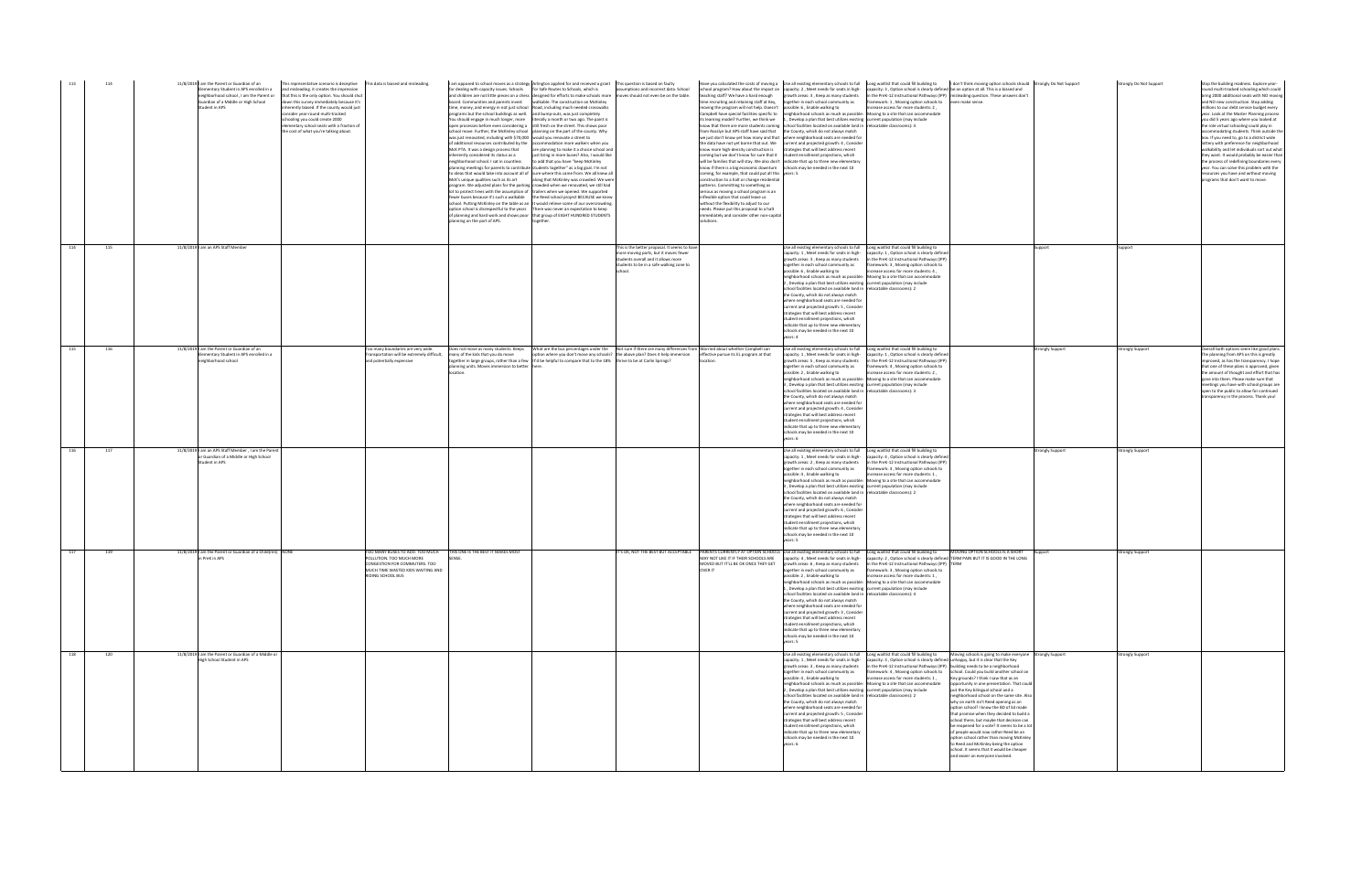| 113 | 114 | 11/8/2019 I am the Parent or Guardian of an<br>mentary Student in APS enrolled in a<br>Suardian of a Middle or High School<br>tudent in APS | This representative scenario is deceptive This data is biased and misleading.<br>and misleading. it creates the impression<br>neighborhood school, I am the Parent or that this is the only option. You should shut<br>down this survey immediately because it's<br>nherently biased. If the county would just<br>onsider year-round multi-tracked<br>schooling you could create 2000<br>ementary school seats with a fraction of<br>the cost of what you're talking about. | inherently considered its status as a<br>eighborhood school. I sat in countless<br>McK's unique qualities such as its art<br>lanning on the part of APS. | I am opposed to school moves as a strategy Arlington applied for and received a grant This question is based on faulty<br>for dealing with capacity issues. Schools for Safe Routes to Schools, which is<br>board. Communities and parents invest walkable. The construction on McKinley<br>time, money, and energy in not just school Road, including much needed crosswalks<br>orograms but the school buildings as well. and bump-outs, was just completely<br>You should engage in much longer, more literally a month or two ago. The paint is<br>open processes before even considering a still fresh on the street. This shows poor<br>school move. Further, the McKinley school   planning on the part of the county. Why<br>was just renovated, including with \$70,000 would you renovate a street to<br>of additional resources contributed by the accommodation more walkers when you<br>McK PTA. It was a design process that are planning to make it a choice school and<br>just bring in more buses? Also, I would like<br>o add that you have "keep McKinley<br>anning meetings for parents to contribute students together" as a big goal. I'm not<br>to ideas that would take into account all of sure where this came from. We all knew all<br>along that McKinley was crowded. We were<br>program. We adjusted plans for the parking crowded when we renovated, we still had<br>lot to protect trees with the assumption of trailers when we opened. We supported<br>ewer buses because it's such a walkable the Reed school project BECAUSE we knew<br>school. Putting McKinley on the table as an it would relieve some of our overcrowding.<br>option school is disrespectful to the years There was never an expectation to keep<br>of planning and hard work and shows poor that group of EIGHT HUNDRED STUDENTS | sumptions and incorrect data. School<br>and children are not little pieces on a chess designed for efforts to make schools more moves should not even be on the table.                                                                         | teaching staff? We have a hard enough<br>moving the program will not help. Doesn't possible: 6, Enable walking to<br>Campbell have special facilities specific to<br>its learning model? Further, we think we<br>know more high-density construction is<br>coming, for example, that could put all this years: 5<br>construction to a halt or change residential<br>patterns. Committing to something as<br>serious as moving a school program is an<br>nflexible option that could leave us<br>without the flexibility to adjust to our<br>needs. Please put this proposal to a halt<br>mmediately and consider other non-capital<br>olutions. | chool program? How about the impact on capacity: 2, Meet needs for seats in high- capacity: 3, Option school is clearly defined be an option at all. This is a biased and<br>growth areas: 3, Keep as many students in the PreK-12 Instructional Pathways (IPP) misleading question. These answers don't<br>time recruiting and retaining staff at Key, together in each school community as<br>neighborhood schools as much as possible: Moving to a site that can accommodate<br>1, Develop a plan that best utilizes existing current population (may include<br>know that there are more students coming school facilities located on available land in relocatable classrooms): 4<br>rom Rosslyn but APS staff have said that the County, which do not always match<br>we just don't know yet how many and that where neighborhood seats are needed for<br>the data have not yet borne that out. We current and projected growth: 4, Consider<br>strategies that will best address recent<br>coming but we don't know for sure that it student enrollment projections, which<br>will be families that will stay. We also don't indicate that up to three new elementary<br>know if there is a big economic downturn schools may be needed in the next 10 | framework: 1, Moving option schools to even make sense.<br>increase access for more students: 2,                                                                                                                                                                                                                                                                                         | Have you calculated the costs of moving a Use all existing elementary schools to full Long waitlist that could fill building to I don't think moving option schools should Strongly Do Not Support                                                                                                                                                                                                                                                                                                                                                                                                                                                                                                                                                                                                                                                            |                  | Strongly Do Not Support | Stop the building madness. Explore year-<br>round multi-tracked schooling which could<br>bring 2000 additional seats with NO moving<br>and NO new construction. Stop adding<br>millions to our debt service budget every<br>ear. Look at the Master Planning process<br>vou did 5 vears ago where vou looked at<br>the role virtual schooling could play in<br>commodating students. Think outside the<br>box. If you need to, go to a district wide<br>ottery with preference for neighborhood<br>walkability and let individuals sort out what<br>they want. It would probably be easier than<br>the process of redefining boundaries every<br>ear. You can solve this problem with the<br>resources you have and without moving<br>programs that don't want to move. |
|-----|-----|---------------------------------------------------------------------------------------------------------------------------------------------|-----------------------------------------------------------------------------------------------------------------------------------------------------------------------------------------------------------------------------------------------------------------------------------------------------------------------------------------------------------------------------------------------------------------------------------------------------------------------------|----------------------------------------------------------------------------------------------------------------------------------------------------------|-------------------------------------------------------------------------------------------------------------------------------------------------------------------------------------------------------------------------------------------------------------------------------------------------------------------------------------------------------------------------------------------------------------------------------------------------------------------------------------------------------------------------------------------------------------------------------------------------------------------------------------------------------------------------------------------------------------------------------------------------------------------------------------------------------------------------------------------------------------------------------------------------------------------------------------------------------------------------------------------------------------------------------------------------------------------------------------------------------------------------------------------------------------------------------------------------------------------------------------------------------------------------------------------------------------------------------------------------------------------------------------------------------------------------------------------------------------------------------------------------------------------------------------------------------------------------------------------------------------------------------------------------------------------------------------------------------------------------------------------------------------------------------------------------------------------------------------------|------------------------------------------------------------------------------------------------------------------------------------------------------------------------------------------------------------------------------------------------|-------------------------------------------------------------------------------------------------------------------------------------------------------------------------------------------------------------------------------------------------------------------------------------------------------------------------------------------------------------------------------------------------------------------------------------------------------------------------------------------------------------------------------------------------------------------------------------------------------------------------------------------------|---------------------------------------------------------------------------------------------------------------------------------------------------------------------------------------------------------------------------------------------------------------------------------------------------------------------------------------------------------------------------------------------------------------------------------------------------------------------------------------------------------------------------------------------------------------------------------------------------------------------------------------------------------------------------------------------------------------------------------------------------------------------------------------------------------------------------------------------------------------------------------------------------------------------------------------------------------------------------------------------------------------------------------------------------------------------------------------------------------------------------------------------------------------------------------------------------------------------------------------------------------------|------------------------------------------------------------------------------------------------------------------------------------------------------------------------------------------------------------------------------------------------------------------------------------------------------------------------------------------------------------------------------------------|---------------------------------------------------------------------------------------------------------------------------------------------------------------------------------------------------------------------------------------------------------------------------------------------------------------------------------------------------------------------------------------------------------------------------------------------------------------------------------------------------------------------------------------------------------------------------------------------------------------------------------------------------------------------------------------------------------------------------------------------------------------------------------------------------------------------------------------------------------------|------------------|-------------------------|-------------------------------------------------------------------------------------------------------------------------------------------------------------------------------------------------------------------------------------------------------------------------------------------------------------------------------------------------------------------------------------------------------------------------------------------------------------------------------------------------------------------------------------------------------------------------------------------------------------------------------------------------------------------------------------------------------------------------------------------------------------------------|
| 114 | 115 | 11/8/2019   am an APS Staff Member                                                                                                          |                                                                                                                                                                                                                                                                                                                                                                                                                                                                             |                                                                                                                                                          |                                                                                                                                                                                                                                                                                                                                                                                                                                                                                                                                                                                                                                                                                                                                                                                                                                                                                                                                                                                                                                                                                                                                                                                                                                                                                                                                                                                                                                                                                                                                                                                                                                                                                                                                                                                                                                           | This is the better proposal. It seems to have<br>nore moving parts, but it moves fewer<br>tudents overall and it allows more<br>tudents to be in a safe walking zone to                                                                        |                                                                                                                                                                                                                                                                                                                                                                                                                                                                                                                                                                                                                                                 | Use all existing elementary schools to full Long waitlist that could fill building to<br>ogether in each school community as<br>possible: 6 . Enable walking to<br>neighborhood schools as much as possible: Moving to a site that can accommodate<br>, Develop a plan that best utilizes existing current population (may include<br>school facilities located on available land in relocatable classrooms): 2<br>the County, which do not always match<br>where neighborhood seats are needed for<br>current and projected growth: 5, Consider<br>trategies that will best address recent<br>tudent enrollment projections, which<br>ndicate that up to three new elementary<br>chools may be needed in the next 10<br>ears: 4                                                                                                                                                                                                                                                                                                                                                                                                                                                                                                                              | capacity: 1, Meet needs for seats in high- capacity: 1, Option school is clearly defined<br>growth areas: 3, Keep as many students in the PreK-12 Instructional Pathways (IPP)<br>framework: 3, Moving option schools to<br>increase access for more students: 4.                                                                                                                        |                                                                                                                                                                                                                                                                                                                                                                                                                                                                                                                                                                                                                                                                                                                                                                                                                                                               | upport           | upport                  |                                                                                                                                                                                                                                                                                                                                                                                                                                                                                                                                                                                                                                                                                                                                                                         |
| 115 | 116 | 11/8/2019 I am the Parent or Guardian of an<br>ementary Student in APS enrolled in a<br>eighborhood school                                  | Too many boundaries are very wide.<br>and potentially expensive                                                                                                                                                                                                                                                                                                                                                                                                             | Fransportation will be extremely difficult,<br>many of the kids that you do move<br>anning units. Moves immersion to better here                         | together in large groups, rather than a few lt'd be helpful to compare that to the 18% thrive to be at Carlin Springs?                                                                                                                                                                                                                                                                                                                                                                                                                                                                                                                                                                                                                                                                                                                                                                                                                                                                                                                                                                                                                                                                                                                                                                                                                                                                                                                                                                                                                                                                                                                                                                                                                                                                                                                    | Does not move as many students. Keeps What are the bus percentages under the Not sure if there are many differences from Worried about whether Campbell can<br>option where you don't move any schools? the above plan? Does it help immersion | effective pursue its EL program at that                                                                                                                                                                                                                                                                                                                                                                                                                                                                                                                                                                                                         | Use all existing elementary schools to full Long waitlist that could fill building to<br>capacity: 1, Meet needs for seats in high-<br>growth areas: 5, Keep as many students<br>together in each school community as<br>ossible: 2, Enable walking to<br>neighborhood schools as much as possible: Moving to a site that can accommodate<br>3, Develop a plan that best utilizes existing current population (may include<br>school facilities located on available land in relocatable classrooms): 3<br>the County, which do not always match<br>where neighborhood seats are needed for<br>current and projected growth: 4, Consider<br>trategies that will best address recent<br>tudent enrollment projections, which<br>ndicate that up to three new elementary<br>schools may be needed in the next 10<br>rears: 6                                                                                                                                                                                                                                                                                                                                                                                                                                    | capacity: 1, Option school is clearly defined<br>in the PreK-12 Instructional Pathways (IPP)<br>framework: 4 . Moving option schools to<br>crease access for more students: 2,                                                                                                                                                                                                           |                                                                                                                                                                                                                                                                                                                                                                                                                                                                                                                                                                                                                                                                                                                                                                                                                                                               | Strongly Support | trongly Support         | Overall both options seem like good plans.<br>The planning from APS on this is greatly<br>mproved, as has the transparency. I hope<br>that one of these plans is approved, given<br>e amount of thought and effort that ha<br>gone into them. Please make sure that<br>meetings you have with school groups are<br>open to the public to allow for continued<br>transparency in the process. Thank you!                                                                                                                                                                                                                                                                                                                                                                 |
| 116 | 117 | 11/8/2019 I am an APS Staff Member, I am the Parent<br>r Guardian of a Middle or High School<br>tudent in APS                               |                                                                                                                                                                                                                                                                                                                                                                                                                                                                             |                                                                                                                                                          |                                                                                                                                                                                                                                                                                                                                                                                                                                                                                                                                                                                                                                                                                                                                                                                                                                                                                                                                                                                                                                                                                                                                                                                                                                                                                                                                                                                                                                                                                                                                                                                                                                                                                                                                                                                                                                           |                                                                                                                                                                                                                                                |                                                                                                                                                                                                                                                                                                                                                                                                                                                                                                                                                                                                                                                 | Jse all existing elementary schools to full Long waitlist that could fill building to<br>capacity: 1, Meet needs for seats in high-<br>growth areas: 2, Keep as many students<br>together in each school community as<br>ossible: 4, Enable walking to<br>eighborhood schools as much as possible:<br>3, Develop a plan that best utilizes existing current population (may include<br>school facilities located on available land in relocatable classrooms): 2<br>the County, which do not always match<br>where neighborhood seats are needed for<br>current and projected growth: 6, Conside<br>trategies that will best address recent<br>student enrollment projections, which<br>ndicate that up to three new elementary<br>chools may be needed in the next 10                                                                                                                                                                                                                                                                                                                                                                                                                                                                                        | capacity: 4, Option school is clearly defined<br>in the PreK-12 Instructional Pathways (IPP)<br>framework: 3, Moving option schools to<br>increase access for more students: 1,<br>Moving to a site that can accommodate                                                                                                                                                                 |                                                                                                                                                                                                                                                                                                                                                                                                                                                                                                                                                                                                                                                                                                                                                                                                                                                               | trongly Support  | rongly Support          |                                                                                                                                                                                                                                                                                                                                                                                                                                                                                                                                                                                                                                                                                                                                                                         |
| 117 | 119 | 11/8/2019 I am the Parent or Guardian of a Child(ren) NONE<br>PreK in APS                                                                   | POLLUTION. TOO MUCH MORE<br>RIDING SCHOOL BUS                                                                                                                                                                                                                                                                                                                                                                                                                               | TOO MANY BUSES TO ADD. TOO MUCH THIS ONE IS THE BEST IT MAKES MOST<br>CONGESTION FOR COMMUTERS, TOO<br>MUCH TIME WASTED KIDS WAITING AND                 |                                                                                                                                                                                                                                                                                                                                                                                                                                                                                                                                                                                                                                                                                                                                                                                                                                                                                                                                                                                                                                                                                                                                                                                                                                                                                                                                                                                                                                                                                                                                                                                                                                                                                                                                                                                                                                           |                                                                                                                                                                                                                                                | MAY NOT LIKE IT IF THEIR SCHOOLS ARE<br>MOVED BUT IT'LL BE OK ONCE THEY GET<br>OVER IT                                                                                                                                                                                                                                                                                                                                                                                                                                                                                                                                                          | T'S OK, NOT THE BEST BUT ACCEPTABLE PARENTS CURRENTLY AT OPTION SCHOOLS  Use all existing elementary schools to full  Long waitlist that could fill building to MOVING OPTION SCHOOLS IS A SHORT<br>growth areas: 6, Keep as many students<br>together in each school community as<br>possible: 2, Enable walking to<br>, Develop a plan that best utilizes existing current population (may include<br>school facilities located on available land in relocatable classrooms): 4<br>the County, which do not always match<br>where neighborhood seats are needed for<br>current and projected growth: 3. Consider<br>strategies that will best address recent<br>student enrollment projections, which<br>indicate that up to three new elementary<br>schools may be needed in the next 10<br>ears: 5                                                                                                                                                                                                                                                                                                                                                                                                                                                        | capacity: 4, Meet needs for seats in high- capacity: 2, Option school is clearly defined TERM PAIN BUT IT IS GOOD IN THE LONG<br>in the PreK-12 Instructional Pathways (IPP) TERM<br>framework: 3, Moving option schools to<br>increase access for more students: 1,<br>ood schools as much as possible:   IMoving to a site that can accommodate                                        |                                                                                                                                                                                                                                                                                                                                                                                                                                                                                                                                                                                                                                                                                                                                                                                                                                                               | Support          | trongly Support         |                                                                                                                                                                                                                                                                                                                                                                                                                                                                                                                                                                                                                                                                                                                                                                         |
| 118 | 120 | 11/8/2019 I am the Parent or Guardian of a Middle or<br>High School Student in APS                                                          |                                                                                                                                                                                                                                                                                                                                                                                                                                                                             |                                                                                                                                                          |                                                                                                                                                                                                                                                                                                                                                                                                                                                                                                                                                                                                                                                                                                                                                                                                                                                                                                                                                                                                                                                                                                                                                                                                                                                                                                                                                                                                                                                                                                                                                                                                                                                                                                                                                                                                                                           |                                                                                                                                                                                                                                                |                                                                                                                                                                                                                                                                                                                                                                                                                                                                                                                                                                                                                                                 | together in each school community as<br>possible: 4 . Enable walking to<br>2, Develop a plan that best utilizes existing current population (may include<br>school facilities located on available land in relocatable classrooms): 2<br>the County, which do not always match<br>where neighborhood seats are needed for<br>current and projected growth: 5, Consider<br>strategies that will best address recent<br>student enrollment projections, which<br>indicate that up to three new elementary<br>schools may be needed in the next 10<br>years: 6                                                                                                                                                                                                                                                                                                                                                                                                                                                                                                                                                                                                                                                                                                   | capacity: 1, Meet needs for seats in high- capacity: 3, Option school is clearly defined unhappy, but it is clear that the Key<br>growth areas: 3, Keep as many students   in the PreK-12 Instructional Pathways (IPP)   building needs to be a neighborhood<br>increase access for more students: 1.<br>neighborhood schools as much as possible: Moving to a site that can accommodate | Use all existing elementary schools to full Long waitlist that could fill building to Moving schools is going to make everyone Strongly Support<br>framework: 4, Moving option schools to school. Could you build another school or<br>Key grounds? I think I saw that as an<br>opportunity in one presentation. That could<br>put the Key bilingual school and a<br>neighborhood school on the same site. Also<br>why on earth isn't Reed opening as an<br>option school? I know the BD of Ed made<br>that promise when they decided to build a<br>school there, but maybe that decision can<br>be reopened for a vote? It seems to be a lot<br>of people would now rather Reed be an<br>option school rather than moving McKinley<br>to Reed and McKinley being the option<br>school. It seems that it would be cheaper<br>and easier on everyone involved. |                  | <b>Strongly Support</b> |                                                                                                                                                                                                                                                                                                                                                                                                                                                                                                                                                                                                                                                                                                                                                                         |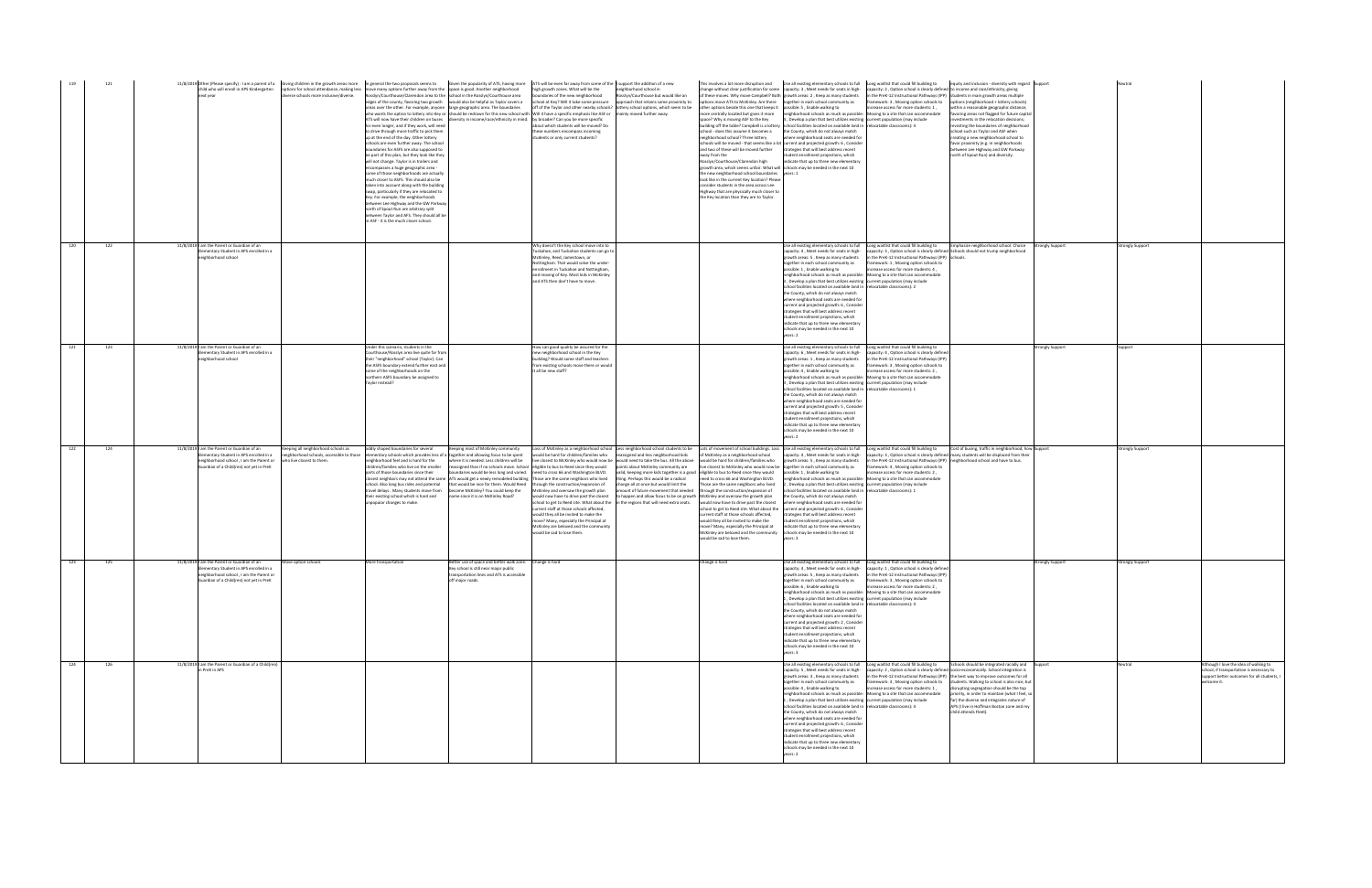|     |     | next year                                                                                                                                                                    | child who will enroll in APS Kindergarten options for school attendance, making less move many options further away from the space is good. Another neighborhood<br>verse schools more inclusive/diverse.<br>losslyn/Courthouse/Clarendon area to the school in the Rosslyn/Courthouse area<br>dges of the county, favoring two growth would also be helpful as Taylor covers a<br>areas over the other. For example, anyone large geographic area. The boundaries<br>for even longer, and if they work, will need<br>to drive through more traffic to pick them<br>up at the end of the day. Other lottery<br>schools are even further away. The school<br>oundaries for ASFS are also supposed to<br>be part of this plan, but they look like they<br>will not change. Taylor is in trailers and<br>ncompasses a huge geographic area -<br>some of those neighborhoods are actually<br>nuch closer to ASFS. This should also be<br>taken into account along with the building<br>swap, particularly if they are relocated to<br>Key, For example, the neighborhoods<br>etween Lee Highway and the GW Parkway<br>north of Spout Run are arbitrary split<br>etween Taylor and AFS. They should all be<br>in ASF - it is the much closer school. | 11/8/2019 Other (Please specify) : I am a parent of a Giving children in the growth areas more In general the two proposals seems to Given the popularity of ATS, having more ATS will be even far away from some of the I sup<br>high growth zones. What will be the<br>undaries of the new neighborhood<br>school at Key? Will it take some pressure<br>off of the Taylor and other nearby schools? lottery school options, which seem to be<br>who wants the option to lottery into Key or should be redrawn for this new school with Will it have a specific emphasis like ASF or mainly moved further away.<br>ATS will now have their children on buses diversity in income/race/ethnicity in mind. by broader? Can you be more specific<br>about which students will be moved? Do<br>these numbers encompass incoming<br>students or only current students?                                                                                                                                                                                                                                                                                     | eighborhood school in<br>sslyn/Courthouse but would like an<br>approach that retains some proximity to                                                                                                                                                                                                                                                                               | these moves. Why move Campbell? Both growth areas: 2, Keep as many students<br>tions move ATS to McKinley. Are there<br>other options beside this one that keeps it possible: 5, Enable walking to<br>nore centrally located but gives it more<br>space? Why is moving ASF to the Key<br>puilding off the table? Campbell is a lottery school facilities located on available land in relocatable classrooms): 4<br>school - does this assume it becomes a<br>neighborhood school? Three lottery<br>schools will be moved - that seems like a lot current and projected growth: 6, Consider<br>and two of these will be moved further<br>away from the<br>Rosslyn/Courthouse/Clarendon high<br>growth area, which seems unfair. What will schools may be needed in the next 10<br>the new neighborhood school boundaries years: 1<br>look like in the current Key location? Please<br>consider students in the area across Lee<br>Highway that are physically much closer to<br>the Key location than they are to Taylor. | This involves a lot more disruption and Use all existing elementary schools to full Long waitlist that could fill building to<br>hange without clear justification for some capacity: 3, Meet needs for seats in high- capacity: 2, Option school is clearly defined to income and race/ethnicity; giving<br>in the PreK-12 Instructional Pathways (IPP) students in main growth areas multiple<br>together in each school community as<br>ramework: 3, Moving option schools to<br>increase access for more students: 1,<br>neighborhood schools as much as possible: Moving to a site that can accommodate<br>, Develop a plan that best utilizes existing current population (may include<br>the County, which do not always match<br>where neighborhood seats are needed for<br>trategies that will best address recent<br>tudent enrollment projections, which<br>indicate that up to three new elementary                                                                                                                                                    | equity and inclusion - diversity with regard Support<br>options (neighborhood + lottery schools)<br>within a reasonable geographic distance;<br>favoring areas not flagged for future capital<br>vestments in the relocation decisions;<br>visiting the boundaries of neighborhood<br>chool such as Taylor and ASF when<br>creating a new neighborhood school to<br>favor proximity (e.g. in neighborhoods<br>etween Lee Highway and GW Parkway<br>north of Spout Run) and diversity. |                  |                                                                                                                                                   |
|-----|-----|------------------------------------------------------------------------------------------------------------------------------------------------------------------------------|-------------------------------------------------------------------------------------------------------------------------------------------------------------------------------------------------------------------------------------------------------------------------------------------------------------------------------------------------------------------------------------------------------------------------------------------------------------------------------------------------------------------------------------------------------------------------------------------------------------------------------------------------------------------------------------------------------------------------------------------------------------------------------------------------------------------------------------------------------------------------------------------------------------------------------------------------------------------------------------------------------------------------------------------------------------------------------------------------------------------------------------------------------------------------------------------------------------------------------------------------|--------------------------------------------------------------------------------------------------------------------------------------------------------------------------------------------------------------------------------------------------------------------------------------------------------------------------------------------------------------------------------------------------------------------------------------------------------------------------------------------------------------------------------------------------------------------------------------------------------------------------------------------------------------------------------------------------------------------------------------------------------------------------------------------------------------------------------------------------------------------------------------------------------------------------------------------------------------------------------------------------------------------------------------------------------------------------------------------------------------------------------------------------------|--------------------------------------------------------------------------------------------------------------------------------------------------------------------------------------------------------------------------------------------------------------------------------------------------------------------------------------------------------------------------------------|---------------------------------------------------------------------------------------------------------------------------------------------------------------------------------------------------------------------------------------------------------------------------------------------------------------------------------------------------------------------------------------------------------------------------------------------------------------------------------------------------------------------------------------------------------------------------------------------------------------------------------------------------------------------------------------------------------------------------------------------------------------------------------------------------------------------------------------------------------------------------------------------------------------------------------------------------------------------------------------------------------------------------|--------------------------------------------------------------------------------------------------------------------------------------------------------------------------------------------------------------------------------------------------------------------------------------------------------------------------------------------------------------------------------------------------------------------------------------------------------------------------------------------------------------------------------------------------------------------------------------------------------------------------------------------------------------------------------------------------------------------------------------------------------------------------------------------------------------------------------------------------------------------------------------------------------------------------------------------------------------------------------------------------------------------------------------------------------------------|---------------------------------------------------------------------------------------------------------------------------------------------------------------------------------------------------------------------------------------------------------------------------------------------------------------------------------------------------------------------------------------------------------------------------------------------------------------------------------------|------------------|---------------------------------------------------------------------------------------------------------------------------------------------------|
| 120 | 122 | 11/8/2019 I am the Parent or Guardian of an<br>Elementary Student in APS enrolled in a<br>eighborhood school                                                                 |                                                                                                                                                                                                                                                                                                                                                                                                                                                                                                                                                                                                                                                                                                                                                                                                                                                                                                                                                                                                                                                                                                                                                                                                                                                 | Why doesn't the Key school move into to<br>Tuckahoe, and Tuckahoe students can go to<br>McKinley, Reed, Jamestown, or<br>Nottingham. That would solve the under-<br>enrollment in Tuckahoe and Nottingham,<br>and moving of Key. Most kids in McKinley<br>and ATS then don't have to move.                                                                                                                                                                                                                                                                                                                                                                                                                                                                                                                                                                                                                                                                                                                                                                                                                                                             |                                                                                                                                                                                                                                                                                                                                                                                      | possible: 1. Enable walking to<br>rears: 2                                                                                                                                                                                                                                                                                                                                                                                                                                                                                                                                                                                                                                                                                                                                                                                                                                                                                                                                                                                | Use all existing elementary schools to full Long waitlist that could fill building to Emphasize neighborhood school. Choice Strongly Support<br>:apacity: 4 , Meet needs for seats in high- capacity: 3 , Option school is clearly defined Schools should not trump neighborhood<br>growth areas: 5, Keep as many students<br>in the PreK-12 Instructional Pathways (IPP) schools.<br>ogether in each school community as<br>ramework: 1, Moving option schools to<br>increase access for more students: 4,<br>neighborhood schools as much as possible: Moving to a site that can accommodate<br>, Develop a plan that best utilizes existing current population (may include<br>school facilities located on available land in relocatable classrooms): 2<br>the County, which do not always match<br>where neighborhood seats are needed for<br>current and projected growth: 6, Consider<br>trategies that will best address recent<br>tudent enrollment projections, which<br>indicate that un to three new elementary<br>chools may be needed in the next 10 |                                                                                                                                                                                                                                                                                                                                                                                                                                                                                       | Strongly Support |                                                                                                                                                   |
| 121 | 123 | 11/8/2019 am the Parent or Guardian of an<br>lementary Student in APS enrolled in a<br>neighborhood school                                                                   | Inder this scenario, students in the<br>ourthouse/Rosslyn area live quite far from<br>their "neighborhood" school (Taylor). Can<br>the ASFS boundary extend further east and<br>ome of the neighborhoods on the<br>northern ASFS boundary be assigned to<br>Taylor instead?                                                                                                                                                                                                                                                                                                                                                                                                                                                                                                                                                                                                                                                                                                                                                                                                                                                                                                                                                                     | How can good quality be assured for the<br>new neighborhood school in the Key<br>building? Would some staff and teachers<br>from existing schools move there or would<br>it all be new staff?                                                                                                                                                                                                                                                                                                                                                                                                                                                                                                                                                                                                                                                                                                                                                                                                                                                                                                                                                          |                                                                                                                                                                                                                                                                                                                                                                                      | ossible: 4, Enable walking to                                                                                                                                                                                                                                                                                                                                                                                                                                                                                                                                                                                                                                                                                                                                                                                                                                                                                                                                                                                             | Use all existing elementary schools to full Long waitlist that could fill building to<br>capacity: 6, Meet needs for seats in high-<br>capacity: 4, Option school is clearly defined<br>growth areas: 1, Keep as many students in the PreK-12 Instructional Pathways (IPP)<br>ogether in each school community as<br>framework: 3 . Moving option schools to<br>crease access for more students: 2,<br>reighborhood schools as much as possible:<br>Moving to a site that can accommodate<br>3, Develop a plan that best utilizes existing current population (may include<br>chool facilities located on available land in relocatable classrooms): 1<br>the County, which do not always match<br>where neighborhood seats are needed for<br>current and projected growth: 5, Consider<br>trategies that will best address recent<br>tudent enrollment projections, which<br>ndicate that up to three new elementary<br>chools may be needed in the next 10                                                                                                       | itrongly Support                                                                                                                                                                                                                                                                                                                                                                                                                                                                      |                  |                                                                                                                                                   |
| 122 | 124 | 11/8/2019 I am the Parent or Guardian of an<br>lementary Student in APS enrolled in a<br>eighborhood school, I am the Parent or<br>Guardian of a Child(ren) not yet in PreK  | eeping all neighborhood schools as<br>oddly shaped boundaries for several<br>neighborhood schools, accessible to those<br>elementary schools which provides less of a together and allowing focus to be spent<br>who live closest to them.<br>eighborhood feel and is hard for the<br>hildren/families who live on the smaller<br>arts of those boundaries since their<br>travel delays Many students move from become McKinley? You could keep the<br>their existing school which is hard and<br>inpopular changes to make.                                                                                                                                                                                                                                                                                                                                                                                                                                                                                                                                                                                                                                                                                                                    | Keeping most of McKinley community<br>Loss of McKinley as a neighborhood school Less neighborhood school students to be<br>would be hard for children/families who<br>where it is needed. Less children will be<br>live closest to McKinley who would now be would need to take the bus. All the above<br>reassigned than if no schools move. School eligible to bus to Reed since they would<br>boundaries would be less long and varied. need to cross 66 and Washington BLVD.<br>losest neighbors may not attend the same ATS would get a newly remodeled building Those are the same neighbors who lived<br>chool. Also long bus rides and potential that would be nice for them. Would Reed through the construction/expansion of<br>McKinley and oversaw the growth plan<br>name since it is on McKinley Road?<br>would now have to drive past the closest to happen and allow focus to be on growth McKinley and oversaw the growth plan<br>current staff at those schools affected.<br>would they all be invited to make the<br>move? Many, especially the Principal at<br>McKinley are beloved and the community<br>would be sad to lose them | assigned and less neighborhood kids<br>points about McKinley community are<br>valid, keeping more kids together is a good eligible to bus to Reed since they would<br>ing. Perhaps this would be a radical<br>change all at once but would limit the<br>amount of future movement that needed<br>hool to get to Reed site. What about the in the regions that will need extra seats. | of McKinley as a neighborhood school<br>would be hard for children/families who<br>ive closest to McKinley who would now be together in each school community as<br>possible: 1. Enable walking to<br>eed to cross 66 and Washington BLVD.<br>hose are the same neighbors who lived<br>through the construction/expansion of<br>would now have to drive past the closest<br>school to get to Reed site. What about the current and projected growth: 6, Consider<br>current staff at those schools affected,<br>would they all be invited to make the<br>nove? Many, especially the Principal at<br>McKinley are beloved and the community<br>vould be sad to lose them.<br>ears: 3                                                                                                                                                                                                                                                                                                                                       | Lots of movement of school buildings. Loss Use all existing elementary schools to full Long waitlist that could fill building to<br>capacity: 4, Meet needs for seats in high-<br>growth areas: 5, Keep as many students<br>in the PreK-12 Instructional Pathways (IPP) neighborhood school and have to bus.<br>ramework: 4, Moving option schools to<br>ncrease access for more students: 2,<br>eighborhood schools as much as possible:<br>Moving to a site that can accommodate<br>, Develop a plan that best utilizes existing current population (may include<br>school facilities located on available land in relocatable classrooms): 1<br>the County, which do not always match<br>where neighborhood seats are needed for<br>strategies that will best address recent<br>student enrollment projections, which<br>indicate that up to three new elementary<br>schools may be needed in the next 10                                                                                                                                                       | Cost of busing, traffic in neighborhood, how Support<br>capacity: 3, Option school is clearly defined many students will be displaced from their                                                                                                                                                                                                                                                                                                                                      | trongly Support  |                                                                                                                                                   |
| 123 | 125 | 11/8/2019 I am the Parent or Guardian of an<br>Elementary Student in APS enrolled in a<br>neighborhood school, I am the Parent or<br>uardian of a Child(ren) not yet in PreK | Move option schools<br>More transportation                                                                                                                                                                                                                                                                                                                                                                                                                                                                                                                                                                                                                                                                                                                                                                                                                                                                                                                                                                                                                                                                                                                                                                                                      | Better use of space and better walk zone. Change is hard<br>Key school is still near major public<br>transportation lines and ATS is accessible<br>off major roads.                                                                                                                                                                                                                                                                                                                                                                                                                                                                                                                                                                                                                                                                                                                                                                                                                                                                                                                                                                                    |                                                                                                                                                                                                                                                                                                                                                                                      | hange is hard<br>possible: 6, Enable walking to<br>rears: 3                                                                                                                                                                                                                                                                                                                                                                                                                                                                                                                                                                                                                                                                                                                                                                                                                                                                                                                                                               | Use all existing elementary schools to full Long waitlist that could fill building to<br>capacity: 4, Meet needs for seats in high- capacity: 1, Option school is clearly defined<br>growth areas: 5, Keep as many students in the PreK-12 Instructional Pathways (IPP)<br>eether in each school community as<br>framework: 3, Moving option schools to<br>increase access for more students: 2,<br>neighborhood schools as much as possible: Moving to a site that can accommodate<br>1, Develop a plan that best utilizes existing current population (may include<br>school facilities located on available land in relocatable classrooms): 4<br>the County, which do not always match<br>where neighborhood seats are needed for<br>current and projected growth: 2, Consider<br>strategies that will best address recent<br>student enrollment projections, which<br>ndicate that up to three new elementary<br>schools may be needed in the next 10                                                                                                         | trongly Support                                                                                                                                                                                                                                                                                                                                                                                                                                                                       | trongly Support  |                                                                                                                                                   |
| 124 | 126 | 11/8/2019 I am the Parent or Guardian of a Child(ren)<br>in PreK in APS                                                                                                      |                                                                                                                                                                                                                                                                                                                                                                                                                                                                                                                                                                                                                                                                                                                                                                                                                                                                                                                                                                                                                                                                                                                                                                                                                                                 |                                                                                                                                                                                                                                                                                                                                                                                                                                                                                                                                                                                                                                                                                                                                                                                                                                                                                                                                                                                                                                                                                                                                                        |                                                                                                                                                                                                                                                                                                                                                                                      | possible: 4 . Enable walking to<br>ers: 2                                                                                                                                                                                                                                                                                                                                                                                                                                                                                                                                                                                                                                                                                                                                                                                                                                                                                                                                                                                 | Use all existing elementary schools to full Long waitlist that could fill building to<br>capacity: 5, Meet needs for seats in high-<br>capacity: 2, Option school is clearly defined socio-economically. School integration is<br>growth areas: 3, Keep as many students in the PreK-12 Instructional Pathways (IPP) the best way to improve outcomes for all<br>together in each school community as<br>increase access for more students: 1,<br>neighborhood schools as much as possible: Moving to a site that can accommodate<br>1, Develop a plan that best utilizes existing current population (may include<br>school facilities located on available land in relocatable classrooms): 4<br>the County, which do not always match<br>where neighborhood seats are needed for<br>current and projected growth: 6, Conside<br>strategies that will best address recent<br>student enrollment projections, which<br>indicate that up to three new elementary<br>chools may be needed in the next 10                                                            | Schools should be integrated racially and Support<br>framework: 3, Moving option schools to students. Walking to school is also nice, but<br>disrupting segregation should be the top<br>priority, in order to maintain (what I feel, so<br>far) the diverse and integrates nature of<br>APS (I live in Hoffman Boston zone and my<br>child attends Fleet).                                                                                                                           | Neutral          | Although I love the idea of walking to<br>school, if transportation is necessary to<br>support better outcomes for all students, I<br>welcome it. |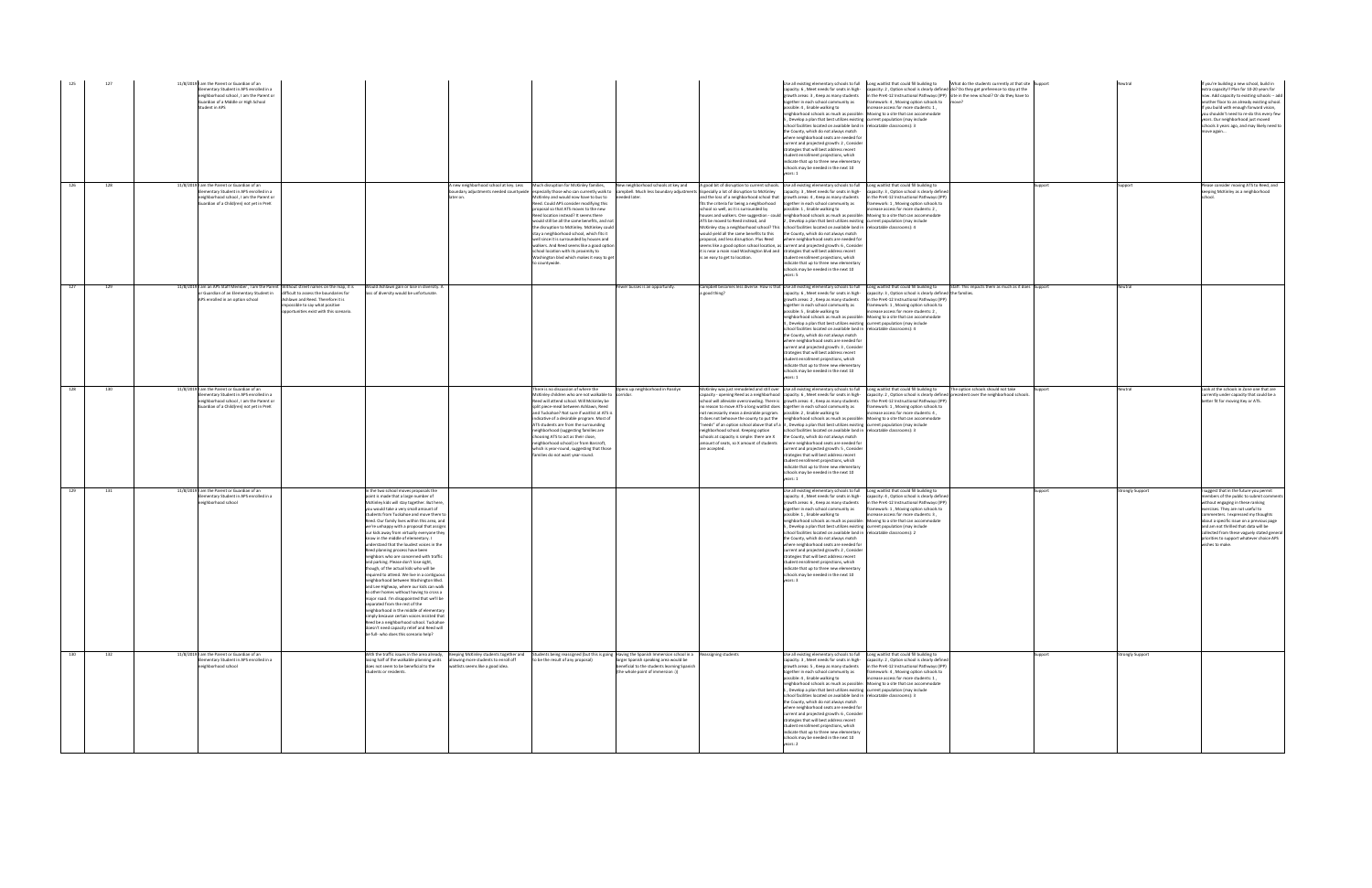| 125 | 127 | 11/8/2019 am the Parent or Guardian of an<br>ementary Student in APS enrolled in a<br>eighborhood school, I am the Parent or<br><b>Guardian of a Middle or High School</b><br>Student in APS                     |                                                                                                                                                                                                                                                                                                                                                                                                                                                                                                                                                                                                                                                                                                                                                                                                                                                                                                                                                                                                                                                                       |                                                                                                                                                                                                                                                                                                                                                                                                                                                                                                                                                                                                                                                                                                                                                                                          |                                                                                                                           | possible: 4, Enable walking to                                                                                                                                                                                                                                                                                                                                                                                                                                                                                                                                                                                                                                                                                                                                                                                                                                                                                                                                                              | capacity: 6, Meet needs for seats in high-<br>growth areas: 3, Keep as many students<br>together in each school community as<br>5, Develop a plan that best utilizes existing current population (may include<br>school facilities located on available land in relocatable classrooms): 3<br>the County, which do not always match<br>where neighborhood seats are needed for<br>current and projected growth: 2, Consider<br>rategies that will best address recent<br>student enrollment projections, which<br>indicate that up to three new elementary<br>chools may be needed in the next 10                                  | Use all existing elementary schools to full Long waitlist that could fill building to What do the students currently at that site Support<br>capacity: 2, Option school is clearly defined do? Do they get preference to stay at the<br>n the PreK-12 Instructional Pathways (IPP) site in the new school? Or do they have to<br>amework: 4, Moving option schools to move?<br>errease access for more students: 1,<br>heighborhood schools as much as possible: Moving to a site that can accommodate |         |                 | If you're building a new school, build in<br>extra capacity!! Plan for 10-20 years for<br>now. Add capacity to existing schools -- add<br>another floor to an already existing school.<br>If you build with enough forward vision,<br>you shouldn't need to re-do this every few<br>years. Our neighborhood just moved<br>schools 3 years ago, and may likely need to<br>move again                     |
|-----|-----|------------------------------------------------------------------------------------------------------------------------------------------------------------------------------------------------------------------|-----------------------------------------------------------------------------------------------------------------------------------------------------------------------------------------------------------------------------------------------------------------------------------------------------------------------------------------------------------------------------------------------------------------------------------------------------------------------------------------------------------------------------------------------------------------------------------------------------------------------------------------------------------------------------------------------------------------------------------------------------------------------------------------------------------------------------------------------------------------------------------------------------------------------------------------------------------------------------------------------------------------------------------------------------------------------|------------------------------------------------------------------------------------------------------------------------------------------------------------------------------------------------------------------------------------------------------------------------------------------------------------------------------------------------------------------------------------------------------------------------------------------------------------------------------------------------------------------------------------------------------------------------------------------------------------------------------------------------------------------------------------------------------------------------------------------------------------------------------------------|---------------------------------------------------------------------------------------------------------------------------|---------------------------------------------------------------------------------------------------------------------------------------------------------------------------------------------------------------------------------------------------------------------------------------------------------------------------------------------------------------------------------------------------------------------------------------------------------------------------------------------------------------------------------------------------------------------------------------------------------------------------------------------------------------------------------------------------------------------------------------------------------------------------------------------------------------------------------------------------------------------------------------------------------------------------------------------------------------------------------------------|------------------------------------------------------------------------------------------------------------------------------------------------------------------------------------------------------------------------------------------------------------------------------------------------------------------------------------------------------------------------------------------------------------------------------------------------------------------------------------------------------------------------------------------------------------------------------------------------------------------------------------|--------------------------------------------------------------------------------------------------------------------------------------------------------------------------------------------------------------------------------------------------------------------------------------------------------------------------------------------------------------------------------------------------------------------------------------------------------------------------------------------------------|---------|-----------------|---------------------------------------------------------------------------------------------------------------------------------------------------------------------------------------------------------------------------------------------------------------------------------------------------------------------------------------------------------------------------------------------------------|
| 126 | 128 | 11/8/2019 I am the Parent or Guardian of an<br>Elementary Student in APS enrolled in a<br>eighborhood school, I am the Parent or<br>Guardian of a Child(ren) not yet in PreK                                     |                                                                                                                                                                                                                                                                                                                                                                                                                                                                                                                                                                                                                                                                                                                                                                                                                                                                                                                                                                                                                                                                       | A new neighborhood school at key. Less Much disruption for McKinley families,<br>boundary adjustments needed countywide especially those who can currently walk to campbell. Much less boundary adjustments Especially a lot of disruption to McKinley<br>McKinley and would now have to bus to<br>ater on.<br>Reed. Could APS consider modifying this<br>proposal so that ATS moves to the new<br>Reed location instead? It seems there<br>would still be all the same benefits, and not<br>the disruption to McKinley. McKinkey could<br>stay a neighborhood school, which fits it<br>well since it is surrounded by houses and<br>walkers. And Reed seems like a good option<br>school location with its proximity to<br>Washington blvd which makes it easy to get<br>to countywide. | needed later.                                                                                                             | New neighborhood schools at key and A good bit of disruption to current schools. Use all existing elementary schools to full Long waitlist that could fill building to<br>and the loss of a neighborhood school that growth areas: 4, Keep as many students<br>fits the criteria for being a neighborhood<br>school so well, as it is surrounded by<br>possible: 1, Enable walking to<br>houses and walkers. One suggestion - could neighborhood schools as much as possible: Moving to a site that can accommodate<br>ATS be moved to Reed instead, and<br>McKinley stay a neighborhood school? This school facilities located on available land in relocatable classrooms): 4<br>would yield all the same benefits to this<br>proposal, and less disruption. Plus Reed<br>seems like a good option school location, as current and projected growth: 6, Consider<br>it is near a main road Washington blvd and strategies that will best address recent<br>is an easy to get to location. | capacity: 3, Meet needs for seats in high-<br>together in each school community as<br>2, Develop a plan that best utilizes existing current population (may include<br>the County, which do not always match<br>where neighborhood seats are needed for<br>student enrollment projections, which<br>indicate that up to three new elementary<br>schools may be needed in the next 10                                                                                                                                                                                                                                               | capacity: 3, Option school is clearly defined<br>n the PreK-12 Instructional Pathways (IPP)<br>mework: 1, Moving option schools to<br>increase access for more students: 2,                                                                                                                                                                                                                                                                                                                            | uppor   |                 | Please consider moving ATS to Reed, and<br>keeping McKinley as a neighborhood                                                                                                                                                                                                                                                                                                                           |
| 127 | 129 | 11/8/2019 I am an APS Staff Member, I am the Parent Without street names on the map, it is<br>or Guardian of an Elementary Student in difficult to assess the boundaries for<br>APS enrolled in an option school | Would Ashlawn gain or lose in diversity. A<br>loss of diversity would be unfortunate.<br>Ashlawn and Reed. Therefore it is<br>npossible to say what positive<br>pportunities exist with this scenario.                                                                                                                                                                                                                                                                                                                                                                                                                                                                                                                                                                                                                                                                                                                                                                                                                                                                |                                                                                                                                                                                                                                                                                                                                                                                                                                                                                                                                                                                                                                                                                                                                                                                          | Fewer busses is an opportunity.                                                                                           | Campbell becomes less diverse. How is that Use all existing elementary schools to full Long waitlist that could fill building to<br>a good thing?<br>possible: 5 . Enable walking to                                                                                                                                                                                                                                                                                                                                                                                                                                                                                                                                                                                                                                                                                                                                                                                                        | capacity: 6, Meet needs for seats in high-<br>growth areas: 2, Keep as many students<br>ogether in each school community as<br>, Develop a plan that best utilizes existing current population (may include<br>chool facilities located on available land in relocatable classrooms): 4<br>the County, which do not always match<br>where neighborhood seats are needed for<br>current and projected growth: 3, Consider<br>strategies that will best address recent<br>tudent enrollment projections, which<br>ndicate that up to three new elementary<br>chools may be needed in the next 10                                     | Staff. This impacts them as much as it does Support<br>capacity: 3, Option school is clearly defined the families.<br>in the PreK-12 Instructional Pathways (IPP)<br>ramework: 1, Moving option schools to<br>, icrease access for more students: 2<br>neighborhood schools as much as possible: Moving to a site that can accommodate                                                                                                                                                                 |         | Neutral         |                                                                                                                                                                                                                                                                                                                                                                                                         |
| 128 | 130 | 11/8/2019 I am the Parent or Guardian of an<br>lementary Student in APS enrolled in a<br>neighborhood school, I am the Parent or<br>Guardian of a Child(ren) not yet in PreK                                     |                                                                                                                                                                                                                                                                                                                                                                                                                                                                                                                                                                                                                                                                                                                                                                                                                                                                                                                                                                                                                                                                       | There is no discussion of where the<br>McKinley children who are not walkable to<br>Reed will attend school. Will Mckinley be<br>split piece-meal between Ashlawn, Reed<br>and Tuckahoe? Not sure if waitlist at ATS is<br>indicative of a desirable program. Most of<br>ATS students are from the surrounding<br>neighborhood (suggesting families are<br>choosing ATS to act as their close,<br>neighborhood school) or from Barcroft,<br>which is year-round, suggesting that those<br>families do not want year-round.                                                                                                                                                                                                                                                               | Opens up neighborhood in Rosslyn<br>corridor.                                                                             | McKinley was just remodeled and still over Use all existing elementary schools to full Long waitlist that could fill building to<br>capacity - opening Reed as a neighborhood capacity: 6, Meet needs for seats in high-<br>school will alleviate overcrowding. There is growth areas: 4, Keep as many students<br>no reason to move ATS-a long waitlist does together in each school community as<br>not necessarily mean a desirable program. possible: 2, Enable walking to<br>It does not behoove the county to put the neighborhood schools as much as possible:<br>"needs" of an option school above that of a 3, Develop a plan that best utilizes existing current population (may include<br>neighborhood school. Keeping option<br>schools at capacity is simple: there are X<br>amount of seats, so X amount of students where neighborhood seats are needed for<br>are accepted.<br>ears: 1                                                                                     | school facilities located on available land in relocatable classrooms): 3<br>the County, which do not always match<br>current and projected growth: 5, Consider<br>trategies that will best address recent<br>student enrollment projections, which<br>ndicate that up to three new elementary<br>chools may be needed in the next 10                                                                                                                                                                                                                                                                                              | The option schools should not take<br>capacity: 2, Option school is clearly defined precedent over the neighborhood schools.<br>in the PreK-12 Instructional Pathways (IPP)<br>ramework: 1, Moving option schools to<br>ncrease access for more students: 4,<br>Moving to a site that can accommodate                                                                                                                                                                                                  |         | leutral         | Look at the schools in Zone one that are<br>currently under capacity that could be a<br>better fit for moving Key or ATS.                                                                                                                                                                                                                                                                               |
| 129 | 131 | 11/8/2019 I am the Parent or Guardian of an<br>lementary Student in APS enrolled in a<br>eighborhood school                                                                                                      | n the two school moves proposals the<br>point is made that a large number of<br>McKinley kids will stay together. But here,<br>you would take a very small amount of<br>students from Tuckahoe and move them to<br>Reed. Our family lives within this area, and<br>we're unhappy with a proposal that assigns<br>our kids away from virtually everyone they<br>know in the middle of elementary. I<br>understand that the loudest voices in the<br>Reed planning process have been<br>neighbors who are concerned with traffic<br>and parking. Please don't lose sight,<br>though, of the actual kids who will be<br>required to attend. We live in a contiguous<br>and Lee Highway, where our kids can walk<br>to other homes without having to cross a<br>major road. I'm disappointed that we'll be<br>separated from the rest of the<br>neighborhood in the middle of elementary<br>simply because certain voices insisted that<br>Reed be a neighborhood school. Tuckahoe<br>doesn't need capacity relief and Reed will<br>be full- who does this scenario help? |                                                                                                                                                                                                                                                                                                                                                                                                                                                                                                                                                                                                                                                                                                                                                                                          |                                                                                                                           |                                                                                                                                                                                                                                                                                                                                                                                                                                                                                                                                                                                                                                                                                                                                                                                                                                                                                                                                                                                             | apacity: 4, Meet needs for seats in high-<br>growth areas: 6, Keep as many students<br>together in each school community as<br>possible: 1, Enable walking to<br>, Develop a plan that best utilizes existing current population (may include<br>school facilities located on available land in relocatable classrooms): 2<br>the County, which do not always match<br>where neighborhood seats are needed for<br>current and projected growth: 2, Consider<br>trategies that will best address recent<br>student enrollment projections, which<br>indicate that up to three new elementary<br>chools may be needed in the next 10 | Jse all existing elementary schools to full Long waitlist that could fill building to<br>capacity: 4, Option school is clearly defined<br>n the PreK-12 Instructional Pathways (IPP)<br>ramework: 1, Moving option schools to<br>ncrease access for more students: 3,<br>eighborhood schools as much as possible: Moving to a site that can accommodate                                                                                                                                                | upport  | trongly Support | suggest that in the future you permit<br>nembers of the public to submit comments<br>without engaging in these ranking<br>exercises. They are not useful to<br>commenters. I expressed my thoughts<br>about a specific issue on a previous page<br>and am not thrilled that data will be<br>collected from these vaguely stated general<br>priorities to support whatever choice APS<br>wishes to make. |
| 130 | 132 | 11/8/2019 I am the Parent or Guardian of an<br>lementary Student in APS enrolled in a<br>neighborhood school                                                                                                     | losing half of the walkable planning units allowing more students to enroll off<br>does not seem to be beneficial to the<br>students or residents.                                                                                                                                                                                                                                                                                                                                                                                                                                                                                                                                                                                                                                                                                                                                                                                                                                                                                                                    | With the traffic issues in the area already, Keeping McKinley students together and Students being reassigned (but this is going Having the Spanish Immersion school in a Reassigning students<br>to be the result of any proposal)<br>waitlists seems like a good idea.                                                                                                                                                                                                                                                                                                                                                                                                                                                                                                                 | larger Spanish speaking area would be<br>beneficial to the students learning Spanish<br>(the whole point of immersion :)) | ears: 2                                                                                                                                                                                                                                                                                                                                                                                                                                                                                                                                                                                                                                                                                                                                                                                                                                                                                                                                                                                     | growth areas: 5, Keep as many students<br>together in each school community as<br>possible: 4, Enable walking to<br>school facilities located on available land in relocatable classrooms): 3<br>the County, which do not always match<br>where neighborhood seats are needed for<br>current and projected growth: 6, Consider<br>strategies that will best address recent<br>student enrollment projections, which<br>indicate that up to three new elementary<br>chools may be needed in the next 10                                                                                                                             | Use all existing elementary schools to full Long waitlist that could fill building to<br>capacity: 3, Meet needs for seats in high- capacity: 2, Option school is clearly defined<br>in the PreK-12 Instructional Pathways (IPP)<br>framework: 4, Moving option schools to<br>crease access for more students: 1,<br>neighborhood schools as much as possible: Moving to a site that can accommodate<br>. Develop a plan that best utilizes existing current population (may include                   | Support | trongly Support |                                                                                                                                                                                                                                                                                                                                                                                                         |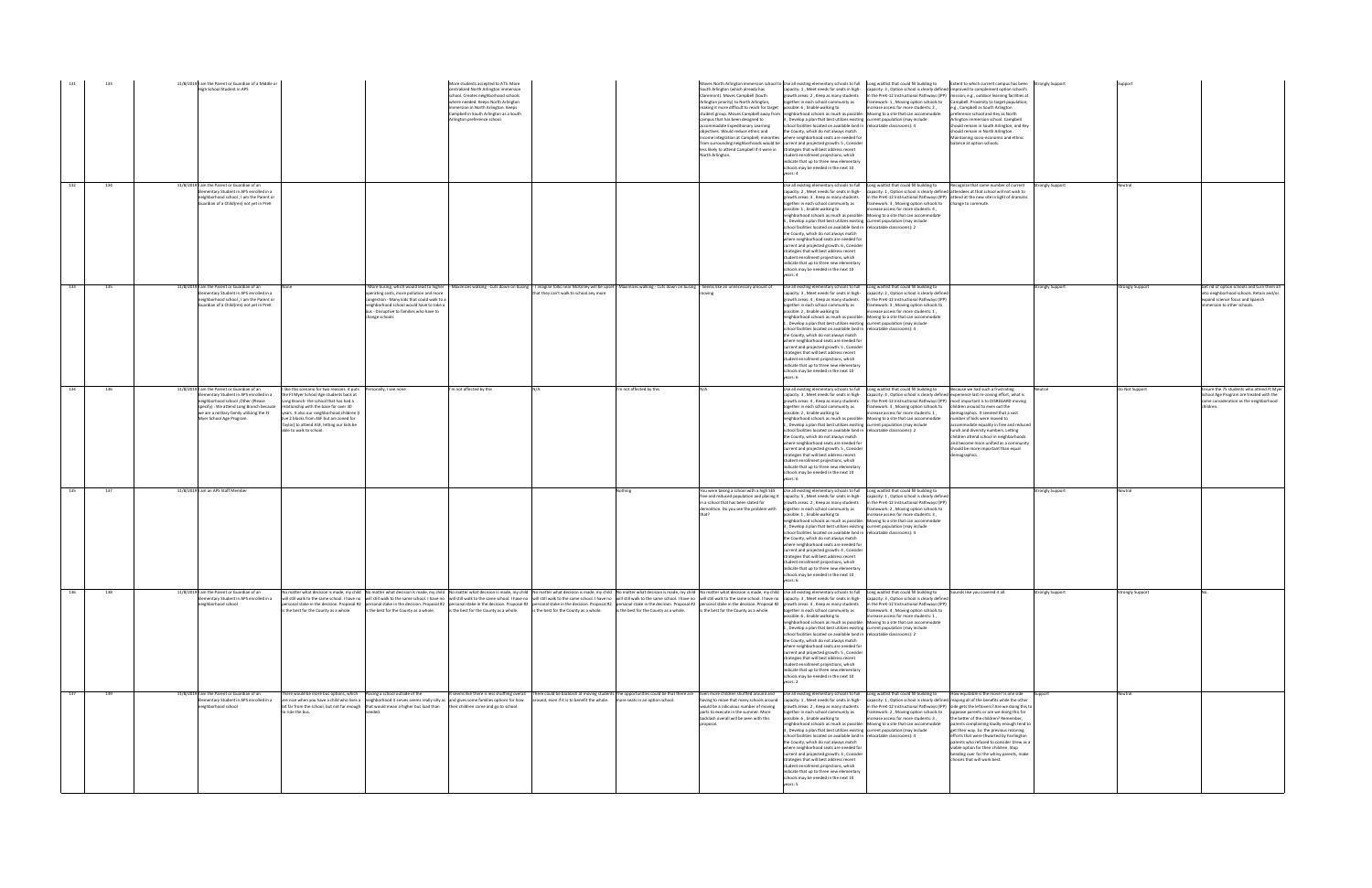|                    | 11/8/2019 I am the Parent or Guardian of a Middle or<br>133<br>High School Student in APS                                                                                                                                                                                                                                                                                                                                                                                                                                                                                                                                        | More students accepted to ATS. More<br>centralized North Arlington immersion<br>school. Creates neighborhood schools<br>vhere needed. Keeps North Arlington<br>mmersion in North Arlington. Keeps<br>Campbell in South Arlington as a South<br>Arlington preference school.                                                                                                                                                                                                                                                                                                                                                                                                                                                                                                                                                     | South Arlington (which already has<br>Claremont). Moves Campbell (South<br>Arlington priority) to North Arlington,<br>making it more difficult to reach for target possible: 6, Enable walking to<br>campus that has been designed to<br>ccommodate Expeditionary Learning<br>objectives. Would reduce ethnic and<br>North Arlington. | Moves North Arlington immersion school to Use all existing elementary schools to full Long waitlist that could fill building to<br>Extent to which current campus has been Strongly Support<br>capacity: 1, Meet needs for seats in high-capacity: 3, Option school is clearly defined improved to complement option school's<br>in the PreK-12 Instructional Pathways (IPP) mission; e.g., outdoor learning facilities at<br>growth areas: 2, Keep as many students<br>together in each school community as<br>ramework: 1, Moving option schools to<br>Campbell. Proximity to target population;<br>ncrease access for more students: 2.<br>e.g., Campbell as South Arlington<br>student group. Moves Campbell away from neighborhood schools as much as possible: Moving to a site that can accommodate<br>preference school and Key as North<br>3, Develop a plan that best utilizes existing current population (may include<br>Arlington immersion school. Campbell<br>school facilities located on available land in relocatable classrooms): 4<br>should remain in South Arlington, and Key<br>the County, which do not always match<br>should remain in North Arlington.<br>income integration at Campbell; minorities where neighborhood seats are needed for<br>Aaintaining socio-economic and ethnic<br>from surrounding neighborhoods would be current and projected growth: 5, Consider<br>balance at option schools.<br>less likely to attend Campbell if it were in strategies that will best address recent<br>student enrollment projections, which<br>indicate that up to three new elementary<br>schools may be needed in the next 10<br>years: 4                               |                                                                                                                                                                                |
|--------------------|----------------------------------------------------------------------------------------------------------------------------------------------------------------------------------------------------------------------------------------------------------------------------------------------------------------------------------------------------------------------------------------------------------------------------------------------------------------------------------------------------------------------------------------------------------------------------------------------------------------------------------|---------------------------------------------------------------------------------------------------------------------------------------------------------------------------------------------------------------------------------------------------------------------------------------------------------------------------------------------------------------------------------------------------------------------------------------------------------------------------------------------------------------------------------------------------------------------------------------------------------------------------------------------------------------------------------------------------------------------------------------------------------------------------------------------------------------------------------|---------------------------------------------------------------------------------------------------------------------------------------------------------------------------------------------------------------------------------------------------------------------------------------------------------------------------------------|-----------------------------------------------------------------------------------------------------------------------------------------------------------------------------------------------------------------------------------------------------------------------------------------------------------------------------------------------------------------------------------------------------------------------------------------------------------------------------------------------------------------------------------------------------------------------------------------------------------------------------------------------------------------------------------------------------------------------------------------------------------------------------------------------------------------------------------------------------------------------------------------------------------------------------------------------------------------------------------------------------------------------------------------------------------------------------------------------------------------------------------------------------------------------------------------------------------------------------------------------------------------------------------------------------------------------------------------------------------------------------------------------------------------------------------------------------------------------------------------------------------------------------------------------------------------------------------------------------------------------------------------------------------------------------------------------------|--------------------------------------------------------------------------------------------------------------------------------------------------------------------------------|
| 132                | 134<br>11/8/2019 I am the Parent or Guardian of an<br>ementary Student in APS enrolled in a<br>neighborhood school, I am the Parent or<br>Guardian of a Child(ren) not yet in PreK                                                                                                                                                                                                                                                                                                                                                                                                                                               |                                                                                                                                                                                                                                                                                                                                                                                                                                                                                                                                                                                                                                                                                                                                                                                                                                 |                                                                                                                                                                                                                                                                                                                                       | Use all existing elementary schools to full Long waitlist that could fill building to<br>lecognize that some number of current Strongly Support<br>acity: 1, Option school is clearly defined attendees at that school will not wish to<br>capacity: 2, Meet needs for seats in high-<br>in the PreK-12 Instructional Pathways (IPP) attend at the new site in light of dramatic<br>growth areas: 3, Keep as many students<br>together in each school community as<br>framework: 3, Moving option schools to change to commute.<br>oossible: 1, Enable walking to<br>ncrease access for more students: 4,<br>eighborhood schools as much as possible:<br>Moving to a site that can accommodate<br>5, Develop a plan that best utilizes existing current population (may include<br>school facilities located on available land in relocatable classrooms): 2<br>the County, which do not always match<br>where neighborhood seats are needed for<br>current and projected growth: 6, Consider<br>strategies that will best address recent<br>student enrollment projections, which<br>indicate that up to three new elementary<br>chools may be needed in the next 10<br>pars: 4                                                                                                                                                                                                                                                                                                                                                                                                                                                                                                                    | Veutral                                                                                                                                                                        |
| 133                | 11/8/2019 I am the Parent or Guardian of an<br>135<br>lementary Student in APS enrolled in a<br>eighborhood school, I am the Parent or<br>Guardian of a Child(ren) not yet in PreK                                                                                                                                                                                                                                                                                                                                                                                                                                               | More busing, which would lead to higher - Maximizes walking - Cuts down on busing - I imagine folks near McKinley will be upset - Maximizes walking - Cuts down on busing - Seems like an unnecessary amount of<br>operating costs, more pollution and more<br>hat they can't walk to school any more<br>congestion - Many kids that could walk to a<br>neighborhood school would have to take a<br>bus - Disruptive to families who have to<br>change schools                                                                                                                                                                                                                                                                                                                                                                  |                                                                                                                                                                                                                                                                                                                                       | Use all existing elementary schools to full Long waitlist that could fill building to<br><b>Strongly Support</b><br>capacity: 3, Meet needs for seats in high-<br>capacity: 2, Option school is clearly defined<br>growth areas: 4, Keep as many students<br>in the PreK-12 Instructional Pathways (IPP<br>framework: 3, Moving option schools to<br>together in each school community as<br>possible: 2, Enable walking to<br>ncrease access for more students: 1,<br>neighborhood schools as much as possible: Moving to a site that can accommodate<br>., Develop a plan that best utilizes existing current population (may include<br>school facilities located on available land in relocatable classrooms): 4<br>the County, which do not always match<br>where neighborhood seats are needed for<br>current and projected growth: 5, Consider<br>trategies that will best address recent<br>student enrollment projections, which<br>indicate that up to three new elementary<br>schools may be needed in the next 10<br>years: 6                                                                                                                                                                                                                                                                                                                                                                                                                                                                                                                                                                                                                                                           | Strongly Support<br>Get rid of option schools and turn them all<br>into neighborhood schools. Retain and/or<br>expand science focus and Spanish<br>immersion to other schools. |
| 134                | 11/8/2019 I am the Parent or Guardian of an<br>I like this scenario for two reasons: it puts Personally, I see none<br>136<br>lementary Student in APS enrolled in a<br>the Ft Myer School Age students back at<br>eighborhood school , Other (Please<br>Long Branch- the school that has had a<br>specify): We attend Long Branch because<br>relationship with the base for over 30<br>we are a military family utilizing the Ft<br>years. It also our neighborhood children (I<br>Myer School Age Program.<br>live 2 blocks from ASF but am zoned for<br>Taylor) to attend ASF, letting our kids be<br>able to walk to school. | I'm not affected by this                                                                                                                                                                                                                                                                                                                                                                                                                                                                                                                                                                                                                                                                                                                                                                                                        | I'm not affected by this                                                                                                                                                                                                                                                                                                              | Use all existing elementary schools to full Long waitlist that could fill building to<br>Because we had such a frustrating<br>Neutral<br>capacity: 3, Meet needs for seats in high- capacity: 4, Option school is clearly defined experience last re-zoning effort, what is<br>growth areas: 4, Keep as many students<br>in the PreK-12 Instructional Pathways (IPP) most important is to DISREGARD moving<br>together in each school community as<br>framework: 3, Moving option schools to<br>children around to even out the<br>increase access for more students: 1,<br>emographics. It seemed that a vast<br>possible: 2. Enable walking to<br>neighborhood schools as much as possible: Moving to a site that can accommodate<br>number of kids were moved to<br>. Develop a plan that best utilizes existing current population (may include<br>ccommodate equality in free and reduced<br>school facilities located on available land in relocatable classrooms): 2<br>unch and diversity numbers. Letting<br>the County, which do not always match<br>children attend school in neighborhoods<br>where neighborhood seats are needed for<br>and become more unified as a community<br>current and projected growth: 5, Consider<br>should be more important than equal<br>trategies that will best address recent<br>demographics.<br>student enrollment projections, which<br>indicate that up to three new elementary<br>schools may be needed in the next 10<br>vears: 6                                                                                                                                                                                                                | Do Not Support<br>Ensure the 75 students who attend Ft Myer<br>School Age Program are treated with the<br>same consideration as the neighborhood<br>children.                  |
| $\overline{1}$ 135 | 11/8/2019 I am an APS Staff Member<br>137                                                                                                                                                                                                                                                                                                                                                                                                                                                                                                                                                                                        |                                                                                                                                                                                                                                                                                                                                                                                                                                                                                                                                                                                                                                                                                                                                                                                                                                 | Nothing<br>in a school that has been slated for                                                                                                                                                                                                                                                                                       | You were taking a school with a high SES   Use all existing elementary schools to full   Long waitlist that could fill building to<br><b>Strongly Support</b><br>free and reduced population and placing it capacity: 5, Meet needs for seats in high-<br>capacity: 1, Option school is clearly defined<br>growth areas: 2, Keep as many students<br>in the PreK-12 Instructional Pathways (IPP)<br>demolition. Do you see the problem with together in each school community as<br>ramework: 2, Moving option schools to<br>possible: 1, Enable walking to<br>rease access for more students: 3,<br>neighborhood schools as much as possible: Moving to a site that can accommodate<br>3, Develop a plan that best utilizes existing current population (may include<br>school facilities located on available land in relocatable classrooms): 4<br>the County, which do not always match<br>where neighborhood seats are needed for<br>current and projected growth: 4, Consider<br>strategies that will best address recent<br>student enrollment projections, which<br>indicate that up to three new elementary<br>schools may be needed in the next 10<br>years: 6                                                                                                                                                                                                                                                                                                                                                                                                                                                                                                                            | Neutral                                                                                                                                                                        |
| 136                | 11/8/2019 I am the Parent or Guardian of an<br>138<br>lementary Student in APS enrolled in a<br>neighborhood school<br>is the best for the County as a whole.                                                                                                                                                                                                                                                                                                                                                                                                                                                                    | No matter what decision is made, my child No matter what decision is made, my child No matter what decision is made, my child No matter what decision is made, my child No matter what decision is made, my child No matter wh<br>will still walk to the same school. I have no will still walk to the same school. I have no will still walk to the same school. I have no will still walk to the same school. I have no will still walk to the same school. I<br>nersonal stake in the decision. Proposal #2 personal stake in the decision. Proposal #2 personal stake in the decision. Proposal #2 personal stake in the decision. Proposal #2 personal stake in the decision. Proposal #2 pe<br>is the best for the County as a whole.<br>is the best for the County as a whole.<br>is the best for the County as a whole. | is the best for the County as a whole.<br>is the best for the County as a whole.                                                                                                                                                                                                                                                      | ounds like you covered it all.<br>trongly Support<br>capacity: 3, Option school is clearly defined<br>in the PreK-12 Instructional Pathways (IPP)<br>together in each school community as<br>framework: 4, Moving option schools to<br>ncrease access for more students: 1.<br>possible: 6 . Enable walking to<br>neighborhood schools as much as possible:<br>Moving to a site that can accommodate<br>1. Develop a plan that best utilizes existing current population (may include<br>school facilities located on available land in relocatable classrooms): 2<br>the County, which do not always match<br>where neighborhood seats are needed for<br>current and projected growth: 5, Consider<br>strategies that will best address recent<br>student enrollment projections, which<br>indicate that up to three new elementary<br>schools may be needed in the next 10<br>rears: 2                                                                                                                                                                                                                                                                                                                                                                                                                                                                                                                                                                                                                                                                                                                                                                                                            | <b>Strongly Support</b>                                                                                                                                                        |
| 137                | 139<br>11/8/2019 I am the Parent or Guardian of an<br>lementary Student in APS enrolled in a<br>leighborhood school<br>to ride the bus.                                                                                                                                                                                                                                                                                                                                                                                                                                                                                          | here would be more bus options, which Placing a school outside of the<br>are nice when you have a child who lives a neighborhood it serves seems really silly as and gives some families options for how<br>around, even if it is to benefit the whole. more seats in an option school.<br>bit far from the school, but not far enough that would mean a higher bus load than their children come and go to school.                                                                                                                                                                                                                                                                                                                                                                                                             | having to move that many schools around<br>would be a ridiculous number of moving<br>parts to execute in the summer. More<br>backlash overall will be seen with this<br>proposal.                                                                                                                                                     | t seems like there is less shuffling overall There could be backlash at moving students The opportunities could be that there are Even more children shuffled around and Use all existing elementary schools to full Long wait<br>How equitable is the move? Is one side Support<br>capacity: 1, Meet needs for seats in high-<br>capacity: 1, Option school is clearly defined reaping all of the benefits while the other<br>growth areas: 2, Keep as many students<br>in the PreK-12 Instructional Pathways (IPP) side gets the leftovers? Are we doing this to<br>together in each school community as<br>framework: 2, Moving option schools to<br>appease parents or are we doing this for<br>possible: 6, Enable walking to<br>increase access for more students: 3,<br>the better of the children? Remember,<br>neighborhood schools as much as possible: Moving to a site that can accommodate<br>parents complaining loudly enough tend to<br>4, Develop a plan that best utilizes existing current population (may include<br>get their way. Ex: the previous rezoning<br>school facilities located on available land in relocatable classrooms): 4<br>efforts that were thwarted by Fairlington<br>the County, which do not always match<br>parents who refused to consider Drew as a<br>where neighborhood seats are needed for<br>viable option for their children. Stop<br>current and projected growth: 3, Consider<br>bending over for the whiny parents, make<br>trategies that will best address recent<br>choices that will work best.<br>student enrollment projections, which<br>indicate that up to three new elementary<br>schools may be needed in the next 10<br>rears: 5 | Neutral                                                                                                                                                                        |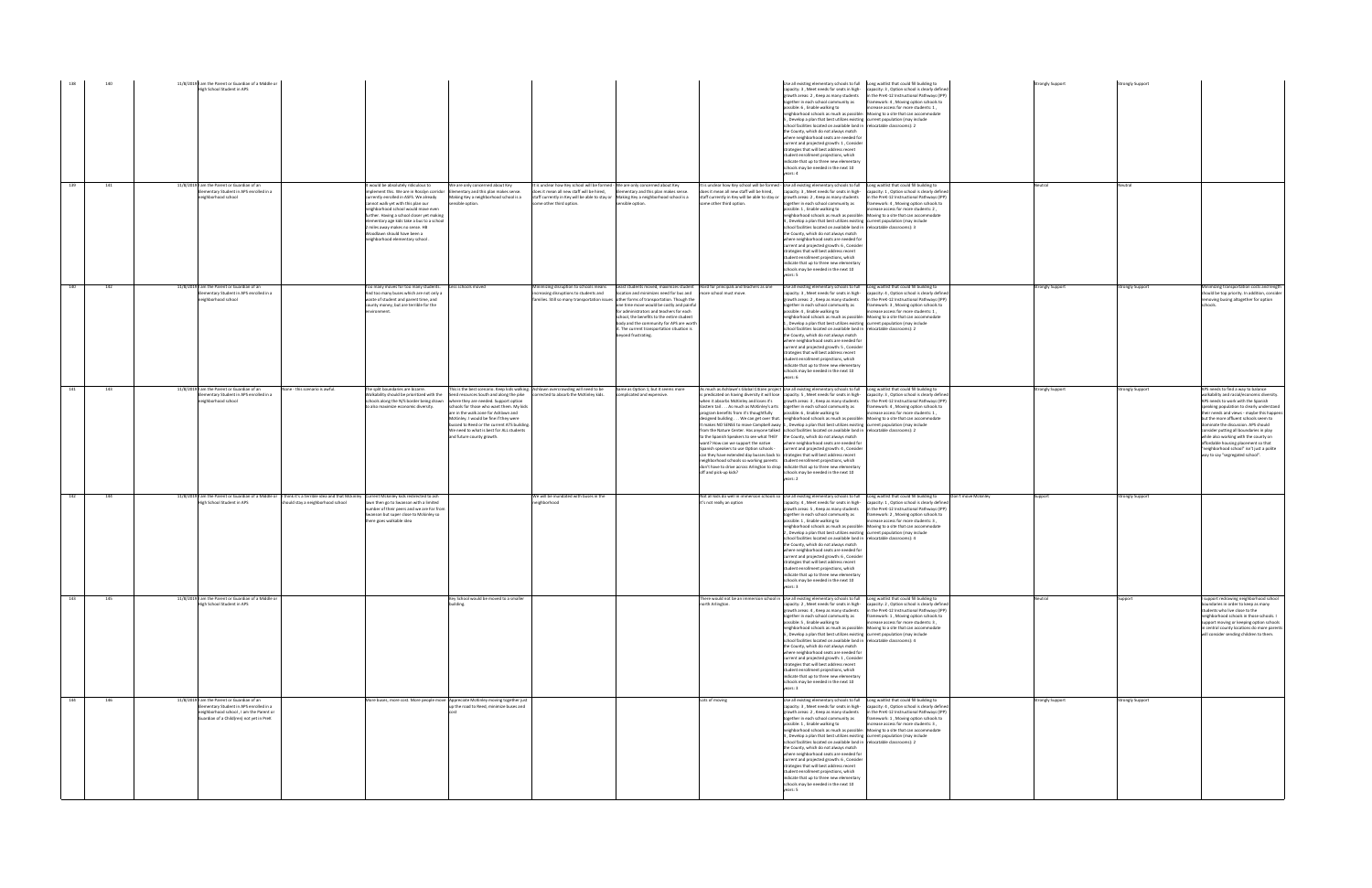|     | 140 | 11/8/2019 I am the Parent or Guardian of a Middle or<br>High School Student in APS                                                                                            |                                                                                                                                                                                      |                                                                                                                                                                                                                                                                                                                                                                                                           |                                                                                                                                                                                                                                                                                                                                                                                                                              |                                                                                                                                                                                                                                                |                                                                                                                                                                                                                                                                                                                                                                                       |                                                                                                                                                                                                                                                                                                                                                                                                                                                                                                                                                                                            | Use all existing elementary schools to full Long waitlist that could fill building to<br>apacity: 3, Meet needs for seats in high-<br>growth areas: 2. Keep as many students<br>together in each school community as<br>possible: 6 . Enable walking to<br>eighborhood schools as much as possible:<br>5, Develop a plan that best utilizes existing current population (may include<br>school facilities located on available land in<br>the County, which do not always match<br>where neighborhood seats are needed for<br>urrent and projected growth: 1, Consider<br>strategies that will best address recent<br>student enrollment projections, which<br>indicate that up to three new elementary<br>chools may be needed in the next 10<br>years: 4   | apacity: 3, Option school is clearly defined<br>1 the PreK-12 Instructional Pathways (IPP)<br>ramework: 4, Moving option schools to<br>ncrease access for more students: 1,<br>Moving to a site that can accommodate<br>relocatable classrooms): 2                                                                                   |                     |
|-----|-----|-------------------------------------------------------------------------------------------------------------------------------------------------------------------------------|--------------------------------------------------------------------------------------------------------------------------------------------------------------------------------------|-----------------------------------------------------------------------------------------------------------------------------------------------------------------------------------------------------------------------------------------------------------------------------------------------------------------------------------------------------------------------------------------------------------|------------------------------------------------------------------------------------------------------------------------------------------------------------------------------------------------------------------------------------------------------------------------------------------------------------------------------------------------------------------------------------------------------------------------------|------------------------------------------------------------------------------------------------------------------------------------------------------------------------------------------------------------------------------------------------|---------------------------------------------------------------------------------------------------------------------------------------------------------------------------------------------------------------------------------------------------------------------------------------------------------------------------------------------------------------------------------------|--------------------------------------------------------------------------------------------------------------------------------------------------------------------------------------------------------------------------------------------------------------------------------------------------------------------------------------------------------------------------------------------------------------------------------------------------------------------------------------------------------------------------------------------------------------------------------------------|--------------------------------------------------------------------------------------------------------------------------------------------------------------------------------------------------------------------------------------------------------------------------------------------------------------------------------------------------------------------------------------------------------------------------------------------------------------------------------------------------------------------------------------------------------------------------------------------------------------------------------------------------------------------------------------------------------------------------------------------------------------|--------------------------------------------------------------------------------------------------------------------------------------------------------------------------------------------------------------------------------------------------------------------------------------------------------------------------------------|---------------------|
| 139 | 141 | 11/8/2019 I am the Parent or Guardian of an<br>Elementary Student in APS enrolled in a<br>eighborhood school                                                                  |                                                                                                                                                                                      | It would be absolutely ridiculous to<br>implement this. We are in Rosslyn corridor<br>urrently enrolled in ASFS. We already<br>cannot walk yet with this plan our<br>neighborhood school would move even<br>further. Having a school closer yet making<br>elementary age kids take a bus to a school<br>2 miles away makes no sense. HB<br>Woodlawn should have been a<br>neighborhood elementary school. | We are only concerned about Key<br>Elementary and this plan makes sense.<br>Making Key a neighborhood school is a<br>nsible option.                                                                                                                                                                                                                                                                                          | It is unclear how Key school will be formed - We are only concerned about Key<br>does it mean all new staff will be hired.<br>staff currently in Key will be able to stay or Making Key a neighborhood school is a<br>some other third option. | Elementary and this plan makes sense.<br>ensible option.                                                                                                                                                                                                                                                                                                                              | oes it mean all new staff will be hired.<br>taff currently in Key will be able to stay or<br>ome other third option.                                                                                                                                                                                                                                                                                                                                                                                                                                                                       | t is unclear how Key school will be formed - Use all existing elementary schools to full<br>capacity: 3, Meet needs for seats in high-<br>owth areas: 2, Keep as many students<br>ogether in each school community as<br>possible: 1, Enable walking to<br>neighborhood schools as much as possible:<br>, Develop a plan that best utilizes existing current population (may include<br>school facilities located on available land in<br>the County, which do not always match<br>where neighborhood seats are needed for<br>current and projected growth: 6, Consider<br>rategies that will best address recent<br>tudent enrollment projections, which<br>indicate that up to three new elementary<br>schools may be needed in the next 10<br>years: 5    | Long waitlist that could fill building to<br>capacity: 1 . Option school is clearly defined<br>n the PreK-12 Instructional Pathways (IPP)<br>ramework: 4, Moving option schools to<br>ncrease access for more students: 2,<br>Moving to a site that can accommodate<br>elocatable classrooms): 3                                     |                     |
| 140 | 142 | 11/8/2019 I am the Parent or Guardian of an<br>Elementary Student in APS enrolled in a<br>eighborhood school                                                                  |                                                                                                                                                                                      | Too many moves for too many students.<br>And too many buses which are not only a<br>waste of student and parent time, and<br>county money, but are terrible for the<br>nvironment.                                                                                                                                                                                                                        | Less schools moved                                                                                                                                                                                                                                                                                                                                                                                                           | Minimizing disruption to schools means<br>increasing disruptions to students and<br>families. Still so many transportation issues                                                                                                              | Least students moved, maximizes student<br>location and minimizes need for bus and<br>other forms of transportation. Though the<br>one time move would be costly and painfu<br>for administrators and teachers for each<br>school, the benefits to the entire student<br>body and the community for APS are worth<br>: The current transportation situation is<br>beyond frustrating. | Hard for principals and teachers as one<br>ore school must move                                                                                                                                                                                                                                                                                                                                                                                                                                                                                                                            | Use all existing elementary schools to full<br>capacity: 3, Meet needs for seats in high-<br>growth areas: 2, Keep as many students<br>ogether in each school community as<br>possible: 4 . Enable walking to<br>neighborhood schools as much as possible:<br>1, Develop a plan that best utilizes existing current population (may include<br>chool facilities located on available land in<br>the County, which do not always match<br>where neighborhood seats are needed for<br>current and projected growth: 5, Consider<br>strategies that will best address recent<br>udent enrollment projections, which<br>indicate that up to three new elementary<br>schools may be needed in the next 10<br>vears: 6                                             | Long waitlist that could fill building to<br>capacity: 4, Option school is clearly defined<br>in the PreK-12 Instructional Pathways (IPP)<br>amework: 3, Moving option schools to<br>ncrease access for more students: 1.<br>Moving to a site that can accommodate<br>relocatable classrooms): 2                                     |                     |
| 141 | 143 | 11/8/2019 I am the Parent or Guardian of an<br>Elementary Student in APS enrolled in a<br>neighborhood school                                                                 | None - this scenario is awful.                                                                                                                                                       | The split boundaries are bizarre.<br>Walkability should be prioritized with the<br>schools along the N/S border being drawn<br>to also maximize economic diversity.                                                                                                                                                                                                                                       | This is the best scenario. Keep kids walking. Ashlawn overcrowding will need to be<br>Send resources South and along the pike<br>where they are needed. Support option<br>schools for those who want them. My kids<br>are in the walk zone for Ashlawn and<br>McKinley. I would be fine if they were<br>bussed to Reed or the current ATS building.<br>We need to what is best for ALL students<br>and future county growth. | corrected to absorb the McKinley kids.                                                                                                                                                                                                         | Same as Option 1, but it seems more<br>complicated and expensive                                                                                                                                                                                                                                                                                                                      | when it absorbs McKinley and loses it's<br>Eastern tail As much as McKinley's arts together in each school community as<br>orogram benefits from it's thoughtfully<br>to the Spanish Speakers to see what THEY<br>vant? How can we support the native<br>Spanish speakers to use Option schools -<br>can they have extended day busses back to strategies that will best address recent<br>neighborhood schools so working parents student enrollment projections, which<br>don't have to drive across Arlington to drop indicate that up to three new elementary<br>off and pick-up kids? | As much as Ashlawn's Global Citizen project Use all existing elementary schools to full<br>s predicated on having diversity it will lose capacity: 5, Meet needs for seats in high-<br>growth areas: 3, Keep as many students<br>ossible: 6, Enable walking to<br>designed building We can get over that. neighborhood schools as much as possible:<br>It makes NO SENSE to move Campbell away 1, Develop a plan that best utilizes existing current population (may include<br>from the Nature Center. Has anyone talked school facilities located on available land in<br>the County, which do not always match<br>here neighborhood seats are needed for<br>current and projected growth: 4. Consider<br>schools may be needed in the next 10<br>years: 2 | Long waitlist that could fill building to<br>capacity: 3 . Option school is clearly defined<br>in the PreK-12 Instructional Pathways (IPP)<br>framework: 4, Moving option schools to<br>ncrease access for more students: 1,<br>Moving to a site that can accommodate<br>relocatable classrooms): 2                                  |                     |
| 142 | 144 | High School Student in APS                                                                                                                                                    | 11/8/2019   am the Parent or Guardian of a Middle or   I think it's a terrible idea and that Mckinley   Current Mckinley kids redirected to ash<br>should stay a neighborhood school | lawn then go to Swanson with a limited<br>number of their peers and we are Far from<br>Swanson but super close to Mckinley so<br>here goes walkable idea                                                                                                                                                                                                                                                  |                                                                                                                                                                                                                                                                                                                                                                                                                              | We will be inundated with buses in the<br>heighborhood                                                                                                                                                                                         |                                                                                                                                                                                                                                                                                                                                                                                       | it's not really an option                                                                                                                                                                                                                                                                                                                                                                                                                                                                                                                                                                  | Not all kids do well in immersion schools so Use all existing elementary schools to full<br>capacity: 4, Meet needs for seats in high-<br>growth areas: 5, Keep as many students<br>together in each school community as<br>ossible: 1, Enable walking to<br>eighborhood schools as much as possible:<br>2, Develop a plan that best utilizes existing current population (may include<br>school facilities located on available land in<br>the County, which do not always match<br>where neighborhood seats are needed for<br>current and projected growth: 6 . Consider<br>strategies that will best address recent<br>student enrollment projections, which<br>indicate that up to three new elementary<br>nay be needed in the next 10<br>years: 3      | Long waitlist that could fill building to<br>capacity: 1 . Option school is clearly defined<br>in the PreK-12 Instructional Pathways (IPP)<br>framework: 2, Moving option schools to<br>ncrease access for more students: 3,<br>Moving to a site that can accommodate<br>relocatable classrooms): 4                                  | Don't move Mckinley |
| 143 | 145 | 11/8/2019 am the Parent or Guardian of a Middle or<br>High School Student in APS                                                                                              |                                                                                                                                                                                      |                                                                                                                                                                                                                                                                                                                                                                                                           | Key School would be moved to a smaller<br>building.                                                                                                                                                                                                                                                                                                                                                                          |                                                                                                                                                                                                                                                |                                                                                                                                                                                                                                                                                                                                                                                       | north Arlington.                                                                                                                                                                                                                                                                                                                                                                                                                                                                                                                                                                           | There would not be an immersion school in Use all existing elementary schools to full<br>apacity: 2, Meet needs for seats in high-<br>growth areas: 4, Keep as many students<br>together in each school community as<br>possible: 5, Enable walking to<br>neighborhood schools as much as possible:<br>6, Develop a plan that best utilizes existing<br>school facilities located on available land in<br>the County, which do not always match<br>where neighborhood seats are needed for<br>current and projected growth: 1, Consider<br>strategies that will best address recent<br>student enrollment projections, which<br>indicate that up to three new elementary<br>schools may be needed in the next 10<br>years: 3                                 | Long waitlist that could fill building to<br>apacity: 2, Option school is clearly defined<br>in the PreK-12 Instructional Pathways (IPP)<br>framework: 1, Moving option schools to<br>ncrease access for more students: 3.<br>Moving to a site that can accommodate<br>current population (may include<br>relocatable classrooms): 4 |                     |
| 144 | 146 | 11/8/2019 I am the Parent or Guardian of an<br>Elementary Student in APS enrolled in a<br>neighborhood school, I am the Parent or<br>Guardian of a Child(ren) not yet in PreK |                                                                                                                                                                                      |                                                                                                                                                                                                                                                                                                                                                                                                           | More buses, more cost. More people move Appreciate McKinley moving together just<br>un the road to Reed, minimize buses and                                                                                                                                                                                                                                                                                                  |                                                                                                                                                                                                                                                |                                                                                                                                                                                                                                                                                                                                                                                       | Lots of moving                                                                                                                                                                                                                                                                                                                                                                                                                                                                                                                                                                             | Use all existing elementary schools to full<br>capacity: 3, Meet needs for seats in high-<br>rowth areas: 2, Keep as many students<br>together in each school community as<br>possible: 1, Enable walking to<br>neighborhood schools as much as possible:<br>pevelop a plan that best utilizes existing current population (may include<br>chool facilities located on available land in<br>the County, which do not always match<br>where neighborhood seats are needed for<br>current and projected growth: 6, Consider<br>strategies that will best address recent<br>student enrollment projections, which<br>indicate that up to three new elementary<br>schools may be needed in the next 10<br>vears: 5                                               | Long waitlist that could fill building to<br>capacity: 4 . Option school is clearly defined<br>n the PreK-12 Instructional Pathways (IPP<br>framework: 1, Moving option schools to<br>increase access for more students: 3,<br>Moving to a site that can accommodate<br>relocatable classrooms): 2                                   |                     |

|                     | <b>Strongly Support</b> | <b>Strongly Support</b> |                                                                                        |
|---------------------|-------------------------|-------------------------|----------------------------------------------------------------------------------------|
|                     |                         |                         |                                                                                        |
|                     |                         |                         |                                                                                        |
|                     |                         |                         |                                                                                        |
|                     |                         |                         |                                                                                        |
|                     |                         |                         |                                                                                        |
|                     |                         |                         |                                                                                        |
|                     |                         |                         |                                                                                        |
|                     |                         |                         |                                                                                        |
|                     |                         |                         |                                                                                        |
|                     |                         |                         |                                                                                        |
|                     | Neutral                 | Neutral                 |                                                                                        |
|                     |                         |                         |                                                                                        |
|                     |                         |                         |                                                                                        |
|                     |                         |                         |                                                                                        |
|                     |                         |                         |                                                                                        |
|                     |                         |                         |                                                                                        |
|                     |                         |                         |                                                                                        |
|                     |                         |                         |                                                                                        |
|                     |                         |                         |                                                                                        |
|                     |                         |                         |                                                                                        |
|                     | <b>Strongly Support</b> | <b>Strongly Support</b> | Minimizing transportation costs and length                                             |
|                     |                         |                         | should be top priority. In addition, consider<br>removing busing altogether for option |
|                     |                         |                         | schools.                                                                               |
|                     |                         |                         |                                                                                        |
|                     |                         |                         |                                                                                        |
|                     |                         |                         |                                                                                        |
|                     |                         |                         |                                                                                        |
|                     |                         |                         |                                                                                        |
|                     |                         |                         |                                                                                        |
|                     |                         |                         |                                                                                        |
|                     |                         |                         |                                                                                        |
|                     | <b>Strongly Support</b> | <b>Strongly Support</b> | APS needs to find a way to balance<br>walkability and racial/economic diversity.       |
|                     |                         |                         | APS needs to work with the Spanish<br>speaking population to clearly understand        |
|                     |                         |                         | their needs and views - maybe this happens                                             |
|                     |                         |                         | but the more affluent schools seem to<br>dominate the discussion. APS should           |
|                     |                         |                         | consider putting all boundaries in play<br>while also working with the county on       |
|                     |                         |                         | affordable housing placement so that                                                   |
|                     |                         |                         | "neighborhood school" isn't just a polite<br>way to say "segregated school".           |
|                     |                         |                         |                                                                                        |
|                     |                         |                         |                                                                                        |
|                     |                         |                         |                                                                                        |
| Don't move Mckinley | Support                 | <b>Strongly Support</b> |                                                                                        |
|                     |                         |                         |                                                                                        |
|                     |                         |                         |                                                                                        |
|                     |                         |                         |                                                                                        |
|                     |                         |                         |                                                                                        |
|                     |                         |                         |                                                                                        |
|                     |                         |                         |                                                                                        |
|                     |                         |                         |                                                                                        |
|                     |                         |                         |                                                                                        |
|                     |                         |                         |                                                                                        |
|                     |                         |                         |                                                                                        |
|                     | Neutral                 | Support                 | I support redrawing neighborhood school<br>boundaries in order to keep as many         |
|                     |                         |                         | students who live close to the<br>neighborhood schools in those schools. I             |
|                     |                         |                         | support moving or keeping option schools                                               |
|                     |                         |                         | in central county locations do more parents<br>will consider sending children to them. |
|                     |                         |                         |                                                                                        |
|                     |                         |                         |                                                                                        |
|                     |                         |                         |                                                                                        |
|                     |                         |                         |                                                                                        |
|                     |                         |                         |                                                                                        |
|                     |                         |                         |                                                                                        |
|                     | <b>Strongly Support</b> | <b>Strongly Support</b> |                                                                                        |
|                     |                         |                         |                                                                                        |
|                     |                         |                         |                                                                                        |
|                     |                         |                         |                                                                                        |
|                     |                         |                         |                                                                                        |
|                     |                         |                         |                                                                                        |
|                     |                         |                         |                                                                                        |
|                     |                         |                         |                                                                                        |
|                     |                         |                         |                                                                                        |
|                     |                         |                         |                                                                                        |
|                     |                         |                         |                                                                                        |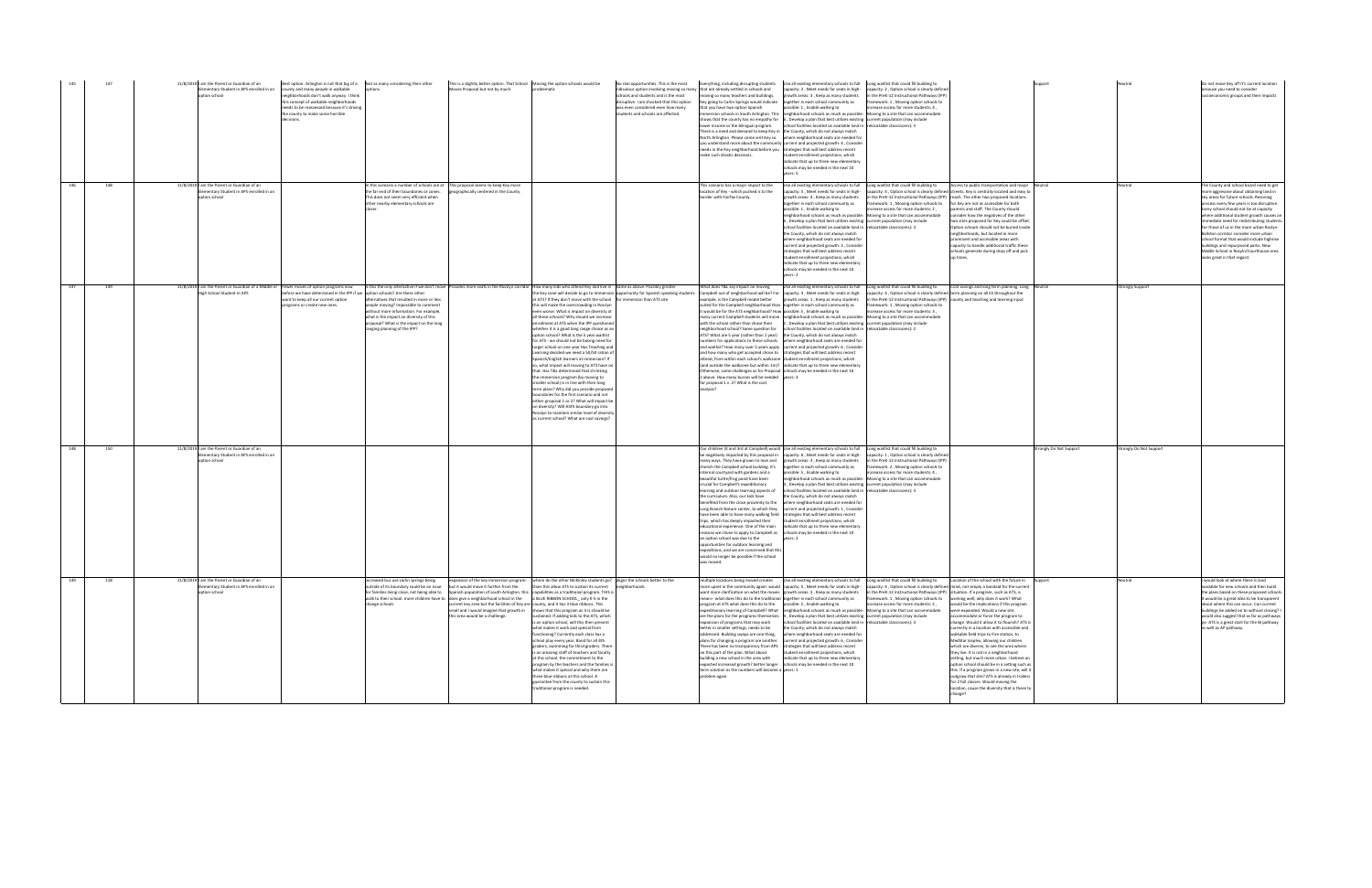| 145 |     | 11/8/2019 I am the Parent or Guardian of an<br>Elementary Student in APS enrolled in an county and many people in walkable<br>option school | Best option. Arlington is not that big of a Not as many considering their other<br>neighborhoods don't walk anyway. I think<br>is concept of walkable neighborhoods<br>needs to be reassessed because it's driving<br>he county to make some horrible |                                                                                                                                                                                                                                                     | This is a slightly better option. That School Moving the option schools would be<br>Moves Proposal but not by much.       | problematic                                                                                                                                                                                                                                                                                                                                                                                                                                                                                                                                                                                                                                                                                                                                                                                                                                                                                                                                                                                                                                                                                                                                                                             | No real opportunities. This is the most<br>ridiculous option involving moving so many that are already settled in schools and<br>schools and students and is the most<br>lisruptive. I am shocked that this option<br>was even considered even how many<br>students and schools are affected. | oving so many teachers and buildings.<br>ey going to Carlin Springs would indicate<br>that you have two option Spanish<br>lower income or the bilingual program.<br>There is a need and demand to keep Key in the County, which do not always match<br>needs in the Key neighborhood before you strategies that will best address recent<br>make such drastic decisions.                                                                                                                                                                                                                                                                                                                                                                                                                                                                                                                                                | Everything, including disrupting students Use all existing elementary schools to full Long waitlist that could fill building to<br>capacity: 2, Meet needs for seats in high- capacity: 2, Option school is clearly defined<br>growth areas: 3, Keep as many students<br>together in each school community as<br>possible: 1 . Enable walking to<br>immersion schools in South Arlington. This neighborhood schools as much as possible: Moving to a site that can accommodate<br>shows that the county has no empathy for 6, Develop a plan that best utilizes existing current population (may include<br>school facilities located on available land in relocatable classrooms): 3<br>North Arlington. Please come visit Key so where neighborhood seats are needed for<br>you understand more about the community current and projected growth: 4, Consider<br>tudent enrollment projections, which<br>indicate that up to three new elementary<br>chools may be needed in the next 10<br>ears: 5 | in the PreK-12 Instructional Pathways (IPP)<br>mework: 1, Moving option schools to<br>crease access for more students: 4.                                                                                                                                  |                                                                                                                                                                                                                                                                                                                                                                                                                                                                                                                                                                                                                                                                                                        |                       |                      | Do not move Key off it's current location<br>because you need to consider<br>socioeconomic groups and their impacts                                                                                                                                                                                                                                                                                                                                                                                                                                             |
|-----|-----|---------------------------------------------------------------------------------------------------------------------------------------------|-------------------------------------------------------------------------------------------------------------------------------------------------------------------------------------------------------------------------------------------------------|-----------------------------------------------------------------------------------------------------------------------------------------------------------------------------------------------------------------------------------------------------|---------------------------------------------------------------------------------------------------------------------------|-----------------------------------------------------------------------------------------------------------------------------------------------------------------------------------------------------------------------------------------------------------------------------------------------------------------------------------------------------------------------------------------------------------------------------------------------------------------------------------------------------------------------------------------------------------------------------------------------------------------------------------------------------------------------------------------------------------------------------------------------------------------------------------------------------------------------------------------------------------------------------------------------------------------------------------------------------------------------------------------------------------------------------------------------------------------------------------------------------------------------------------------------------------------------------------------|-----------------------------------------------------------------------------------------------------------------------------------------------------------------------------------------------------------------------------------------------------------------------------------------------|-------------------------------------------------------------------------------------------------------------------------------------------------------------------------------------------------------------------------------------------------------------------------------------------------------------------------------------------------------------------------------------------------------------------------------------------------------------------------------------------------------------------------------------------------------------------------------------------------------------------------------------------------------------------------------------------------------------------------------------------------------------------------------------------------------------------------------------------------------------------------------------------------------------------------|-------------------------------------------------------------------------------------------------------------------------------------------------------------------------------------------------------------------------------------------------------------------------------------------------------------------------------------------------------------------------------------------------------------------------------------------------------------------------------------------------------------------------------------------------------------------------------------------------------------------------------------------------------------------------------------------------------------------------------------------------------------------------------------------------------------------------------------------------------------------------------------------------------------------------------------------------------------------------------------------------------|------------------------------------------------------------------------------------------------------------------------------------------------------------------------------------------------------------------------------------------------------------|--------------------------------------------------------------------------------------------------------------------------------------------------------------------------------------------------------------------------------------------------------------------------------------------------------------------------------------------------------------------------------------------------------------------------------------------------------------------------------------------------------------------------------------------------------------------------------------------------------------------------------------------------------------------------------------------------------|-----------------------|----------------------|-----------------------------------------------------------------------------------------------------------------------------------------------------------------------------------------------------------------------------------------------------------------------------------------------------------------------------------------------------------------------------------------------------------------------------------------------------------------------------------------------------------------------------------------------------------------|
| 146 | 148 | 11/8/2019 I am the Parent or Guardian of an<br>lementary Student in APS enrolled in an<br>option school                                     |                                                                                                                                                                                                                                                       | n this scenario a number of schools are at This proposal seems to keep Key more<br>the far end of their boundaries or zones.<br>This does not seem very efficient when<br>other nearby elementary schools are                                       | geographically centered in the County.                                                                                    |                                                                                                                                                                                                                                                                                                                                                                                                                                                                                                                                                                                                                                                                                                                                                                                                                                                                                                                                                                                                                                                                                                                                                                                         |                                                                                                                                                                                                                                                                                               | his scenario has a major impact to the<br>location of Key - which pushed is to the<br>border with Fairfax County.                                                                                                                                                                                                                                                                                                                                                                                                                                                                                                                                                                                                                                                                                                                                                                                                       | Use all existing elementary schools to full Long waitlist that could fill building to<br>capacity: 5, Meet needs for seats in high-<br>growth areas: 4, Keep as many students<br>ogether in each school community as<br>ossible: 1, Enable walking to<br>eighborhood schools as much as possible: Moving to a site that can accommodate<br>, Develop a plan that best utilizes existing current population (may include<br>chool facilities located on available land in relocatable classrooms): 3<br>e County, which do not always match<br>vhere neighborhood seats are needed for<br>current and projected growth: 3, Consider<br>trategies that will best address recent<br>tudent enrollment projections, which<br>ndicate that up to three new elementary<br>chools may be needed in the next 10<br>ears: 2                                                                                                                                                                                    | in the PreK-12 Instructional Pathways (IPP) reach. The other two proposed locations<br>amework: 1, Moving option schools to for Key are not as accessible for both<br>crease access for more students: 2,                                                  | Access to public transportation and major Neutral<br>capacity: 4 . Option school is clearly defined streets. Key is centrally located and easy to<br>arents and staff. The County should<br>consider how the negatives of the other<br>two sites proposed for Key could be offset.<br>Option schools should not be buried inside<br>neighborhoods, but located in more<br>ominent and accessible areas with<br>capacity to handle additional traffic these<br>schools generate during drop off and pick<br>up times.                                                                                                                                                                                   |                       |                      | The County and school board need to get<br>more aggressive about obtaining land in<br>key areas for future schools. Rezoning<br>process every few vears is too disruptive<br>very school should not be at capacity<br>where additional student growth causes an<br>mmediate need for redistributing students.<br>For those of us in the more urban Roslyn-<br>Ilston corridor consider more urban<br>school format that would include highrise<br>buildings and repurposed parks. New<br>Middle School in Rosyln/Courthouse area<br>looks great in that regard. |
| 147 | 149 | 11/8/2019 I am the Parent or Guardian of a Middle or Fewer moves of option programs now<br>High School Student in APS                       | efore we have determined in the IPP if we option schools? Are there other<br>want to keep all our current option<br>programs or create new ones.                                                                                                      | alternatives that resulted in more or less<br>people moving? Impossible to comment<br>vithout more information. For example,<br>what is the impact on diversity of this<br>proposal? What is the impact on the long<br>ranging planning of the IPP? |                                                                                                                           | Is this the only alternative if we don't move Provides more seats in the Rosslyn corridor How many kids who attend Key and live in Same as above. Possibly greater<br>at ATS? If they don't move with the school for immersion than ATS site<br>this will make the overcrowding in Rosslyn<br>even worse. What is impact on diversity at<br>all these schools? Why should we increase<br>nrollment at ATS when the IPP questioned<br>whether it is a good long range choice as an<br>option school? What is the 5 year waitlist<br>for ATS - we should not be basing need for<br>larger school on one year Has Teaching and<br>Learning decided we need a 50/50 ration of<br>Spanish/English learners at immersion? If<br>so, what impact will moving to ATS have on<br>that. Has T&L determined that shrinking<br>the immersion program (by moving to<br>smaller school) is in line with their long<br>term plans? Why did you provide proposed<br>poundaries for the first scenario and not<br>either proposal 1 or 2? What will impact be<br>on diversity? Will ASFS boundary go into<br>Rosslyn to maintain similar level of diversity<br>as current school? What are cost savings? | ne Key zone will decide to go to Immersion opportunity for Spanish speaking students                                                                                                                                                                                                          | What does T&L say impact on moving<br>Campbell out of neighborhood will be? For<br>xample, is the Campbell model better<br>suited for the Campbell neighborhood than together in each school community as<br>it would be for the ATS neighborhood? How possible: 5, Enable walking to<br>with the school rather than chose their<br>neighborhood school? Same question for<br>ATS? What are 5 year (rather than 1 year) the County, which do not always match<br>and how many who get accepted chose to strategies that will best address recent<br>attend, from within each school's walkzone student enrollment projections, which<br>(and outside the walkzone but within 1m)? indicate that up to three new elementary<br>Otherwise, same challenges as for Proposal schools may be needed in the next 10<br>2 above. How many busses will be needed vears: 3<br>for proposal 1 v. 2? What is the cost<br>analysis? | Use all existing elementary schools to full Long waitlist that could fill building to<br>capacity: 4, Meet needs for seats in high-<br>growth areas: 1. Keep as many students<br>many current Campbell students will move neighborhood schools as much as possible: Moving to a site that can accommodate<br>., Develop a plan that best utilizes existing current population (may include<br>school facilities located on available land in relocatable classrooms): 2<br>umbers for applications to these schools where neighborhood seats are needed for<br>and waitlist? How many over 5 years apply current and projected growth: 6, Consider                                                                                                                                                                                                                                                                                                                                                    | apacity: 4, Option school is clearly defined term planning on all ES throughout the<br>in the PreK-12 Instructional Pathways (IPP) county and teaching and learning input<br>ramework: 1, Moving option schools to<br>errease access for more students: 3, | Cost savings and long term planning. Long Neutral                                                                                                                                                                                                                                                                                                                                                                                                                                                                                                                                                                                                                                                      |                       | trongly Support      |                                                                                                                                                                                                                                                                                                                                                                                                                                                                                                                                                                 |
| 148 | 150 | 11/8/2019 I am the Parent or Guardian of an<br>ementary Student in APS enrolled in an<br>otion school                                       |                                                                                                                                                                                                                                                       |                                                                                                                                                                                                                                                     |                                                                                                                           |                                                                                                                                                                                                                                                                                                                                                                                                                                                                                                                                                                                                                                                                                                                                                                                                                                                                                                                                                                                                                                                                                                                                                                                         |                                                                                                                                                                                                                                                                                               | e negatively impacted by this proposal in<br>many ways. They have grown to love and growth areas: 3, Keep as many students<br>cherish the Campbell school building. It's<br>internal courtyard with gardens and a<br>beautiful turtle/frog pond have been<br>crucial for Campbell's expeditionary<br>learning and outdoor learning aspects of<br>the curriculum. Also, our kids have<br>benefited from the close proximity to the<br>Long Branch Nature center, to which they<br>ave been able to have many walking field<br>trips, which has deeply impacted their<br>educational experience. One of the main<br>reasons we chose to apply to Campbell as<br>n option school was due to the<br>opportunities for outdoor learning and<br>expeditions, and we are concerned that thi<br>would no longer be possible if the school<br>was moved.                                                                         | Our children (K and 3rd at Campbell) would Use all existing elementary schools to full Long waitlist that could fill building to<br>capacity: 6, Meet needs for seats in high-<br>together in each school community as<br>possible: 5, Enable walking to<br>neighborhood schools as much as possible: Moving to a site that can accommodate<br>Develop a plan that best utilizes existing current population (may include<br>school facilities located on available land in relocatable classrooms): 3<br>the County, which do not always match<br>where neighborhood seats are needed for<br>current and projected growth: 1, Consider<br>rategies that will best address recent<br>student enrollment projections, which<br>indicate that up to three new elementary<br>schools may be needed in the next 10<br>ears: 2                                                                                                                                                                             | apacity: 1, Option school is clearly defined<br>in the PreK-12 Instructional Pathways (IPP)<br>amework: 2, Moving option schools to<br>ncrease access for more students: 4,                                                                                |                                                                                                                                                                                                                                                                                                                                                                                                                                                                                                                                                                                                                                                                                                        | rongly Do Not Support | ongly Do Not Support |                                                                                                                                                                                                                                                                                                                                                                                                                                                                                                                                                                 |
| 149 | 118 | 11/8/2019 I am the Parent or Guardian of an<br>Elementary Student in APS enrolled in an<br>ption school                                     |                                                                                                                                                                                                                                                       | outside of its boundary could be an issue but it would move it further from the<br>change schools                                                                                                                                                   | current key area but the facilities of Key are county, and it has 3 blue ribbons. This<br>this area would be a challenge. | increased bus use carlin springs being expansion of the key immersion program- where do the other McKinley students go? aligns the schools better to the<br>Does this allow ATS to sustain its current neighborhoods.<br>for families living close, not being able to Spanish population of south Arlington. this capabilities as a traditional program. THIS is<br>walk to their school. more children have to does give a neighborhood school in the a BLUE RIBBON SCHOOL only K-5 in the<br>small and I would imagine that growth in shows that this program as it is should be<br>sustained. If adding kids to the ATS, which<br>is an option school, will this then prevent<br>what makes it work and special from<br>functioning? Currently each class has a<br>school play every year. Band for all 4th<br>graders, swimming for third graders. There<br>is an amazing staff of teachers and faculty<br>at this school. the commitment to the<br>program by the teachers and the families is<br>what makes it special and why there are<br>three blue ribbons at this school. A<br>guarantee from the county to sustain this<br>traditional program is needed.                   |                                                                                                                                                                                                                                                                                               | want more clarification on what the moves growth areas: 3, Keep as many students<br>mean=- what does this do to the traditional together in each school community as<br>program at ATS what does this do to the possible: 2, Enable walking to<br>expansion of programs that may work<br>better in smaller settings, needs to be<br>addressed. Building swaps are one thing,<br>There has been no transparency from APS strategies that will best address recent<br>on this part of the plan. What about<br>building a new school in the area with<br>expected increased growth? better longer schools may be needed in the next 10<br>term solution as the numbers will become a vears: 1<br>roblem again.                                                                                                                                                                                                             | multiple locations being moved creates Use all existing elementary schools to full Long waitlist that could fill building to Location of the school with the future in<br>more upset in the community again- would capacity: 5, Meet needs for seats in high- capacity: 4, Option school is clearly defined mind, not simply a bandaid for the current<br>expeditionary learning of Campbell? What neighborhood schools as much as possible: Moving to a site that can accommodate<br>are the plans for the programs themselves. 4, Develop a plan that best utilizes existing current population (may include<br>school facilities located on available land in relocatable classrooms): 3<br>the County, which do not always match<br>where neighborhood seats are needed for<br>plans for changing a program are another. current and projected growth: 6, Consider<br>student enrollment projections, which<br>indicate that up to three new elementary                                           | in the PreK-12 Instructional Pathways (IPP) situation. If a program, such as ATS, is<br>framework: 1, Moving option schools to working well; why does it work? What<br>ncrease access for more students: 2,                                                | would be the implications if this program<br>were expanded. Would a new site.<br>accommodate or force the program to<br>change. Would it allow it to flourish? ATS is<br>currently in a location with accessible and<br>walkable field trips to Fire station, to<br>MedStar Iceplex, allowing our children<br>which are diverse, to see the area where<br>they live. It is not in a neighborhood<br>setting, but much more urban. I believe an<br>option school should be in a setting such as<br>this. If a program grows in a new site, will it<br>outgrow that site? ATS is already in trailers<br>for 2 full classes. Would moving the<br>location, cause the diversity that is there to<br>hange? |                       | Jeutral              | I would look at where there is land<br>available for new schools and then build<br>the plans based on these proposed schools<br>It would be a great idea to be transparent<br>about where this can occur. Can current<br>buildings be added on to without closing?<br>would also suggest that as far as pathways<br>go- ATS is a great start for the IB pathway<br>as well as AP pathway.                                                                                                                                                                       |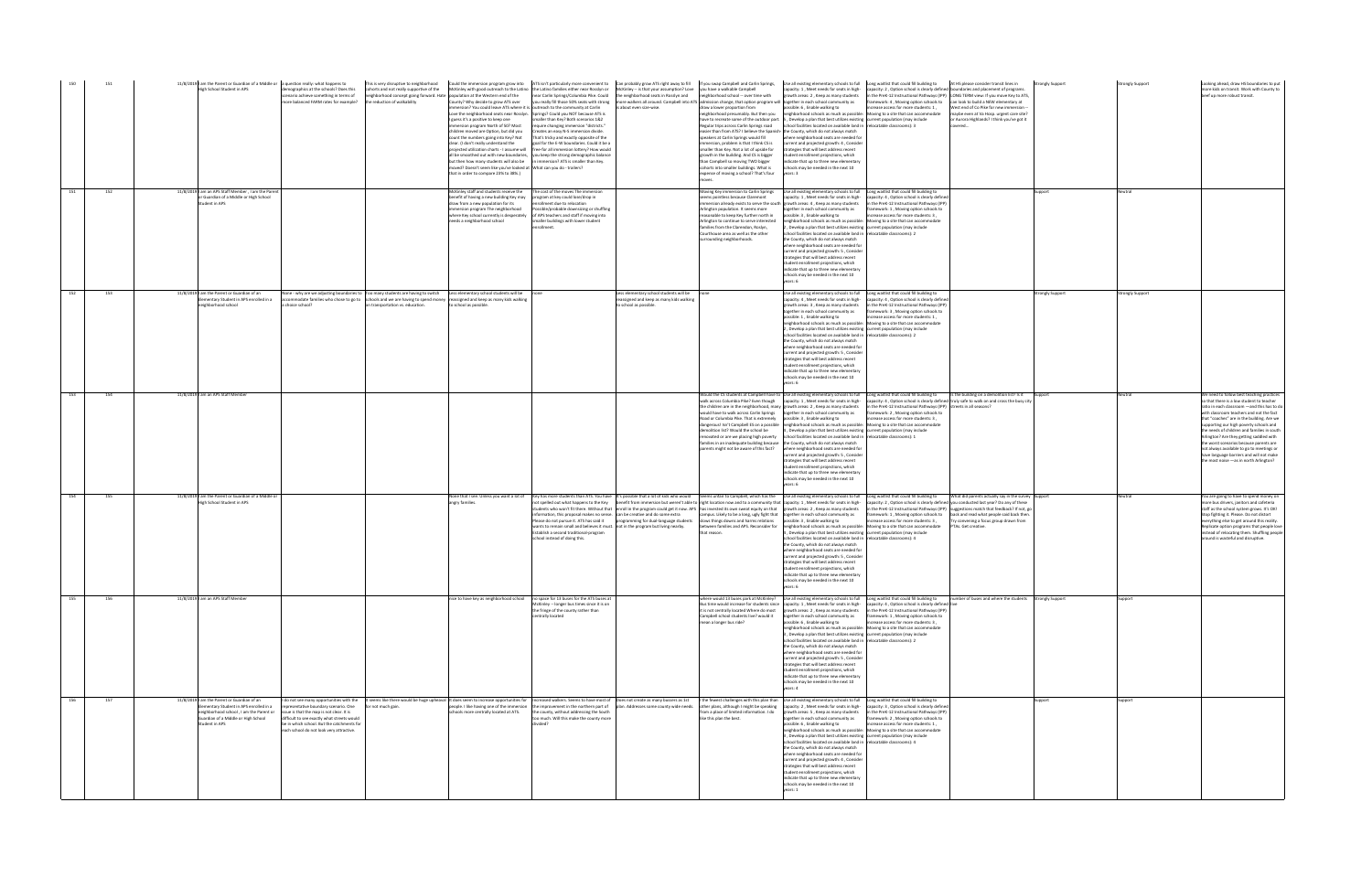| 150 | 151 | 11/8/2019 I am the Parent or Guardian of a Middle or a question really: what happens to<br>High School Student in APS                                                                    | emographics at the schools? Does this<br>cohorts and not really supportive of the<br>scenario achieve something in terms of<br>more balanced FARM rates for example?<br>the reduction of walkability                                                                                                                                                                                                                                                                              | This is very disruptive to neighborhood Could the immersion program grow into ATS isn't particularly more convenient to Can probably grow ATS right away to fill   if you swap Campbell and Carlin Springs, Use all existing e<br>neighborhood concept going forward. Hate population at the Western end of the<br>County? Why decide to grow ATS over<br>I guess it's a positive to keep one<br>mmersion program North of 50? Most<br>children moved are Option, but did you<br>count the numbers going into Key? Not<br>clear. II don't really understand the<br>noved? Doesn't seem like you've looked at What can you do - trailers?<br>that in order to compare 23% to 38%.) | McKinley with good outreach to the Latino the Latino families either near Rosslyn or McKinley -- is that your assumption? Love you have a walkable Campbell<br>immersion? You could leave ATS where it is. outreach to the community at Carlin<br>Love the neighborhood seats near Rosslyn. Springs? Could you NOT because ATS is<br>smaller than Key? Both scenarios 1&2<br>require changing immersion "districts."<br>Creates an easy N-S immersion divide.<br>That's tricky and exactly opposite of the<br>goal for the F-W boundaries. Could it he a<br>projected utilization charts - I assume will free-for all immersion lottery? How would<br>all be smoothed out with new boundaries, you keep the strong demographic balance<br>but then how many students will also be in immersion? ATS is smaller than Key. | near Carlin Springs/Columbia Pike. Could the neighborhood seats in Rosslyn and neighborhood school -- over time with<br>you really fill those 50% seats with strong more walkers all around. Campbell into ATS admission change, that option program will together in each school community as<br>is about even size-wise.                                                                                                                                                                                                                                                                               | draw a lower proportion from<br>eighborhood presumably. But then you<br>have to recreate some of the outdoor part.<br>Regular trips across Carlin Springs road<br>easier than from ATS? I believe the Spanish-the County, which do not always match<br>speakers at Carlin Springs would fill<br>immersion, problem is that I think CS is<br>smaller than Key. Not a lot of upside for<br>growth in the building. And CS is bigger<br>than Campbell so moving TWO bigger<br>ohorts into smaller buildings. What is<br>expense of moving a school? That's four | capacity: 1, Meet needs for seats in high-<br>growth areas: 2, Keep as many students<br>ssible: 6, Enable walking to<br>eighborhood schools as much as possible:<br>5, Develop a plan that best utilizes existing current population (may include<br>school facilities located on available land in relocatable classrooms): 3<br>where neighborhood seats are needed for<br>current and projected growth: 4, Consider<br>strategies that will best address recent<br>student enrollment projections, which<br>ndicate that up to three new elementary<br>hools may be needed in the next 10<br>rears: 3                                                                                                                                                                                                                                                           | At HS please consider transit lines in<br>capacity: 2, Option school is clearly defined boundaries and placement of programs.<br>in the PreK-12 Instructional Pathways (IPP) LONG TERM view: If you move Key to ATS,<br>ramework: 4, Moving option schools to can look to build a NEW elementary at<br>crease access for more students: 1,<br>West end of Co Pike for new immersion --<br>Moving to a site that can accommodate<br>maybe even at Va Hosp. urgent care site?<br>or Aurora Highlands? I think you've got it<br>covered | <b>Strongly Support</b> | <b>Strongly Support</b> | Looking ahead, draw HS boundaries to put<br>more kids on transit. Work with County to<br>beef up more robust transit.                                                                                                                                                                                                                                                                                                                                                                                                                                |
|-----|-----|------------------------------------------------------------------------------------------------------------------------------------------------------------------------------------------|-----------------------------------------------------------------------------------------------------------------------------------------------------------------------------------------------------------------------------------------------------------------------------------------------------------------------------------------------------------------------------------------------------------------------------------------------------------------------------------|-----------------------------------------------------------------------------------------------------------------------------------------------------------------------------------------------------------------------------------------------------------------------------------------------------------------------------------------------------------------------------------------------------------------------------------------------------------------------------------------------------------------------------------------------------------------------------------------------------------------------------------------------------------------------------------|--------------------------------------------------------------------------------------------------------------------------------------------------------------------------------------------------------------------------------------------------------------------------------------------------------------------------------------------------------------------------------------------------------------------------------------------------------------------------------------------------------------------------------------------------------------------------------------------------------------------------------------------------------------------------------------------------------------------------------------------------------------------------------------------------------------------------|----------------------------------------------------------------------------------------------------------------------------------------------------------------------------------------------------------------------------------------------------------------------------------------------------------------------------------------------------------------------------------------------------------------------------------------------------------------------------------------------------------------------------------------------------------------------------------------------------------|--------------------------------------------------------------------------------------------------------------------------------------------------------------------------------------------------------------------------------------------------------------------------------------------------------------------------------------------------------------------------------------------------------------------------------------------------------------------------------------------------------------------------------------------------------------|--------------------------------------------------------------------------------------------------------------------------------------------------------------------------------------------------------------------------------------------------------------------------------------------------------------------------------------------------------------------------------------------------------------------------------------------------------------------------------------------------------------------------------------------------------------------------------------------------------------------------------------------------------------------------------------------------------------------------------------------------------------------------------------------------------------------------------------------------------------------|--------------------------------------------------------------------------------------------------------------------------------------------------------------------------------------------------------------------------------------------------------------------------------------------------------------------------------------------------------------------------------------------------------------------------------------------------------------------------------------------------------------------------------------|-------------------------|-------------------------|------------------------------------------------------------------------------------------------------------------------------------------------------------------------------------------------------------------------------------------------------------------------------------------------------------------------------------------------------------------------------------------------------------------------------------------------------------------------------------------------------------------------------------------------------|
| 151 | 152 | 11/8/2019 I am an APS Staff Member, I am the Parent<br>or Guardian of a Middle or High School<br>Student in APS                                                                          |                                                                                                                                                                                                                                                                                                                                                                                                                                                                                   | McKinley staff and students receive the<br>benefit of having a new building Key may<br>draw from a new population for its<br>mmersion program The neighborhood<br>needs a neighborhood school                                                                                                                                                                                                                                                                                                                                                                                                                                                                                     | The cost of the moves The immersion<br>program at key could lose/drop in<br>rollment due to relocation<br>Possible/probable downsizing or shuffling<br>where Key school currently is desperately of APS teachers and staff if moving into<br>smaller buildings with lower student<br>irollment.                                                                                                                                                                                                                                                                                                                                                                                                                                                                                                                          |                                                                                                                                                                                                                                                                                                                                                                                                                                                                                                                                                                                                          | loving Key immersion to Carlin Springs<br>eems pointless because Claremont<br>Arlington population. It seems more<br>easonable to keep Key further north in<br>Arlington to continue to serve interested<br>families from the Clarendon, Roslyn,<br>Courthouse area as well as the other<br>surrounding neighborhoods.                                                                                                                                                                                                                                       | Use all existing elementary schools to full  Long waitlist that could fill building to<br>capacity: 1, Meet needs for seats in high-<br>mmersion already exists to serve the south growth areas: 4, Keep as many students<br>together in each school community as<br>ossible: 3 . Enable walking to<br>leighborhood schools as much as possible: Moving to a site that can accommodate<br>, Develop a plan that best utilizes existing current population (may include<br>school facilities located on available land in relocatable classrooms): 2<br>the County, which do not always match<br>where neighborhood seats are needed for<br>urrent and projected growth: 5, Conside<br>trategies that will best address recent<br>tudent enrollment projections, which<br>ndicate that up to three new elementary<br>chools may be needed in the next 10<br>ears: 6 | pacity: 4, Option school is clearly defined<br>n the PreK-12 Instructional Pathways (IPP)<br>ramework: 1, Moving option schools to<br>crease access for more students: 3,                                                                                                                                                                                                                                                                                                                                                            | upport                  | leutral                 |                                                                                                                                                                                                                                                                                                                                                                                                                                                                                                                                                      |
| 152 | 153 | 11/8/2019 I am the Parent or Guardian of an<br>lementary Student in APS enrolled in a<br>eighborhood school                                                                              | None - why are we adjusting boundaries to Too many students are having to switch Less elementary school students will be<br>mmodate families who chose to go to schools and we are having to spend money reassigned and keep as many kids walking<br>choice school?<br>on transportation vs. education.                                                                                                                                                                           | to school as possible                                                                                                                                                                                                                                                                                                                                                                                                                                                                                                                                                                                                                                                             |                                                                                                                                                                                                                                                                                                                                                                                                                                                                                                                                                                                                                                                                                                                                                                                                                          | Less elementary school students will be<br>assigned and keep as many kids walking<br>o school as possible.                                                                                                                                                                                                                                                                                                                                                                                                                                                                                               |                                                                                                                                                                                                                                                                                                                                                                                                                                                                                                                                                              | Use all existing elementary schools to full Long waitlist that could fill building to<br>apacity: 4, Meet needs for seats in high-<br>growth areas: 3, Keep as many students<br>together in each school community as<br>possible: 1, Enable walking to<br>neighborhood schools as much as possible: Moving to a site that can accommodate<br>, Develop a plan that best utilizes existing current population (may include<br>school facilities located on available land in relocatable classrooms): 2<br>the County, which do not always match<br>where neighborhood seats are needed for<br>current and projected growth: 5, Consider<br>rategies that will best address recent<br>student enrollment projections, which<br>indicate that up to three new elementary<br>chools may be needed in the next 10                                                      | capacity: 4, Option school is clearly defined<br>n the PreK-12 Instructional Pathways (IPP)<br>ramework: 3, Moving option schools to<br>ncrease access for more students: 1,                                                                                                                                                                                                                                                                                                                                                         | trongly Support         | trongly Support         |                                                                                                                                                                                                                                                                                                                                                                                                                                                                                                                                                      |
| 153 | 154 | 11/8/2019 I am an APS Staff Member                                                                                                                                                       |                                                                                                                                                                                                                                                                                                                                                                                                                                                                                   |                                                                                                                                                                                                                                                                                                                                                                                                                                                                                                                                                                                                                                                                                   |                                                                                                                                                                                                                                                                                                                                                                                                                                                                                                                                                                                                                                                                                                                                                                                                                          |                                                                                                                                                                                                                                                                                                                                                                                                                                                                                                                                                                                                          | vould have to walk across Carlin Springs<br>Road or Columbia Pike. That is extremely<br>lemolition list? Would the school be<br>enovated or are we placing high poverty<br>families in an inadequate building because the County, which do not always match<br>parents might not be aware of this fact?                                                                                                                                                                                                                                                      | Would the CS students at Campbell have to Use all existing elementary schools to full Long waitlist that could fill building to<br>the children are in the neighborhood, many growth areas: 2, Keep as many students<br>together in each school community as<br>possible: 3 . Enable walking to<br>dangerous! Isn't Campbell ES on a possible neighborhood schools as much as possible: Moving to a site that can accommodate<br>4, Develop a plan that best utilizes existing current population (may include<br>school facilities located on available land in relocatable classrooms): 1<br>where neighborhood seats are needed for<br>current and projected growth: 5, Consider<br>rategies that will best address recent<br>udent enrollment projections, which<br>ndicate that up to three new elementary<br>chools may be needed in the next 10<br>ars: 6   | Is the building on a demolition list? Is it Support<br>walk across Columbia Pike? Even though capacity: 1, Meet needs for seats in high- capacity: 4, Option school is clearly defined truly safe to walk on and cross the busy city<br>in the PreK-12 Instructional Pathways (IPP) streets in all seasons?<br>amework: 2, Moving option schools to<br>increase access for more students: 3.                                                                                                                                         |                         | Neutral                 | We need to follow best teaching practices<br>so that there is a low student to teacher<br>ratio in each classroom - and this has to do<br>ith classroom teachers and not the fact<br>that "coaches" are in the building. Are we<br>supporting our high poverty schools and<br>the needs of children and families in soutl<br>Arlington? Are they getting saddled with<br>the worst scenarios because parents are<br>not always available to go to meetings or<br>have language barriers and will not make<br>the most noise - as in north Arlington? |
| 154 | 155 | 11/8/2019 I am the Parent or Guardian of a Middle or<br>High School Student in APS                                                                                                       |                                                                                                                                                                                                                                                                                                                                                                                                                                                                                   | angry families.                                                                                                                                                                                                                                                                                                                                                                                                                                                                                                                                                                                                                                                                   | None that I see. Unless you want a lot of Key has more students than ATS. You have It's possible that a lot of kids who would Seems unfair to Campbell, which has the Use all existing elementary schools to full Long waitlis<br>Establish a second traditional-program<br>school instead of doing this.                                                                                                                                                                                                                                                                                                                                                                                                                                                                                                                | not spelled out what happens to the Key benefit from immersion but weren't able to right location now and to a community that capacity: 1, Meet needs for seats in high-<br>students who won't fit there. Without that enroll in the program could get it now. APS has invested its own sweat equity on that growth areas: 2, Keep as many students<br>ormation, this proposal makes no sense. can be creative and do some extra<br>Please do not pursue it. ATS has said it programming for dual-language students<br>wants to remain small and believes it must. not in the program but living nearby. | campus. Likely to be a long, ugly fight that together in each school community as<br>ows things downs and harms relations<br>between families and APS. Reconsider for<br>that reason.                                                                                                                                                                                                                                                                                                                                                                        | possible: 3, Enable walking to<br>neighborhood schools as much as possible:<br>Develop a plan that best utilizes existing current population (may include<br>school facilities located on available land in relocatable classrooms): 4<br>the County, which do not always match<br>where neighborhood seats are needed fo<br>current and projected growth: 5, Consider<br>rategies that will best address recent<br>tudent enrollment projections, which<br>ndicate that up to three new elementary<br>ols may be needed in the next 10<br>years: 6                                                                                                                                                                                                                                                                                                                | What did parents actually say in the survey Support<br>capacity: 2, Option school is clearly defined you conducted last year? Do any of these<br>in the PreK-12 Instructional Pathways (IPP) suggestions match that feedback? If not, go<br>ramework: 1. Moving option schools to back and read what people said back then.<br>rease access for more students: 3,<br>y convening a focus group drawn from<br>PTAs. Get creative.<br>Moving to a site that can accommodate                                                            |                         | eutral                  | You are going to have to spend money on<br>more bus drivers, janitors and cafeteria<br>staff as the school system grows. It's OK!<br>Stop fighting it. Please. Do not distort<br>erything else to get around this reality.<br>Replicate option programs that people love<br>instead of relocating them. Shuffling people<br>around is wasteful and disruptive.                                                                                                                                                                                       |
| 155 | 156 | 11/8/2019 I am an APS Staff Member                                                                                                                                                       |                                                                                                                                                                                                                                                                                                                                                                                                                                                                                   |                                                                                                                                                                                                                                                                                                                                                                                                                                                                                                                                                                                                                                                                                   | nice to have key as neighborhood school no space for 13 buses for the ATS buses at<br>McKinley -- longer bus times since it is on<br>the fringe of the county rather than<br>centrally located                                                                                                                                                                                                                                                                                                                                                                                                                                                                                                                                                                                                                           |                                                                                                                                                                                                                                                                                                                                                                                                                                                                                                                                                                                                          | where would 13 buses park at McKinley?<br>Campbell school students live? would it<br>mean a longer bus ride?                                                                                                                                                                                                                                                                                                                                                                                                                                                 | Use all existing elementary schools to full Long waitlist that could fill building to<br>Bus time would increase for students since capacity: 1, Meet needs for seats in high-<br>it is not centrally located Where do most growth areas: 2, Keep as many students<br>together in each school community as<br>possible: 6 . Enable walking to<br>eighborhood schools as much as possible:<br>3, Develop a plan that best utilizes existing current population (may include<br>school facilities located on available land in relocatable classrooms): 2<br>the County, which do not always match<br>where neighborhood seats are needed for<br>current and projected growth: 5, Consider<br>strategies that will best address recent<br>student enrollment projections, which<br>ndicate that up to three new elementary<br>hools may be needed in the next 10     | number of buses and where the students<br>capacity: 4, Option school is clearly defined liv<br>in the PreK-12 Instructional Pathways (IPP)<br>framework: 1, Moving option schools to<br>increase access for more students: 3,<br>Moving to a site that can accommodate                                                                                                                                                                                                                                                               | <b>Strongly Support</b> |                         |                                                                                                                                                                                                                                                                                                                                                                                                                                                                                                                                                      |
| 156 | 157 | 11/8/2019 I am the Parent or Guardian of an<br>lementary Student in APS enrolled in a<br>eighborhood school, I am the Parent or<br>Guardian of a Middle or High School<br>Student in APS | do not see many opportunities with the ltseems like there would be huge upheaval lt does seem to increase opportunities for lincreased walkers. Seems to have most of Does not create as many bussers as 1st lthe fewest chall<br>representative boundary scenario. One<br>for not much gain.<br>sue is that the map is not clear. It is<br>difficult to see exactly what streets would<br>be in which school. But the catchments for<br>each school do not look very attractive. | schools more centrally located at ATS.                                                                                                                                                                                                                                                                                                                                                                                                                                                                                                                                                                                                                                            | people. I like having one of the immersion the improvement in the northern part of plan. Addresses some county wide needs.<br>the county, without addressing the South<br>too much. Will this make the county more                                                                                                                                                                                                                                                                                                                                                                                                                                                                                                                                                                                                       |                                                                                                                                                                                                                                                                                                                                                                                                                                                                                                                                                                                                          | rom a place of limited information. I do<br>like this plan the best.                                                                                                                                                                                                                                                                                                                                                                                                                                                                                         | growth areas: 5, Keep as many students<br>together in each school community as<br>possible: 6, Enable walking to<br>neighborhood schools as much as possible: Moving to a site that can accommodate<br>Develop a plan that best utilizes existing current population (may include<br>school facilities located on available land in relocatable classrooms): 4<br>the County, which do not always match<br>where neighborhood seats are needed for<br>current and projected growth: 4, Consider<br>trategies that will best address recent<br>student enrollment projections, which<br>indicate that up to three new elementary<br>chools may be needed in the next 10<br>ars: 1                                                                                                                                                                                   | other plans, although I might be speaking capacity: 2, Meet needs for seats in high- capacity: 3, Option school is clearly defined<br>in the PreK-12 Instructional Pathways (IPP)<br>framework: 2. Moving option schools to<br>ncrease access for more students: 1,                                                                                                                                                                                                                                                                  | Support                 | upport                  |                                                                                                                                                                                                                                                                                                                                                                                                                                                                                                                                                      |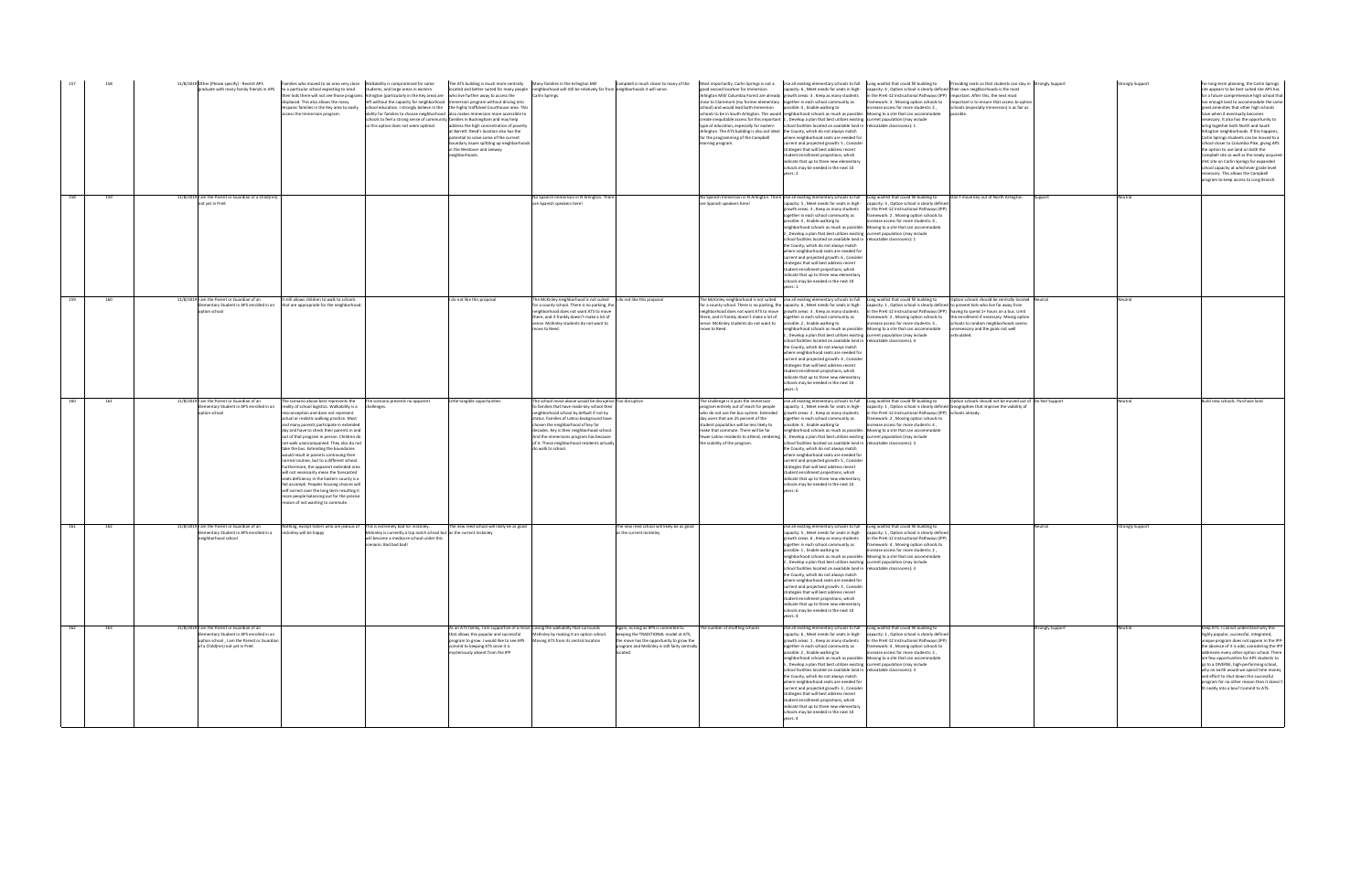| 157 | 158 |  | 11/8/2019 Other (Please specify) : Recent APS                                                                                                                        | Families who moved to an area very close    Nalkability is compromised for some<br>graduate with many family friends in APS to a particular school expecting to send students, and large areas in eastern<br>displaced. This also allows the many<br>Hispanic families in the Key area to easily<br>access the Immersion program.                                                                                                                                                                                                                                                                                                                                                                                                                                                                                     | their kids there will not see those programs Arlington (particularly in the Key area) are who live further away to access the<br>left without the capacity for neighborhood   Immersion program without driving into<br>school education. I strongly believe in the the highly trafficked Courthouse area. This<br>ability for families to choose neighborhood also makes Immersion more accessible to<br>schools to feel a strong sense of community families in Buckingham and may help<br>so this option does not seem optimal. | The ATS building is much more centrally Many families in the Arlington Mill<br>address the high concentration of poverty<br>at Barrett. Reed's location also has the<br>otential to solve some of the current<br>oundary issues splitting up neighborhoods<br>in the Westover and Leeway<br>eighborhoods. | located and better suited for many people neighborhood will still be relatively far from neighborhoods it will serve.<br><b>Carlin Springs</b>                                                                                                                                                                                                                                                       |                                                                                                                                                                                        | good second location for Immersion.<br>close to Claremont (my former elementary together in each school community as<br>school) and would lead both Immersion<br>Arlington. The ATS building is also not ideal the County, which do not always match<br>for the programming of the Campbell<br>earning program. | capacity: 6 , Meet needs for seats in high-capacity: 4 , Option school is clearly defined their own neighborhoods is the most<br>Arlington Mill/ Columbia Forest are already growth areas: 3, Keep as many students<br>possible: 4, Enable walking to<br>schools to be in South Arlington. This would neighborhood schools as much as possible: Moving to a site that can accommodate<br>create inequitable access for this important 1, Develop a plan that best utilizes existing current population (may include<br>type of education, especially for eastern school facilities located on available land in relocatable classrooms): 1<br>where neighborhood seats are needed for<br>current and projected growth: 5 . Consider<br>trategies that will best address recent<br>tudent enrollment projections, which<br>indicate that up to three new elementary<br>chools may be needed in the next 10<br>ears: 2     | in the PreK-12 Instructional Pathways (IPP) important. After this, the next most<br>crease access for more students: 2,                                                                                                     | Campbell is much closer to many of the Most importantly, Carlin Springs is not a Use all existing elementary schools to full Long waitlist that could fill building to Providing seats so that students can stay in Strongly S<br>framework: 3, Moving option schools to important is to ensure that access to option<br>chools (especially Immersion) is as fair as<br>ossible |                 | <b>Strongly Support</b> | For long-term planning, the Carlin Springs<br>site appears to be best suited site APS has<br>for a future comprehensive high school that<br>has enough land to accommodate the same<br>great amenities that other high schools<br>have when it eventually becomes<br>necessary. It also has the opportunity to<br>bring together both North and South<br>rlington neighborhoods. If this happens,<br>Carlin Springs students can be moved to a<br>school closer to Columbia Pike, giving APS<br>the option to use land on both the<br>Campbell site as well as the newly acquired<br>VHC site on Carlin Springs for expanded<br>school capacity at whichever grade level<br>necessary. This allows the Campbell<br>program to keep access to Long Branch. |
|-----|-----|--|----------------------------------------------------------------------------------------------------------------------------------------------------------------------|-----------------------------------------------------------------------------------------------------------------------------------------------------------------------------------------------------------------------------------------------------------------------------------------------------------------------------------------------------------------------------------------------------------------------------------------------------------------------------------------------------------------------------------------------------------------------------------------------------------------------------------------------------------------------------------------------------------------------------------------------------------------------------------------------------------------------|------------------------------------------------------------------------------------------------------------------------------------------------------------------------------------------------------------------------------------------------------------------------------------------------------------------------------------------------------------------------------------------------------------------------------------------------------------------------------------------------------------------------------------|-----------------------------------------------------------------------------------------------------------------------------------------------------------------------------------------------------------------------------------------------------------------------------------------------------------|------------------------------------------------------------------------------------------------------------------------------------------------------------------------------------------------------------------------------------------------------------------------------------------------------------------------------------------------------------------------------------------------------|----------------------------------------------------------------------------------------------------------------------------------------------------------------------------------------|-----------------------------------------------------------------------------------------------------------------------------------------------------------------------------------------------------------------------------------------------------------------------------------------------------------------|--------------------------------------------------------------------------------------------------------------------------------------------------------------------------------------------------------------------------------------------------------------------------------------------------------------------------------------------------------------------------------------------------------------------------------------------------------------------------------------------------------------------------------------------------------------------------------------------------------------------------------------------------------------------------------------------------------------------------------------------------------------------------------------------------------------------------------------------------------------------------------------------------------------------------|-----------------------------------------------------------------------------------------------------------------------------------------------------------------------------------------------------------------------------|---------------------------------------------------------------------------------------------------------------------------------------------------------------------------------------------------------------------------------------------------------------------------------------------------------------------------------------------------------------------------------|-----------------|-------------------------|-----------------------------------------------------------------------------------------------------------------------------------------------------------------------------------------------------------------------------------------------------------------------------------------------------------------------------------------------------------------------------------------------------------------------------------------------------------------------------------------------------------------------------------------------------------------------------------------------------------------------------------------------------------------------------------------------------------------------------------------------------------|
| 158 | 159 |  | 11/8/2019 I am the Parent or Guardian of a Child(ren)<br>not vet in PreK                                                                                             |                                                                                                                                                                                                                                                                                                                                                                                                                                                                                                                                                                                                                                                                                                                                                                                                                       |                                                                                                                                                                                                                                                                                                                                                                                                                                                                                                                                    |                                                                                                                                                                                                                                                                                                           | No Spanish Immersion in N Arlington. There<br>are Spanish speakers here!                                                                                                                                                                                                                                                                                                                             |                                                                                                                                                                                        | are Spanish speakers here!                                                                                                                                                                                                                                                                                      | No Spanish Immersion in N Arlington. There Use all existing elementary schools to full Long waitlist that could fill building to<br>growth areas: 3, Keep as many students<br>ogether in each school community as<br>possible: 4 . Enable walking to<br>neighborhood schools as much as possible: Moving to a site that can accommodate<br>, Develop a plan that best utilizes existing current population (may include<br>chool facilities located on available land in Trelocatable classrooms): 1<br>the County, which do not always match<br>where neighborhood seats are needed for<br>current and projected growth: 6, Consider<br>strategies that will best address recent<br>tudent enrollment projections, which<br>indicate that up to three new elementary<br>schools may be needed in the next 10<br>rears: 1                                                                                                | capacity: 5, Meet needs for seats in high- capacity: 3, Option school is clearly defined<br>in the PreK-12 Instructional Pathways (IPP)<br>ramework: 2, Moving option schools to<br>, 1 .crease access for more students: 4 | Don't move key out of North Arlington                                                                                                                                                                                                                                                                                                                                           |                 | eutral                  |                                                                                                                                                                                                                                                                                                                                                                                                                                                                                                                                                                                                                                                                                                                                                           |
| 159 | 160 |  | 11/8/2019 I am the Parent or Guardian of an<br>ementary Student in APS enrolled in an<br>ption school                                                                | It still allows children to walk to schools<br>that are appropriate for the neighborhood.                                                                                                                                                                                                                                                                                                                                                                                                                                                                                                                                                                                                                                                                                                                             |                                                                                                                                                                                                                                                                                                                                                                                                                                                                                                                                    | I do not like this proposal                                                                                                                                                                                                                                                                               | The McKinley neighborhood is not suited   I do not like this proposal<br>for a county school. There is no parking, the<br>neighborhood does not want ATS to move<br>there, and it frankly doesn't make a lot of<br>ense. McKinley students do not want to<br>move to Reed.                                                                                                                           |                                                                                                                                                                                        | there, and it frankly doesn't make a lot of together in each school community as<br>sense. McKinley students do not want to<br>move to Reed.                                                                                                                                                                    | he McKinley neighborhood is not suited Use all existing elementary schools to full Long waitlist that could fill building to<br>for a county school. There is no parking, the capacity: 6, Meet needs for seats in high-<br>neighborhood does not want ATS to move growth areas: 3, Keep as many students<br>possible: 2, Enable walking to<br>eighborhood schools as much as possible: Moving to a site that can accommodate<br>, Develop a plan that best utilizes existing current population (may include<br>chool facilities located on available land in relocatable classrooms): 4<br>the County, which do not always match<br>here neighborhood seats are needed for<br>current and projected growth: 4, Consider<br>trategies that will best address recent<br>tudent enrollment projections, which<br>ndicate that up to three new elementary<br>chools may be needed in the next 10<br>ears: 5                | capacity: 1 . Option school is clearly defined to prevent kids who live far away from<br>in the PreK-12 Instructional Pathways (IPP) having to spend 1+ hours on a bus. Limit<br>ncrease access for more students: 3,       | Option schools should be centrally located Neutral<br>framework: 2, Moving option schools to the enrollment if necessary. Mixing option<br>schools to random neighborhoods seems<br>unnecessary and the goals not well<br>articulated.                                                                                                                                          |                 |                         |                                                                                                                                                                                                                                                                                                                                                                                                                                                                                                                                                                                                                                                                                                                                                           |
| 160 | 161 |  | 11/8/2019 I am the Parent or Guardian of an<br>mentary Student in APS enrolled in an<br>ption school                                                                 | The scenario above best represents the<br>reality of school logistics. Walkability is a<br>onception and does not represent<br>actual or realistic walking practice. Most<br>and many parents participate in extended<br>day and have to check their parents in and<br>out of that program in person. Children do<br>not walk unaccompanied. They also do not<br>take the bus. Extending the boundaries<br>would result in parents continuing their<br>ormal routine, but to a different school<br>urthermore, the apparent extended area<br>will not necessarily mean the forecasted<br>seats deficiency in the Eastern county is a<br>fait accompli. Peoples housing choices will<br>self correct over the long term resulting it<br>more people balancing out for the precise<br>reason of not wanting to commute. | The scenario presents no apparent<br>hallenges:                                                                                                                                                                                                                                                                                                                                                                                                                                                                                    | Little tangible opportunities                                                                                                                                                                                                                                                                             | The school move above would be disruptive Too disruptive<br>o families that have made key school their<br>neighborhood school by default if not by<br>status. Families of Latino background have<br>chosen the neighborhood of key for<br>decades. Key is their neighborhood school.<br>And the immersions program has because<br>of it. These neighborhood residents actually<br>do walk to school. |                                                                                                                                                                                        | he challenge is it puts the immersion<br>rogram entirely out of reach for people<br>who do not use the bus system. Extended<br>day users that are 25 percent of the<br>student population will be less likely to<br>make that commute. There will be far<br>the viability of the program.                       | apacity: 1, Meet needs for seats in high-<br>growth areas: 2, Keep as many students<br>together in each school community as<br>possible: 4, Enable walking to<br>neighborhood schools as much as possible: Moving to a site that can accommodate<br>fewer Latino residents to attend, rendering 3, Develop a plan that best utilizes existing current population (may include<br>chool facilities located on available land in relocatable classrooms): 3<br>the County, which do not always match<br>where neighborhood seats are needed for<br>urrent and projected growth: 5, Consider<br>ategies that will best address recent<br>student enrollment projections, which<br>ndicate that up to three new elementary<br>chools may be needed in the next 10<br>ears: 6                                                                                                                                                 | in the PreK-12 Instructional Pathways (IPP) schools already.<br>ramework: 2, Moving option schools to<br>increase access for more students: 4,                                                                              | Use all existing elementary schools to full Long waitlist that could fill building to Option schools should not be moved out of Do Not Support<br>capacity: 1, Option school is clearly defined Geographies that improve the viability of                                                                                                                                       |                 |                         | Build new schools. Purchase land                                                                                                                                                                                                                                                                                                                                                                                                                                                                                                                                                                                                                                                                                                                          |
| 161 | 162 |  | 11/8/2019 I am the Parent or Guardian of an<br>lementary Student in APS enrolled in a<br>eighborhood school                                                          | Vothing, except haters who are jealous of<br>mckinley will be happy                                                                                                                                                                                                                                                                                                                                                                                                                                                                                                                                                                                                                                                                                                                                                   | This is extremely bad for mckinley.<br>Mckinley is currently a top notch school but as the current mckinley<br>will become a mediocre school under this<br>scenario. Bad bad bad!                                                                                                                                                                                                                                                                                                                                                  | The new reed school will likely be as good                                                                                                                                                                                                                                                                |                                                                                                                                                                                                                                                                                                                                                                                                      | he new reed school will likely be as good<br>as the current mckinley                                                                                                                   |                                                                                                                                                                                                                                                                                                                 | Use all existing elementary schools to full Long waitlist that could fill building to<br>growth areas: 6, Keep as many students<br>ogether in each school community as<br>possible: 1. Enable walking to<br>neighborhood schools as much as possible: Moving to a site that can accommodate<br>, Develop a plan that best utilizes existing current population (may include<br>school facilities located on available land in relocatable classrooms): 3<br>the County, which do not always match<br>re neighborhood seats are needed fo<br>current and projected growth: 3, Consider<br>strategies that will best address recent<br>student enrollment projections, which<br>indicate that up to three new elementary<br>schools may be needed in the next 10<br>vears: 4                                                                                                                                               | capacity: 5, Meet needs for seats in high- capacity: 1, Option school is clearly defined<br>in the PreK-12 Instructional Pathways (IPP)<br>ramework: 4, Moving option schools to<br>crease access for more students: 2.     |                                                                                                                                                                                                                                                                                                                                                                                 | Veutral         | trongly Support         |                                                                                                                                                                                                                                                                                                                                                                                                                                                                                                                                                                                                                                                                                                                                                           |
| 162 | 163 |  | 11/8/2019 am the Parent or Guardian of an<br>ementary Student in APS enrolled in an<br>otion school . I am the Parent or Guardian<br>of a Child(ren) not vet in PreK |                                                                                                                                                                                                                                                                                                                                                                                                                                                                                                                                                                                                                                                                                                                                                                                                                       |                                                                                                                                                                                                                                                                                                                                                                                                                                                                                                                                    | As an ATS family, I am supportive of a move Losing the walkabilty that surrounds<br>that allows this popular and successful<br>program to grow. I would like to see APS<br>commit to keeping ATS since it is<br>nysteriously absent from the IPP                                                          | McKinley by making it an option school.<br>Moving ATS from its central location                                                                                                                                                                                                                                                                                                                      | Again, as long as APS is commited to<br>keeping the TRADITIONAL model at ATS,<br>the move has the opportunity to grow the<br>program and McKinley is still fairly centrally<br>ocated. | The number of shuffling schools                                                                                                                                                                                                                                                                                 | Use all existing elementary schools to full Long waitlist that could fill building to<br>capacity: 6, Meet needs for seats in high- capacity: 1, Option school is clearly defined<br>growth areas: 1, Keep as many students in the PreK-12 Instructional Pathways (IPP)<br>together in each school community as<br>possible: 2, Enable walking to<br>neighborhood schools as much as possible: Moving to a site that can accommodate<br>, Develop a plan that best utilizes existing current population (may include<br>school facilities located on available land in relocatable classrooms): 3<br>the County, which do not always match<br>where neighborhood seats are needed for<br>current and projected growth: 3, Consider<br>strategies that will best address recent<br>student enrollment projections, which<br>indicate that up to three new elementary<br>schools may be needed in the next 10<br>exists: 4 | framework: 4, Moving option schools to<br>crease access for more students: 2,                                                                                                                                               |                                                                                                                                                                                                                                                                                                                                                                                 | trongly Support | Neutral                 | Keep ATS. I cannot understand why this<br>highly popular, successful, integrated,<br>unique program does not appear in the IPP-<br>the absence of it is odd, considering the IPP<br>addresses every other option school. There<br>are few opportunities for APS students to<br>go to a DIVERSE, high-performing school,<br>why on earth would we spend time money<br>nd effort to shut down this successful<br>program for no other reason than it doesn't<br>fit neatly into a box? Commit to ATS.                                                                                                                                                                                                                                                       |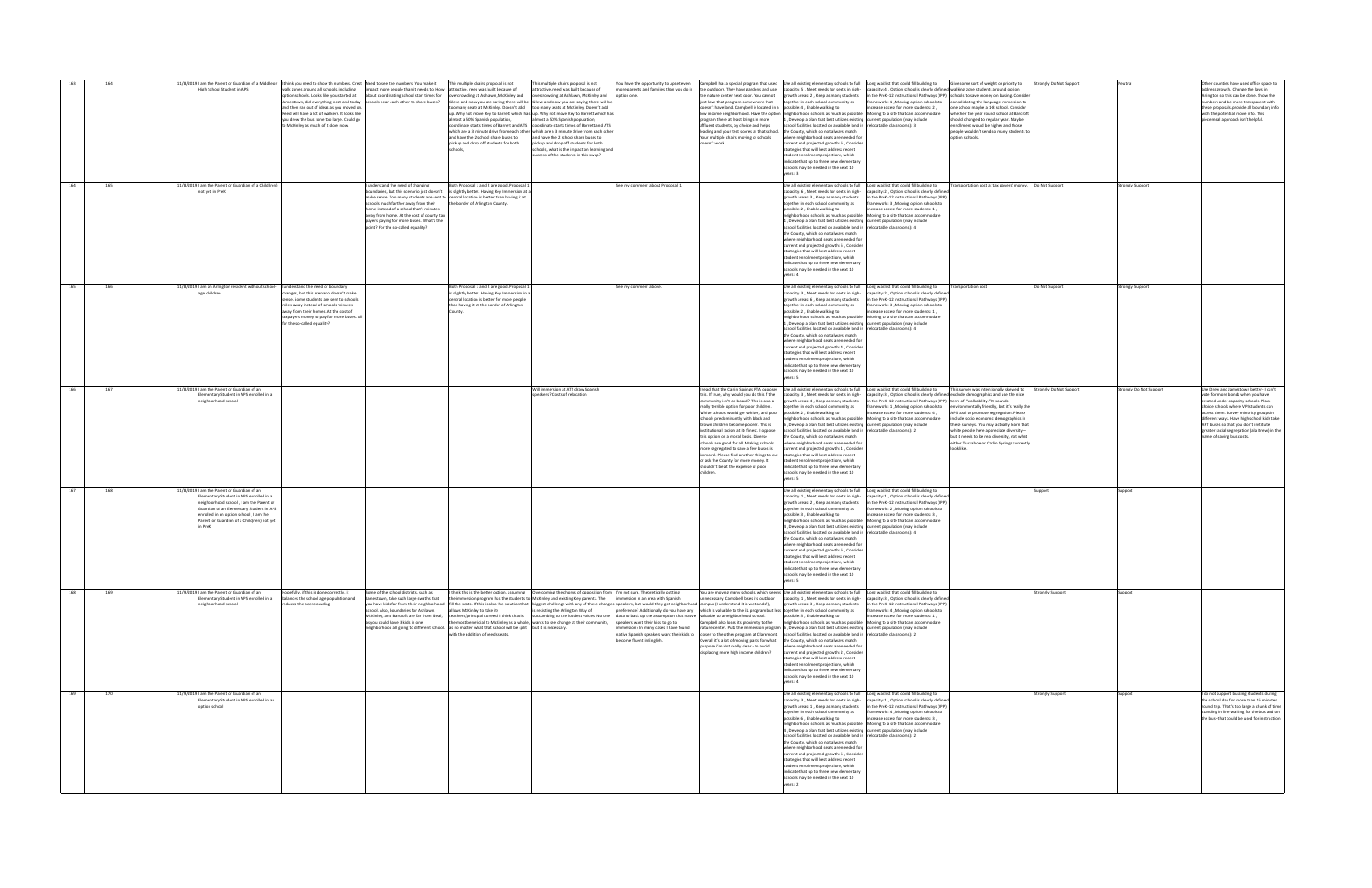|     |     | 11/8/2019   am the Parent or Guardian of a Middle or   I think you need to show th numbers. Crest   Need to see the numbers. You make it<br><b>High School Student in APS</b>                                                                                   | walk zones around all schools, including<br>option schools. Looks like vou started at<br>and then ran out of ideas as you moved on<br>Reed will have a lot of walkers. It looks like<br>you drew the bus zone too large. Could go<br>to McKinley as much of it does now. | impact more people than it needs to. How<br>about coordinating school start times for<br>Jamestown, did everything neat and today schools near each other to share buses?                                                                        | This multiple chairs proposal is not<br>attractive. reed was built because of<br>ercrowding at Ashlawn, McKinley and<br>Gleve and now you are saying there will be Gleve and now you are saying there will be<br>too many seats at McKinley. Doesn't add too many seats at McKinley. Doesn't add<br>almost a 50% Spanish population.<br>and have the 2 school share buses to<br>pickup and drop off students for both                                                                                                                                                                                                              | This multiple chairs proposal is not<br>tractive. reed was built because of<br>rcrowding at Ashlawn. McKinley and<br>up. Why not move Key to Barrett which has up. Why not move Key to Barrett which has<br>almost a 50% Spanish population.<br>coordinate starts times of Barrett and ATS coordinate starts times of Barrett and ATS<br>which are a 3 minute drive from each other which are a 3 minute drive from each other<br>and have the 2 school share buses to<br>ickup and drop off students for both<br>chools, what is the impact on learning and<br>success of the students in this swap? | ore parents and families than you do in<br>ion one.                                                            | You have the opportunity to upset even Campbell has a special program that used Use all existing elementary schools to full Long waitlist that could fill building to Give some sort of weight or priority to<br>e outdoors. They have gardens and use<br>he nature center next door. You cannot<br>just love that program somewhere that<br>doesn't have land. Campbell is located in a possible: 4, Enable walking to<br>program there at least brings in more<br>affluent students, by choice and helps<br>leading and your test scores at that school. the County, which do not always match<br>our multiple chairs moving of schools<br>pesn't work. | capacity: 5, Meet needs for seats in high-<br>growth areas: 2. Keep as many students<br>together in each school community as<br>1, Develop a plan that best utilizes existing current population (may include<br>school facilities located on available land in relocatable classrooms): 3<br>where neighborhood seats are needed for<br>urrent and projected growth: 6, Consider<br>trategies that will best address recent<br>student enrollment projections, which<br>indicate that up to three new elementary<br>schools may be needed in the next 10<br>ears: 3                                                                                                                                                                                                                                                         | apacity: 4, Option school is clearly defined walking zone students around option<br>crease access for more students: 2.<br>low income neighborhood. Have the option neighborhood schools as much as possible: Moving to a site that can accommodate                                                                                                      | the PreK-12 Instructional Pathways (IPP) schools to save money on busing. Consider<br>ramework: 1, Moving option schools to consolidating the language immersion to<br>one school maybe a 1-8 school. Consider<br>whether the year round school at Barcroft<br>should changed to regular year. Maybe<br>nrollment would be higher and those<br>people wouldn't send so many students to<br>option schools.                                                                                                      | <b>Strongly Do Not Support</b> |                         | Other counties have used office space to<br>dress growth. Change the laws in<br>vrlington so this can be done. Show the<br>numbers and be more transparent with<br>these proposals, provide all boundary info<br>with the potential move info. This<br>piecemeal approach isn't helpful.                                                                                  |
|-----|-----|-----------------------------------------------------------------------------------------------------------------------------------------------------------------------------------------------------------------------------------------------------------------|--------------------------------------------------------------------------------------------------------------------------------------------------------------------------------------------------------------------------------------------------------------------------|--------------------------------------------------------------------------------------------------------------------------------------------------------------------------------------------------------------------------------------------------|------------------------------------------------------------------------------------------------------------------------------------------------------------------------------------------------------------------------------------------------------------------------------------------------------------------------------------------------------------------------------------------------------------------------------------------------------------------------------------------------------------------------------------------------------------------------------------------------------------------------------------|-------------------------------------------------------------------------------------------------------------------------------------------------------------------------------------------------------------------------------------------------------------------------------------------------------------------------------------------------------------------------------------------------------------------------------------------------------------------------------------------------------------------------------------------------------------------------------------------------------|----------------------------------------------------------------------------------------------------------------|-----------------------------------------------------------------------------------------------------------------------------------------------------------------------------------------------------------------------------------------------------------------------------------------------------------------------------------------------------------------------------------------------------------------------------------------------------------------------------------------------------------------------------------------------------------------------------------------------------------------------------------------------------------|------------------------------------------------------------------------------------------------------------------------------------------------------------------------------------------------------------------------------------------------------------------------------------------------------------------------------------------------------------------------------------------------------------------------------------------------------------------------------------------------------------------------------------------------------------------------------------------------------------------------------------------------------------------------------------------------------------------------------------------------------------------------------------------------------------------------------|----------------------------------------------------------------------------------------------------------------------------------------------------------------------------------------------------------------------------------------------------------------------------------------------------------------------------------------------------------|-----------------------------------------------------------------------------------------------------------------------------------------------------------------------------------------------------------------------------------------------------------------------------------------------------------------------------------------------------------------------------------------------------------------------------------------------------------------------------------------------------------------|--------------------------------|-------------------------|---------------------------------------------------------------------------------------------------------------------------------------------------------------------------------------------------------------------------------------------------------------------------------------------------------------------------------------------------------------------------|
| 164 | 165 | 11/8/2019 I am the Parent or Guardian of a Child(ren)<br>ot vet in PreK                                                                                                                                                                                         |                                                                                                                                                                                                                                                                          | understand the need of changing<br>schools much farther away from their<br>ome instead of a school that's minutes<br>away from home. At the cost of county tax<br>payers paying for more buses. What's the<br>point? For the so-called equality? | Both Proposal 1 and 2 are good. Proposal 1<br>bundaries, but this scenario just doesn't is slightly better. Having Key Immersion at a<br>nake sense. Too many students are sent to central location is better than having it at<br>the border of Arlington County.                                                                                                                                                                                                                                                                                                                                                                 |                                                                                                                                                                                                                                                                                                                                                                                                                                                                                                                                                                                                       | See my comment about Proposal 1.                                                                               |                                                                                                                                                                                                                                                                                                                                                                                                                                                                                                                                                                                                                                                           | capacity: 6, Meet needs for seats in high-<br>growth areas: 3, Keep as many students<br>together in each school community as<br>possible: 2, Enable walking to<br>, Develop a plan that best utilizes existing current population (may include<br>school facilities located on available land in relocatable classrooms): 4<br>the County, which do not always match<br>where neighborhood seats are needed for<br>current and projected growth: 5, Consider<br>rategies that will best address recent<br>tudent enrollment projections, which<br>indicate that up to three new elementary<br>schools may be needed in the next 10<br>rears: 4                                                                                                                                                                               | Use all existing elementary schools to full Long waitlist that could fill building to<br>capacity: 2, Option school is clearly defined<br>the PreK-12 Instructional Pathways (IPP)<br>amework: 3, Moving option schools to<br>acrease access for more students: 1,<br>neighborhood schools as much as possible: Moving to a site that can accommodate    |                                                                                                                                                                                                                                                                                                                                                                                                                                                                                                                 |                                | <b>Strongly Support</b> |                                                                                                                                                                                                                                                                                                                                                                           |
| 165 | 166 | 11/8/2019 am an Arlington resident without school- I understand the need of boundary<br>age children                                                                                                                                                            | changes, but this scenario doesn't make<br>sense. Some students are sent to schools<br>iles away instead of schools minutes<br>away from their homes. At the cost of<br>taxpayers money to pay for more buses. All<br>for the so-called equality?                        |                                                                                                                                                                                                                                                  | Both Proposal 1 and 2 are good. Proposal 1<br>s slightly better. Having Key Immersion in a<br>entral location is better for more people<br>an having it at the border of Arlington                                                                                                                                                                                                                                                                                                                                                                                                                                                 |                                                                                                                                                                                                                                                                                                                                                                                                                                                                                                                                                                                                       | See my comment above.                                                                                          |                                                                                                                                                                                                                                                                                                                                                                                                                                                                                                                                                                                                                                                           | Use all existing elementary schools to full<br>capacity: 3, Meet needs for seats in high-<br>growth areas: 6, Keep as many students<br>ogether in each school community as<br>possible: 2, Enable walking to<br>1, Develop a plan that best utilizes existing current population (may include<br>school facilities located on available land in relocatable classrooms): 4<br>the County, which do not always match<br>where neighborhood seats are needed for<br>current and projected growth: 4, Consider<br>trategies that will best address recent<br>tudent enrollment projections, which<br>ndicate that up to three new elementary<br>schools may be needed in the next 10<br>rears: 5                                                                                                                                | Long waitlist that could fill building to<br>apacity: 2, Option school is clearly defined<br>n the PreK-12 Instructional Pathways (IPP)<br>mework: 3, Moving option schools to<br>ncrease access for more students: 1.<br>neighborhood schools as much as possible: Moving to a site that can accommodate                                                | <b>Transportation cost</b>                                                                                                                                                                                                                                                                                                                                                                                                                                                                                      | Do Not Support                 | <b>Strongly Support</b> |                                                                                                                                                                                                                                                                                                                                                                           |
| 166 | 167 | 11/8/2019 I am the Parent or Guardian of an<br>ementary Student in APS enrolled in a<br>leighborhood school                                                                                                                                                     |                                                                                                                                                                                                                                                                          |                                                                                                                                                                                                                                                  |                                                                                                                                                                                                                                                                                                                                                                                                                                                                                                                                                                                                                                    | Vill immersion at ATS draw Spanish<br>peakers? Costs of relocation                                                                                                                                                                                                                                                                                                                                                                                                                                                                                                                                    |                                                                                                                | read that the Carlin Springs PTA opposes<br>this. If true, why would you do this if the<br>ommunity isn't on board? This is also a<br>eally terrible option for poor children.<br>White schools would get whiter, and poor<br>schools predominantly with black and<br>orown children become poorer. This is<br>nstitutional racism at its finest. I oppose<br>his option on a moral basis. Diverse<br>schools are good for all. Making schools<br>more segregated to save a few buses is<br>mmoral. Please find another things to cut<br>or ask the County for more money. It<br>ouldn't be at the expense of poor                                        | Use all existing elementary schools to full<br>capacity: 3, Meet needs for seats in high-<br>growth areas: 4, Keep as many students<br>together in each school community as<br>possible: 2, Enable walking to<br>eighborhood schools as much as possible:<br>Develop a plan that best utilizes existing current population (may include<br>school facilities located on available land in relocatable classrooms): 2<br>the County, which do not always match<br>where neighborhood seats are needed for<br>current and projected growth: 1. Consider<br>strategies that will best address recent<br>student enrollment projections, which<br>ndicate that up to three new elementary<br>hools may be needed in the next 10<br>rears: 5                                                                                      | ong waitlist that could fill building to<br>n the PreK-12 Instructional Pathways (IPP) term of "walkability." It sounds<br>crease access for more students: 4,<br>Moving to a site that can accommodate                                                                                                                                                  | This survey was intentionally skewed to<br>spacity: 3, Option school is clearly defined exclude demographics and use the nice<br>framework: 1, Moving option schools to environmentally friendly, but it's really the<br>APS tool to promote segregation. Please<br>include socio economic demographics in<br>these surveys. You may actually learn that<br>white people here appreciate diversity-<br>but it needs to be real diversity, not what<br>either Tuckahoe or Carlin Springs currently<br>look like. | Strongly Do Not Support        | trongly Do Not Support  | Use Drew and Jamestown better- I can't<br>ote for more bonds when you have<br>created under capacity schools. Place<br>choice schools where VPI students can<br>access them. Survey minority groups in<br>different ways. Have high school kids tak<br>ART buses so that you don't institute<br>greater racial segregation (ala Drew) in the<br>name of saving bus costs. |
| 167 | 168 | 11/8/2019 am the Parent or Guardian of an<br>ementary Student in APS enrolled in a<br>eighborhood school, I am the Parent or<br>Guardian of an Elementary Student in APS<br>nrolled in an option school, I am the<br>Parent or Guardian of a Child(ren) not yet |                                                                                                                                                                                                                                                                          |                                                                                                                                                                                                                                                  |                                                                                                                                                                                                                                                                                                                                                                                                                                                                                                                                                                                                                                    |                                                                                                                                                                                                                                                                                                                                                                                                                                                                                                                                                                                                       |                                                                                                                |                                                                                                                                                                                                                                                                                                                                                                                                                                                                                                                                                                                                                                                           | capacity: 1, Meet needs for seats in high-<br>growth areas: 2. Keep as many students<br>together in each school community as<br>oossible: 3, Enable walking to<br>neighborhood schools as much as possible:<br>1. Develop a plan that best utilizes existing current population (may include<br>school facilities located on available land in relocatable classrooms): 4<br>the County, which do not always match<br>where neighborhood seats are needed for<br>current and projected growth: 6, Conside<br>trategies that will best address recent<br>student enrollment projections, which<br>ndicate that up to three new elementary<br>chools may be needed in the next 10                                                                                                                                              | Use all existing elementary schools to full Long waitlist that could fill building to<br>pacity: 1, Option school is clearly defined<br>the PreK-12 Instructional Pathways (IPP)<br>amework: 2, Moving option schools to<br>crease access for more students: 3.<br>Moving to a site that can accommodate                                                 |                                                                                                                                                                                                                                                                                                                                                                                                                                                                                                                 | ipport                         |                         |                                                                                                                                                                                                                                                                                                                                                                           |
| 168 | 169 | 11/9/2019 I am the Parent or Guardian of an<br>lementary Student in APS enrolled in a<br>eighborhood school                                                                                                                                                     | lopefully, if this is done correctly, it<br>balances the school age population and<br>educes the ocercrowding                                                                                                                                                            | Some of the school districts, such as<br>Jamestown, take such large swaths that<br>school. Also, boundaries for Ashlawn.<br>as you could have 3 kids in one                                                                                      | the immersion program has the students to McKinley and existing Key parents. The immersion in an area with Spanish<br>ou have kids far from their neighborhood   fill the seats. If this is also the solution that   biggest challenge with any of these changes   speakers, but would they get neighborhood  campus (I understand it is wetlands?),<br>allows McKinley to take its<br>McKinley, and Barcroft are far from ideal, teachers/principal to reed, I think that is<br>neighborhood all going to different school. as no matter what that school will be split but it is necessary.<br>with the addition of reeds seats. | I think this is the better option, assuming   Overcoming the chorus of opposition from   I'm not sure. Theoretically putting<br>is resisting the Arlington Way of<br>succumbing to the loudest voices. No one data to back up the assumption that native valuable to a neighborhood school.<br>the most beneficial to McKinley as a whole, wants to see change at their community, speakers want their kids to go to                                                                                                                                                                                  | mersion? In many cases I have found<br>native Spanish speakers want their kids to<br>become fluent in English. | preference? Additionally do you have any which is valuable to the EL program but less together in each school community as<br>Campbell also loses its proximity to the<br>ourpose i'm Not really clear - to avoid<br>isplacing more high income children?                                                                                                                                                                                                                                                                                                                                                                                                 | You are moving many schools, which seems Use all existing elementary schools to full Long waitlist that could fill building to<br>growth areas: 3, Keep as many students<br>possible: 5, Enable walking to<br>nature center. Puts the immersion program 6, Develop a plan that best utilizes existing current population (may include<br>closer to the other program at Claremont. school facilities located on available land in relocatable classrooms): 2<br>Overall it's a lot of moving parts for what the County, which do not always match<br>where neighborhood seats are needed for<br>current and projected growth: 2, Consider<br>rategies that will best address recent<br>student enrollment projections, which<br>indicate that up to three new elementary<br>schools may be needed in the next 10<br>rears: 4 | innecessary. Campbell loses its outdoor capacity: 1. Meet needs for seats in high- capacity: 3. Option school is clearly defined<br>the PreK-12 Instructional Pathways (IPP)<br>framework: 4, Moving option schools to<br>ncrease access for more students: 1,<br>neighborhood schools as much as possible: Moving to a site that can accommodate        |                                                                                                                                                                                                                                                                                                                                                                                                                                                                                                                 | trongly Support                |                         |                                                                                                                                                                                                                                                                                                                                                                           |
| 169 | 170 | 11/9/2019 am the Parent or Guardian of an<br>ementary Student in APS enrolled in an<br>option school                                                                                                                                                            |                                                                                                                                                                                                                                                                          |                                                                                                                                                                                                                                                  |                                                                                                                                                                                                                                                                                                                                                                                                                                                                                                                                                                                                                                    |                                                                                                                                                                                                                                                                                                                                                                                                                                                                                                                                                                                                       |                                                                                                                |                                                                                                                                                                                                                                                                                                                                                                                                                                                                                                                                                                                                                                                           | capacity: 3, Meet needs for seats in high-<br>growth areas: 1. Keep as many students<br>together in each school community as<br>possible: 6, Enable walking to<br>1, Develop a plan that best utilizes existing current population (may include<br>school facilities located on available land in relocatable classrooms): 2<br>he County, which do not always match<br>where neighborhood seats are needed for<br>current and projected growth: 5, Consider<br>strategies that will best address recent<br>tudent enrollment projections, which<br>indicate that up to three new elementary<br>schools may be needed in the next 10<br>rears: 2                                                                                                                                                                             | Use all existing elementary schools to full Long waitlist that could fill building to<br>capacity: 1, Option school is clearly defined<br>in the PreK-12 Instructional Pathways (IPP)<br>ramework: 4, Moving option schools to<br>crease access for more students: 3.<br>neighborhood schools as much as possible: Moving to a site that can accommodate |                                                                                                                                                                                                                                                                                                                                                                                                                                                                                                                 | <b>Strongly Support</b>        | Support                 | I do not support bussing students during<br>the school day for more than 15 minutes<br>round trip. That's too large a chunk of time<br>standing in line waiting for the bus and on<br>the bus--that could be used for instruction                                                                                                                                         |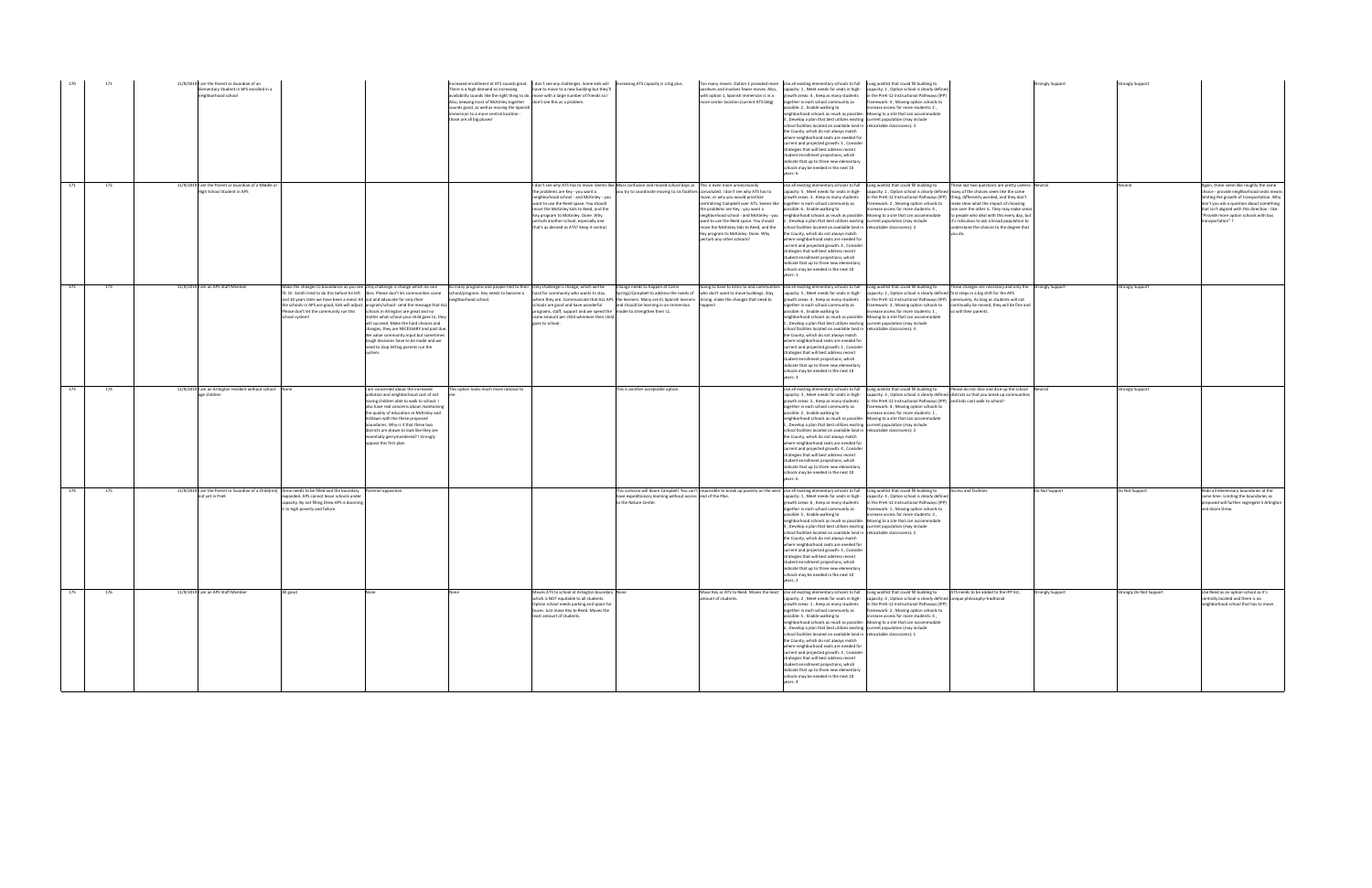| 170 | 171 | 11/9/2019 I am the Parent or Guardian of an<br>ementary Student in APS enrolled in a<br>eighborhood school |                                                                                                                                                                                                                                                                                                                                                                                                                                                          | There is a high demand so increasing<br>Also, keeping most of McKinley together don't see this as a problem.<br>sounds good, as well as moving the Spanish<br>mmersion to a more central location -<br>those are all big pluses!                                                                                                                                                           | Increased enrollment at ATS sounds great. I don't see any challenges. Some kids will Increasing ATS capacity is a big plus.<br>have to move to a new building but they'll<br>availability sounds like the right thing to do. move with a large number of friends so I                                                                        |                                                                                                                                                                                                               | ositives and involves fewer moves. Also,<br>with option 1, Spanish immersion is in a<br>more center location (current ATS bldg)                                                                                                                                                                                    | Too many moves. Option 1 provided more Use all existing elementary schools to full Long waitlist that could fill building to<br>capacity: 1, Meet needs for seats in high-<br>growth areas: 4, Keep as many students<br>together in each school community as<br>ossible: 2, Enable walking to<br>neighborhood schools as much as possible: Moving to a site that can accommodate<br>3, Develop a plan that best utilizes existing current population (may include<br>school facilities located on available land in relocatable classrooms): 3<br>the County, which do not always match<br>where neighborhood seats are needed for<br>current and projected growth: 5, Consider<br>trategies that will best address recent<br>student enrollment projections, which<br>indicate that up to three new elementary<br>schools may be needed in the next 10<br>ears: 6                                     | capacity: 1, Option school is clearly defined<br>in the PreK-12 Instructional Pathways (IPP)<br>amework: 4, Moving option schools to<br>crease access for more students: 2,                                                                                                                                                                                                                                                                                                                                                                                | <b>Strongly Support</b> | <b>Strongly Support</b> |                                                                                                                                                                                                                                                                                              |
|-----|-----|------------------------------------------------------------------------------------------------------------|----------------------------------------------------------------------------------------------------------------------------------------------------------------------------------------------------------------------------------------------------------------------------------------------------------------------------------------------------------------------------------------------------------------------------------------------------------|--------------------------------------------------------------------------------------------------------------------------------------------------------------------------------------------------------------------------------------------------------------------------------------------------------------------------------------------------------------------------------------------|----------------------------------------------------------------------------------------------------------------------------------------------------------------------------------------------------------------------------------------------------------------------------------------------------------------------------------------------|---------------------------------------------------------------------------------------------------------------------------------------------------------------------------------------------------------------|--------------------------------------------------------------------------------------------------------------------------------------------------------------------------------------------------------------------------------------------------------------------------------------------------------------------|--------------------------------------------------------------------------------------------------------------------------------------------------------------------------------------------------------------------------------------------------------------------------------------------------------------------------------------------------------------------------------------------------------------------------------------------------------------------------------------------------------------------------------------------------------------------------------------------------------------------------------------------------------------------------------------------------------------------------------------------------------------------------------------------------------------------------------------------------------------------------------------------------------|------------------------------------------------------------------------------------------------------------------------------------------------------------------------------------------------------------------------------------------------------------------------------------------------------------------------------------------------------------------------------------------------------------------------------------------------------------------------------------------------------------------------------------------------------------|-------------------------|-------------------------|----------------------------------------------------------------------------------------------------------------------------------------------------------------------------------------------------------------------------------------------------------------------------------------------|
| 171 | 172 | 11/9/2019 I am the Parent or Guardian of a Middle or<br>High School Student in APS                         |                                                                                                                                                                                                                                                                                                                                                                                                                                                          |                                                                                                                                                                                                                                                                                                                                                                                            | the problems are Key - you want a<br>neighborhood school - and McKinley - you<br>want to use the Reed space. You should<br>move the McKinley kids to Reed, and the<br>Key program to McKinley. Done. Why<br>perturb another school, especially one<br>that's as desired as ATS? Keep it central.                                             | I don't see why ATS has to move. Seems like Mass confusion and missed school days as This is even more unnecessarily<br>you try to coordinate moving to six facilities convoluted. I don't see why ATS has to | move, or why you would prioritize<br>centralizing Campbell over ATS. Seems like together in each school community as<br>the problems are Key - you want a<br>want to use the Reed space. You should<br>move the McKinley kids to Reed, and the<br>Key program to McKinley. Done. Why<br>perturb any other schools? | Use all existing elementary schools to full Long waitlist that could fill building to<br>capacity: 5, Meet needs for seats in high-<br>growth areas: 3, Keep as many students<br>possible: 6, Enable walking to<br>neighborhood school - and McKinley - you neighborhood schools as much as possible: Moving to a site that can accommodate<br>2, Develop a plan that best utilizes existing current population (may include<br>school facilities located on available land in relocatable classrooms): 3<br>the County, which do not always match<br>where neighborhood seats are needed for<br>current and projected growth: 4, Consider<br>trategies that will best address recent<br>student enrollment projections, which<br>indicate that up to three new elementary<br>schools may be needed in the next 10                                                                                     | These last two questions are pretty useless - Neutral<br>capacity: 1, Option school is clearly defined many of the choices seem like the same<br>n the PreK-12 Instructional Pathways (IPP) thing, differently worded, and they don't<br>amework: 2, Moving option schools to<br>make clear what the impact of choosing<br>increase access for more students: 4,<br>one over the other is. They may make sense<br>to people who deal with this every day, but<br>it's ridiculous to ask a broad population to<br>inderstand the choices to the degree that |                         |                         | Again, these seem like roughly the same<br>choice - provide neighborhood seats means<br>imiting the growth of transportation. Why<br>lon't you ask a question about something<br>that isn't aligned with this direction - like:<br>"Provide more option schools with bus<br>transportation"? |
| 172 | 173 | 11/9/2019 I am an APS Staff Member                                                                         | Make the changes to boundaries as you see Only challenge is change which no one<br>fit. Dr. Smith tried to do this before he left likes. Please don't let communities come<br>and 10 years later we have been a mess! All out and advocate for only their<br>the schools in APS are good, kids will adjust. program/school- send the message that ALL<br>Please don't let the community run this schools in Arlington are great and no<br>school system! | neighborhood school.<br>matter what school your child goes to, they<br>will succeed. Make the hard choices and<br>changes, they are NECESSARY and past due.<br>We value community input but sometimes<br>tough decisions have to be made and we<br>need to stop letting parents run the                                                                                                    | So many programs and people tied to their Only challenge is change, which will be Change needs to happen at Carlin<br>school/program. Key needs to become a hard for community who wants to stay<br>programs, staff, support and we spend the model to strengthen their L1.<br>same amount per child wherever their child<br>goes to school. | where they are. Communicate that ALL APS the learners. Many are EL Spanish learners strong. make the changes that need to<br>schools are good and have wonderful and should be learning in an Immersion       | Springs/Campbell to address the needs of who don't want to move buildings. Stay                                                                                                                                                                                                                                    | Going to have to listen to and communities Use all existing elementary schools to full Long waitlist that could fill building to<br>capacity: 5, Meet needs for seats in high-<br>growth areas: 4, Keep as many students<br>together in each school community as<br>possible: 6 . Enable walking to<br>neighborhood schools as much as possible: Moving to a site that can accommodate<br>, Develop a plan that best utilizes existing current population (may include<br>school facilities located on available land in relocatable classrooms): 4<br>the County, which do not always match<br>where neighborhood seats are needed for<br>current and projected growth: 1, Consider<br>strategies that will best address recent<br>tudent enrollment projections, which<br>indicate that up to three new elementary<br>schools may be needed in the next 10<br>years: 3                               | These changes are necessary and only the Strongly Support<br>capacity: 2, Option school is clearly defined first steps in a big shift for the APS<br>in the PreK-12 Instructional Pathways (IPP) community. As long as students will not<br>ramework: 3, Moving option schools to<br>continually be moved, they will be fine and<br>crease access for more students: 1,<br>o will their parents.                                                                                                                                                           |                         | <b>Strongly Support</b> |                                                                                                                                                                                                                                                                                              |
| 173 | 174 | 11/9/2019 am an Arlington resident without school- None<br>age children                                    | Ashlawn with the these proposed<br>oppose this first plan.                                                                                                                                                                                                                                                                                                                                                                                               | I am concerned about the increased<br>This option looks much more rational to<br>pollution and neighborhood cost of not<br>having children able to walk to school. I<br>also have real concerns about maintaining<br>the quality of education at McKinley and<br>boundaries. Why is it that these two<br>districts are drawn to look like they are<br>ssentially gerrymandered? I strongly |                                                                                                                                                                                                                                                                                                                                              | This is another acceptable option.                                                                                                                                                                            |                                                                                                                                                                                                                                                                                                                    | Use all existing elementary schools to full Long waitlist that could fill building to<br>capacity: 3, Meet needs for seats in high-<br>growth areas: 5, Keep as many students<br>together in each school community as<br>possible: 2. Enable walking to<br>eighborhood schools as much as possible:<br>1. Develop a plan that best utilizes existing current population (may include<br>school facilities located on available land in relocatable classrooms): 2<br>the County, which do not always match<br>where neighborhood seats are needed for<br>current and projected growth: 4, Consider<br>strategies that will best address recent<br>student enrollment projections, which<br>indicate that up to three new elementary<br>chools may be needed in the next 10<br>ears: 6                                                                                                                  | Please do not slice and dice up the school Neutral<br>pacity: 3, Option school is clearly defined districts so that you break up communities<br>in the PreK-12 Instructional Pathways (IPP) and kids cant walk to school!<br>framework: 4, Moving option schools to<br>increase access for more students: 1,<br>Moving to a site that can accommodate                                                                                                                                                                                                      |                         | <b>Strongly Support</b> |                                                                                                                                                                                                                                                                                              |
| 174 | 175 | not yet in PreK                                                                                            | 11/9/2019 am the Parent or Guardian of a Child(ren) Drew needs to be filled and the boundary Parental opposition<br>xpanded. APS cannot leave schools under<br>apacity. By not filling Drew APS is dooming<br>it to high poverty and failure.                                                                                                                                                                                                            |                                                                                                                                                                                                                                                                                                                                                                                            |                                                                                                                                                                                                                                                                                                                                              | have expeditionary learning without access end of the Pike.<br>to the Nature Center.                                                                                                                          |                                                                                                                                                                                                                                                                                                                    | This scenario will doom Campbell. You can't Impossible to break up poverty on the west Use all existing elementary schools to full Long waitlist that could fill building to<br>capacity: 1, Meet needs for seats in high-<br>growth areas: 6, Keep as many students<br>together in each school community as<br>possible: 5, Enable walking to<br>eighborhood schools as much as possible: Moving to a site that can accommodate<br>, Develop a plan that best utilizes existing current population (may include<br>school facilities located on available land in relocatable classrooms): 2<br>the County, which do not always match<br>where neighborhood seats are needed for<br>current and projected growth: 3, Consider<br>trategies that will best address recent<br>student enrollment projections, which<br>indicate that up to three new elementary<br>schools may be needed in the next 10 | <b>Access and facilities</b><br>capacity: 4, Option school is clearly defined<br>in the PreK-12 Instructional Pathways (IPP<br>framework: 1, Moving option schools to<br>increase access for more students: 3,                                                                                                                                                                                                                                                                                                                                             | Do Not Support          | Do Not Support          | Redo all elementary boundaries at the<br>same time. Limiting the boundaries as<br>proposed will further segregate S Arlington<br>and doom Drew.                                                                                                                                              |
| 175 | 176 | 11/9/2019 I am an APS Staff Member                                                                         | all good                                                                                                                                                                                                                                                                                                                                                                                                                                                 |                                                                                                                                                                                                                                                                                                                                                                                            | Moves ATS to school at Arlington boundary None<br>which is NOT equitable to all students.<br>Option school needs parking and space for<br>buses. Just move Key to Reed. Moves the<br>least amount of students.                                                                                                                               |                                                                                                                                                                                                               | amount of students.                                                                                                                                                                                                                                                                                                | Move Key or ATS to Reed. Moves the least Use all existing elementary schools to full Long waitlist that could fill building to<br>growth areas: 1, Keep as many students<br>together in each school community as<br>possible: 5 . Enable walking to<br>neighborhood schools as much as possible: Moving to a site that can accommodate<br>6, Develop a plan that best utilizes existing current population (may include<br>school facilities located on available land in relocatable classrooms): 1<br>the County, which do not always match<br>where neighborhood seats are needed for<br>current and projected growth: 3, Consider<br>strategies that will best address recent<br>student enrollment projections, which<br>indicate that up to three new elementary<br>schools may be needed in the next 10<br>ears: 4                                                                              | ATS needs to be added to the IPP list,<br>capacity: 2, Meet needs for seats in high- capacity: 3, Option school is clearly defined unique philosophy-tradtional<br>in the PreK-12 Instructional Pathways (IPP)<br>framework: 2, Moving option schools to<br>increase access for more students: 4                                                                                                                                                                                                                                                           | <b>Strongly Support</b> | Strongly Do Not Support | Use Reed as an option school as it's<br>centrally located and there is no<br>neighborhood school that has to move.                                                                                                                                                                           |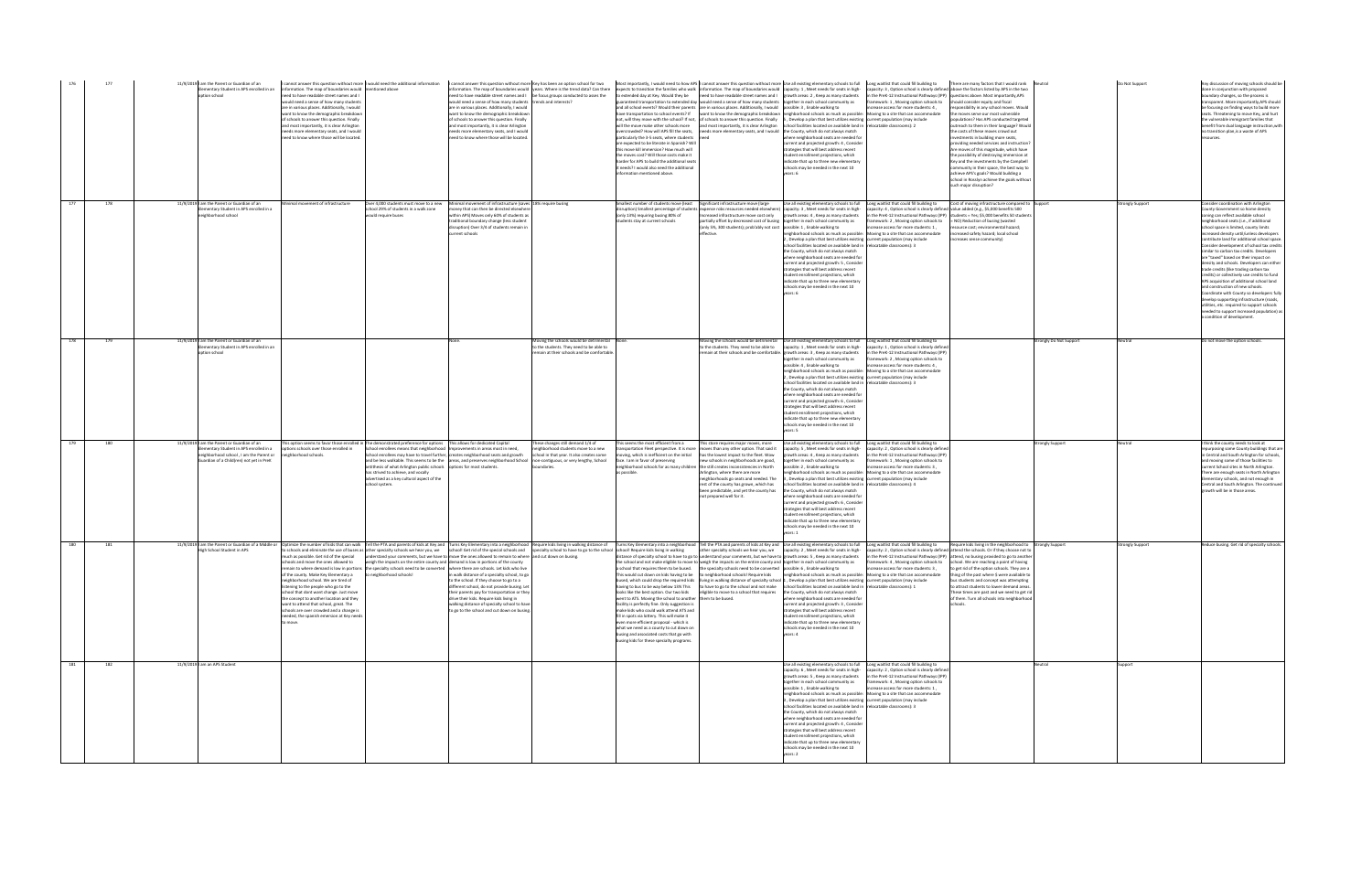| 176 |     | 11/9/2019 I am the Parent or Guardian of an<br>lementary Student in APS enrolled in an<br>option school                                                                     | information. The map of boundaries would mentioned above<br>need to have readable street names and I<br>ould need a sense of how many students<br>are in various places. Additionally, I would<br>want to know the demographic breakdown<br>f schools to answer this question. Finally<br>and most importantly, it is clear Arlington<br>eeds more elementary seats, and I would<br>eed to know where those will be located.                                     |                                                                                                                                                                                                                                                                                                                                                                                                                                                                                | would need a sense of how many students trends and interests?<br>are in various places. Additionally, I would<br>want to know the demographic breakdown<br>of schools to answer this question. Finally<br>and most importantly, it is clear Arlington<br>eeds more elementary seats, and I would<br>eed to know where those will be located. | t cannot answer this question without more   would need the additional information   I cannot answer this question without more   key has been an option school for two   Most importantly, I would need to how APS   cannot<br>information. The map of boundaries would vears. Where is the trend data? Can there expects to transition the families who walk information. The map of boundaries would capacity: 1, Meet needs for seats in high- capacity: 3<br>need to have readable street names and I   be focus groups conducted to asses the | articularly the 3-5 seats, where students<br>are expected to be literate in Spanish? Will<br>this move kill immersion? How much will<br>the moves cost? Will those costs make it<br>arder for APS to build the additional seats<br>it needs? I would also need the additional<br>information mentioned above.                                                                                                                                              | to extended day at Key. Would they be need to have readable street names and I growth areas: 2, Keep as many students in the PreK-12 Instructional Pathways (IPP) questions above. Most importantly, APS<br>guaranteed transportation to extended day would need a sense of how many students together in each school community as<br>and all school events? Would their parents are in various places. Additionally, I would possible: 3, Enable walking to<br>have transportation to school events? If want to know the demographic breakdown neighborhood schools as much as possible: Moving to a site that can accommodate<br>not, will they move with the school? If not, of schools to answer this question. Finally 5, Develop a plan that best utilizes existing current population (may include<br>will the move make other schools more and most importantly, it is clear Arlington school facilities located on available land in relocatable classrooms): 2<br>ercrowded? How will APS fill the seats, needs more elementary seats, and I would the County, which do not always match | where neighborhood seats are needed for<br>current and projected growth: 4 . Consider<br>trategies that will best address recent<br>tudent enrollment projections, which<br>ndicate that up to three new elementary<br>chools may be needed in the next 10<br>ears: 6                                                                                                                                                                                                                                                                                                                                                                                                                                                                                                                                                                                                                         | framework: 1, Moving option schools to should consider equity and fiscal<br>crease access for more students: 4,                                                                                                            | sponsibility in any school moves. Would<br>the moves serve our most vulnerable<br>opulations? Has APS conducted targeted<br>outreach to them in their language? Would<br>the costs of these moves crowd out<br>estments in building more seats,<br>providing needed services and instruction?<br>Are moves of this magnitude, which have<br>the possibility of destroying immersion at<br>(ey and the investments by the Campbell<br>ommunity in their space, the best way to<br>achieve APS's goals? Would building a<br>chool in Rosslyn achieve the goals without<br>such major disruption? |                         | Do Not Support  | Any discussion of moving schools should be<br>done in conjunction with proposed<br>boundary changes, so the process is<br>ansparent. More importantly.APS should<br>be focusing on finding ways to build more<br>eats. Threatening to move Key, and hurt<br>the vulnerable immigrant families that<br>benefit from dual language instruction, with<br>no transition plan, is a waste of APS                                                                                                                                                                                                                                                                                                                                                                                                                                                                                      |
|-----|-----|-----------------------------------------------------------------------------------------------------------------------------------------------------------------------------|------------------------------------------------------------------------------------------------------------------------------------------------------------------------------------------------------------------------------------------------------------------------------------------------------------------------------------------------------------------------------------------------------------------------------------------------------------------|--------------------------------------------------------------------------------------------------------------------------------------------------------------------------------------------------------------------------------------------------------------------------------------------------------------------------------------------------------------------------------------------------------------------------------------------------------------------------------|----------------------------------------------------------------------------------------------------------------------------------------------------------------------------------------------------------------------------------------------------------------------------------------------------------------------------------------------|-----------------------------------------------------------------------------------------------------------------------------------------------------------------------------------------------------------------------------------------------------------------------------------------------------------------------------------------------------------------------------------------------------------------------------------------------------------------------------------------------------------------------------------------------------|------------------------------------------------------------------------------------------------------------------------------------------------------------------------------------------------------------------------------------------------------------------------------------------------------------------------------------------------------------------------------------------------------------------------------------------------------------|----------------------------------------------------------------------------------------------------------------------------------------------------------------------------------------------------------------------------------------------------------------------------------------------------------------------------------------------------------------------------------------------------------------------------------------------------------------------------------------------------------------------------------------------------------------------------------------------------------------------------------------------------------------------------------------------------------------------------------------------------------------------------------------------------------------------------------------------------------------------------------------------------------------------------------------------------------------------------------------------------------------------------------------------------------------------------------------------------|-----------------------------------------------------------------------------------------------------------------------------------------------------------------------------------------------------------------------------------------------------------------------------------------------------------------------------------------------------------------------------------------------------------------------------------------------------------------------------------------------------------------------------------------------------------------------------------------------------------------------------------------------------------------------------------------------------------------------------------------------------------------------------------------------------------------------------------------------------------------------------------------------|----------------------------------------------------------------------------------------------------------------------------------------------------------------------------------------------------------------------------|------------------------------------------------------------------------------------------------------------------------------------------------------------------------------------------------------------------------------------------------------------------------------------------------------------------------------------------------------------------------------------------------------------------------------------------------------------------------------------------------------------------------------------------------------------------------------------------------|-------------------------|-----------------|----------------------------------------------------------------------------------------------------------------------------------------------------------------------------------------------------------------------------------------------------------------------------------------------------------------------------------------------------------------------------------------------------------------------------------------------------------------------------------------------------------------------------------------------------------------------------------------------------------------------------------------------------------------------------------------------------------------------------------------------------------------------------------------------------------------------------------------------------------------------------------|
| 177 | 178 | 11/9/2019 I am the Parent or Guardian of an<br>lementary Student in APS enrolled in a<br>eighborhood school                                                                 | inimal movement of infrastructure                                                                                                                                                                                                                                                                                                                                                                                                                                | Over 4,000 students must move to a new<br>chool 29% of students in a walk zone<br>would require buses                                                                                                                                                                                                                                                                                                                                                                          | Minimal movement of infrastructure (saves 18% require busing<br>money that can then be directed elsewhere<br>vithin APS) Moves only 60% of students as<br>traditional boundary change (less student<br>disruption) Over 3/4 of students remain in<br>current schools                                                                         |                                                                                                                                                                                                                                                                                                                                                                                                                                                                                                                                                     | Smallest number of students move (least Significant infrastructure move (large<br>(only 13%) requiring busing 80% of<br>students stay at current schools                                                                                                                                                                                                                                                                                                   | disruption) Smallest percentage of students expense robs resources needed elsewhere) capacity: 3, Meet needs for seats in high- capacity: 4, Option school is clearly defined value added (e.g., \$5,000 benefits 500<br>Increased infrastructure move cost only<br>artially offset by decreased cost of busing together in each school community as<br>(only 5%, 300 students); prob'ably not cost possible: 1, Enable walking to<br>effective.                                                                                                                                                                                                                                                                                                                                                                                                                                                                                                                                                                                                                                                   | Use all existing elementary schools to full Long waitlist that could fill building to<br>growth areas: 4, Keep as many students<br>neighborhood schools as much as possible: Moving to a site that can accommodate<br>Develop a plan that best utilizes existing current population (may include<br>chool facilities located on available land in relocatable classrooms): 3<br>the County, which do not always match<br>where neighborhood seats are needed for<br>current and projected growth: 5, Consider<br>rategies that will best address recent<br>tudent enrollment projections, which<br>ndicate that up to three new elementary<br>chools may be needed in the next 10<br>ears: 6                                                                                                                                                                                                  | ramework: 2, Moving option schools to = NO) Reduction of busing (wasted<br>ncrease access for more students: 1,                                                                                                            | Cost of moving infrastructure compared to Support<br>n the PreK-12 Instructional Pathways (IPP) students = Yes; \$5,000 benefits 50 students<br>resource cost; environmental hazard;<br>increased safety hazard; local school<br>increases sense community)                                                                                                                                                                                                                                                                                                                                    |                         | trongly Support | Consider coordination with Arlington<br>County Government so home density<br>oning can reflect available school<br>neighborhood seats (i.e., if additional<br>school space is limited, county limits<br>creased density until/unless developers<br>ontribute land for additional school space<br>Consider development of school tax credits<br>similar to carbon tax credits. Developers<br>are "taxed" based on their impact on<br>density and schools. Developers can either<br>trade credits (like trading carbon tax<br>credits) or collectively use credits to fund<br>APS acquisition of additional school land<br>and construction of new schools.<br>Coordinate with County so developers fully<br>levelop supporting infrastructure (roads,<br>utilities, etc. required to support schools<br>needed to support increased population) as<br>a condition of development. |
| 178 | 179 | 11/9/2019 I am the Parent or Guardian of an<br>lementary Student in APS enrolled in an<br>otion school                                                                      |                                                                                                                                                                                                                                                                                                                                                                                                                                                                  |                                                                                                                                                                                                                                                                                                                                                                                                                                                                                |                                                                                                                                                                                                                                                                                                                                              | Moving the schools would be detrimental None<br>to the students. They need to be able to<br>nain at their schools and be comfortable                                                                                                                                                                                                                                                                                                                                                                                                                |                                                                                                                                                                                                                                                                                                                                                                                                                                                            | to the students. They need to be able to<br>emain at their schools and be comfortable.                                                                                                                                                                                                                                                                                                                                                                                                                                                                                                                                                                                                                                                                                                                                                                                                                                                                                                                                                                                                             | oving the schools would be detrimental Use all existing elementary schools to full Long waitlist that could fill building to<br>capacity: 1, Meet needs for seats in high- capacity: 1, Option school is clearly defined<br>growth areas: 3, Keep as many students<br>ogether in each school community as<br>possible: 4, Enable walking to<br>neighborhood schools as much as possible: Moving to a site that can accommodate<br>Develop a plan that best utilizes existing current population (may include<br>school facilities located on available land in relocatable classrooms): 3<br>the County, which do not always match<br>where neighborhood seats are needed for<br>urrent and projected growth: 6, Consider<br>rategies that will best address recent<br>tudent enrollment projections, which<br>ndicate that up to three new elementary<br>chools may be needed in the next 10 | n the PreK-12 Instructional Pathways (IPP)<br>ramework: 2, Moving option schools to<br>increase access for more students: 4,                                                                                               |                                                                                                                                                                                                                                                                                                                                                                                                                                                                                                                                                                                                | rongly Do Not Support   |                 | Do not move the option schools                                                                                                                                                                                                                                                                                                                                                                                                                                                                                                                                                                                                                                                                                                                                                                                                                                                   |
| 179 | 180 | 11/9/2019 I am the Parent or Guardian of an<br>lementary Student in APS enrolled in a<br>eighborhood school . I am the Parent or<br>uardian of a Child(ren) not yet in PreK | options schools over those enrolled in<br>neighborhood schools.                                                                                                                                                                                                                                                                                                                                                                                                  | This option seems to favor those enrolled in The demonstrated preference for options This allows for dedicated Capital<br>School enrollees means that neighborhood   Improvements in areas most in need,<br>School enrollees may have to travel further, creates neighborhood seats and growth<br>antithesis of what Arlington public schools options for most students.<br>has strived to achieve, and vocally<br>advertised as a key cultural aspect of the<br>chool system. |                                                                                                                                                                                                                                                                                                                                              | These changes still demand 1/4 of<br>ighborhood students move to a new<br>school in that year. It also creates some<br>and be less walkable. This seems to be the areas, and preserves neighborhood School non-contiguous, or very lengthy, School<br>indaries.                                                                                                                                                                                                                                                                                     | This seems the most efficient from a<br>sportation Fleet perspective. It is more<br>ving, which is inefficient on the initial<br>face. I am in favor of preserving<br>as possible.                                                                                                                                                                                                                                                                         | This store requires major moves, more<br>moves than any other option. That said it<br>has the lowest impact to the fleet. Wow<br>ew schools in neighborhoods are good,<br>eighborhood schools for as many children the still creates inconsistencies in North<br>Arlington, where there are more<br>eighborhoods go seats and needed. The<br>rest of the county has grown, which has<br>een predictable, and yet the county has<br>not prepared well for it.                                                                                                                                                                                                                                                                                                                                                                                                                                                                                                                                                                                                                                       | Use all existing elementary schools to full Long waitlist that could fill building to<br>capacity: 5, Meet needs for seats in high-<br>growth areas: 4. Keep as many students<br>ogether in each school community as<br>possible: 2, Enable walking to<br>neighborhood schools as much as possible: Moving to a site that can accommodate<br>3, Develop a plan that best utilizes existing current population (may include<br>school facilities located on available land in relocatable classrooms): 4<br>the County, which do not always match<br>vhere neighborhood seats are needed fo<br>urrent and projected growth: 6, Consider<br>rategies that will best address recent<br>udent enrollment projections, which<br>ndicate that up to three new elementar<br>chools may be needed in the next 10                                                                                      | capacity: 2, Option school is clearly defined<br>in the PreK-12 Instructional Pathways (IPP)<br>mework: 1, Moving option schools to<br>crease access for more students: 3.                                                 |                                                                                                                                                                                                                                                                                                                                                                                                                                                                                                                                                                                                | <b>Strongly Support</b> | leutral         | I think the county needs to look at<br>epurposing some County buildings that are<br>Central and South Arlington for schools,<br>d moving some of those facilities to<br>urrent School sites in North Arlington.<br>There are enough seats in North Arlington<br>Elementary schools, and not enough in<br>Central and South Arlington. The continued<br>growth will be in those areas.                                                                                                                                                                                                                                                                                                                                                                                                                                                                                            |
| 180 | 181 | High School Student in APS                                                                                                                                                  | nuch as possible. Get rid of the special<br>hools and move the ones allowed to<br>of the county. Make Key Elementary a to neighborhood schools!<br>ighborhood school. We are tired of<br>istening to the people who go to the<br>school that dont want change. Just move<br>the concept to another location and they<br>want to attend that school, great. The<br>schools are over crowded and a change is<br>needed, the spanish emersion at Key needs<br>move. | understand your comments, but we have to move the ones allowed to remain to where and cut down on busing.<br>weigh the impacts on the entire county and demand is low in portions of the county<br>emain to where demand is low in portions the specialty schools need to be converted where there are schools. Let kids who live                                                                                                                                              | in walk distance of a specialty school, to go<br>to the school. If they choose to go to a<br>different school, do not provide busing. Let<br>their parents pay for transportation or they<br>drive their kids. Require kids living in<br>walking distance of specialty school to have<br>to go to the school and cut down on busing.         | 11/9/2019  am the Parent or Guardian of a Middle or  Optimize the number of kids that can walk  Tell the PTA and parents of kids at Key and  Turns Key Elementary into a neighborhood  Require kids living invalking distance<br>o schools and eliminate the use of buses as other specialty schools we hear you, we school! Get rid of the special schools and specialty school to have to go to the school school! Require kids living in walking                                                                                                 | having to bus to be way below 13% This<br>looks like the best option. Our two kids<br>went to ATS. Moving the school to another<br>facility is perfectly fine. Only suggestion is<br>make kids who could walk attend ATS and<br>fill in spots via lottery. This will make it<br>ven more efficient proposal - which is<br>what we need as a county to cut down on<br>busing and associated costs that go with<br>busing kids for these specialty programs. | distance of specialty school to have to go to understand your comments, but we have to growth areas: 5, Keep as many students<br>the school and not make eligible to move to weigh the impacts on the entire county and together in each school community as<br>a school that requires them to be bused. the specialty schools need to be converted possible: 6, Enable walking to<br>This would cut down on kids having to be to neighborhood schools! Require kids neighborhood schools as much as possible: Moving to a site that can accommodate<br>used, which could drop the required kids living in walking distance of specialty school 1. Develop a plan that best utilizes existing current population (may include<br>to have to go to the school and not make school facilities located on available land in relocatable classrooms): 1<br>eligible to move to a school that requires<br>them to be bused.                                                                                                                                                                             | other specialty schools we hear you, we capacity: 2, Meet needs for seats in high- capacity: 2, Option school is clearly defined attend the schools. Or if they choose not to<br>the County, which do not always match<br>where neighborhood seats are needed for<br>current and projected growth: 3, Consider<br>strategies that will best address recent<br>student enrollment projections, which<br>ndicate that up to three new elementary<br>chools may be needed in the next 10<br>ears: 4                                                                                                                                                                                                                                                                                                                                                                                              | increase access for more students: 3,                                                                                                                                                                                      | Require kids living in the neighborhood to Strongly Support<br>in the PreK-12 Instructional Pathways (IPP) attend, no busing provided to go to another<br>framework: 4. Moving option schools to school. We are reaching a point of having<br>to get rid of the option schools. They are a<br>thing of the past where \$ were available to<br>s students and concept was attempting<br>to attract students to lower demand areas.<br>These times are past and we need to get rid<br>of them. Turn all schools into neighborhood<br>schools.                                                    |                         | trongly Support | Reduce busing. Get rid of specialty schools.                                                                                                                                                                                                                                                                                                                                                                                                                                                                                                                                                                                                                                                                                                                                                                                                                                     |
| 181 | 182 | 11/9/2019 I am an APS Student                                                                                                                                               |                                                                                                                                                                                                                                                                                                                                                                                                                                                                  |                                                                                                                                                                                                                                                                                                                                                                                                                                                                                |                                                                                                                                                                                                                                                                                                                                              |                                                                                                                                                                                                                                                                                                                                                                                                                                                                                                                                                     |                                                                                                                                                                                                                                                                                                                                                                                                                                                            |                                                                                                                                                                                                                                                                                                                                                                                                                                                                                                                                                                                                                                                                                                                                                                                                                                                                                                                                                                                                                                                                                                    | Use all existing elementary schools to full Long waitlist that could fill building to<br>growth areas: 5, Keep as many students<br>ogether in each school community as<br>possible: 1 . Enable walking to<br>neighborhood schools as much as possible: Moving to a site that can accommodate<br>Develop a plan that best utilizes existing current population (may include<br>chool facilities located on available land in relocatable classrooms): 3<br>the County, which do not always match<br>where neighborhood seats are needed for<br>current and projected growth: 4, Consider<br>strategies that will best address recent<br>student enrollment projections, which<br>indicate that up to three new elementary<br>chools may be needed in the next 10<br>ears: 2                                                                                                                    | capacity: 6, Meet needs for seats in high- capacity: 2, Option school is clearly defined<br>in the PreK-12 Instructional Pathways (IPP)<br>framework: 4, Moving option schools to<br>increase access for more students: 1. |                                                                                                                                                                                                                                                                                                                                                                                                                                                                                                                                                                                                | Neutral                 | upport          |                                                                                                                                                                                                                                                                                                                                                                                                                                                                                                                                                                                                                                                                                                                                                                                                                                                                                  |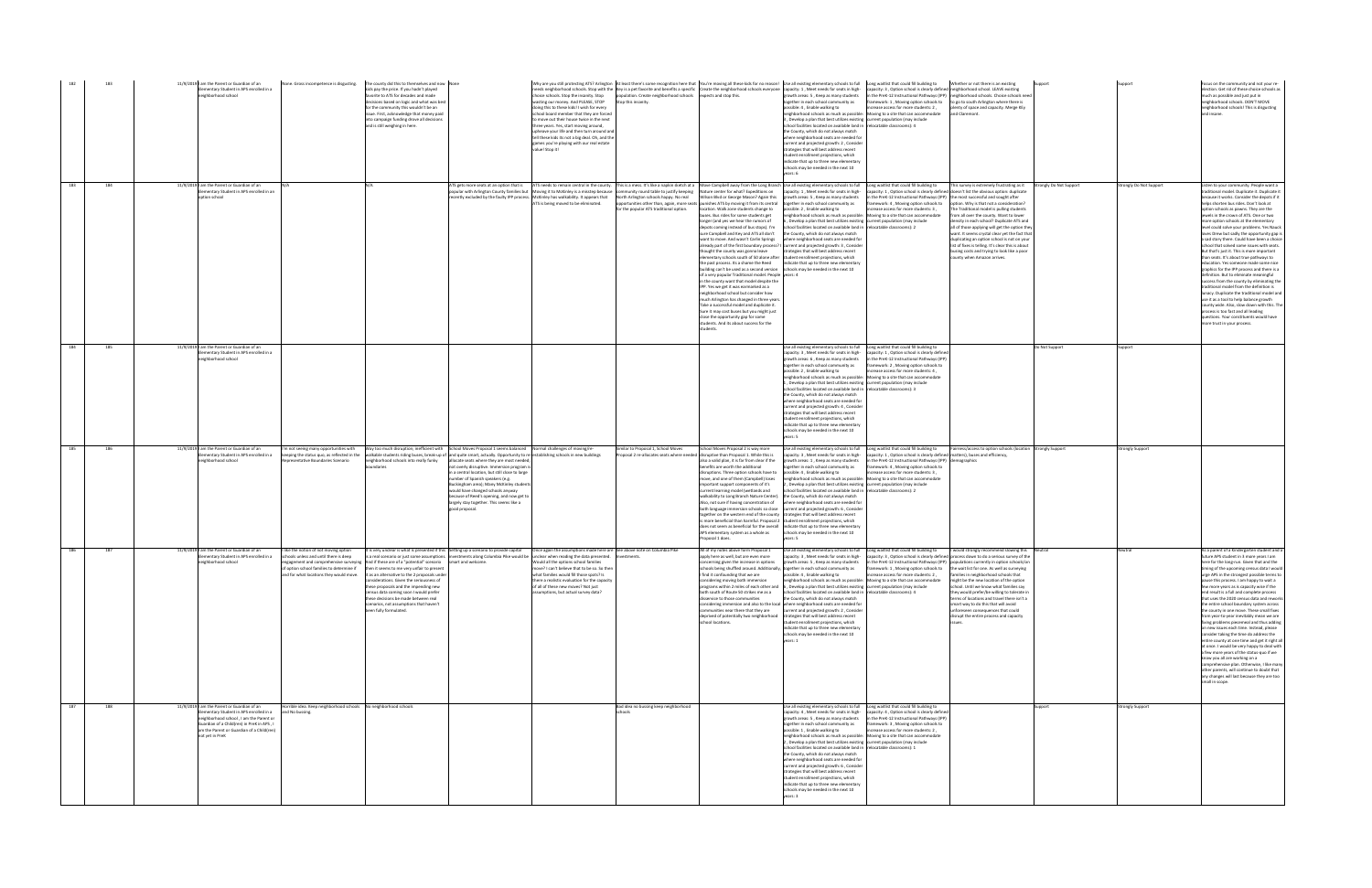|     |     | 11/9/2019 I am the Parent or Guardian of an<br>ementary Student in APS enrolled in a<br>eighborhood school                                                                                                                                  |                                                                                     | None. Gross incompetence is disgusting. The county did this to themselves and now None<br>ids pay the price. If you hadn't played<br>avorite to ATS for decades and made<br>lecisions based on logic and what was best<br>for the community this wouldn't be an<br>issue. First, acknowledge that money paid<br>into campaign funding drove all decisions<br>and is still weighing in here.                                                                                                                                                                                      |                                                                                                                                                                                                                                                                                                                                                                          | choice schools. Stop the insanity. Stop<br>wasting our money. And PLEASE, STOP<br>doing this to these kids! I wish for every<br>chool board member that they are forced<br>to move out their house twice in the next<br>three years. Yes, start moving around,<br>upheave your life and then turn around and<br>tell these kids its not a big deal. Oh, and the<br>games you're playing with our real estate<br>value! Stop it!                                        | population. Create neighborhood schools expects and stop this.<br>Stop this insanity. | Why are you still protecting ATS? Arlington At least there's some recognition here that You're moving all these kids for no reason! Use all existing elementary schools to full Long waitlist that could fill building to<br>eeds neighborhood schools. Stop with the Key is a pet favorite and benefits a specific Create the neighborhood schools everyone capacity: 1, Meet needs for seats in high-                                                                                                                                                                                                                                                                                                                                                                                                                                                                                                                                                                                                                                                                                                                                                                                                                                                                                                                                                                                                                                | erowth areas: 5, Keep as many students<br>together in each school community as<br>possible: 4 . Enable walking to<br>eighborhood schools as much as possible:<br>, Develop a plan that best utilizes existing current population (may include<br>chool facilities located on available land in relocatable classrooms): 4<br>the County, which do not always match<br>where neighborhood seats are needed for<br>urrent and projected growth: 2, Conside<br>trategies that will best address recent<br>tudent enrollment projections, which<br>indicate that up to three new elementary<br>chools may be needed in the next 10                                                                                                                                                                                | capacity: 3, Option school is clearly defined neighborhood school. LEAVE existing<br>increase access for more students: 2,<br>Moving to a site that can accommodate                                                       | Whether or not there is an existing<br>n the PreK-12 Instructional Pathways (IPP) neighborhood schools. Choice schools need<br>amework: 1, Moving option schools to to go to south Arlington where there is<br>plenty of space and capacity. Merge KEy<br>and Claremont.                                                                                                                                                                                                                                                                                                                                                                                                   |                |                       | Focus on the community and not your re-<br>lection. Get rid of these choice schools as<br>much as possible and just put in<br>neighborhood schools. DON'T MOVE<br>neighborhood schools! This is disgusting<br>and insane.                                                                                                                                                                                                                                                                                                                                                                                                                                                                                                                                                                                                                                                                                                                                                                                                                                                      |
|-----|-----|---------------------------------------------------------------------------------------------------------------------------------------------------------------------------------------------------------------------------------------------|-------------------------------------------------------------------------------------|----------------------------------------------------------------------------------------------------------------------------------------------------------------------------------------------------------------------------------------------------------------------------------------------------------------------------------------------------------------------------------------------------------------------------------------------------------------------------------------------------------------------------------------------------------------------------------|--------------------------------------------------------------------------------------------------------------------------------------------------------------------------------------------------------------------------------------------------------------------------------------------------------------------------------------------------------------------------|------------------------------------------------------------------------------------------------------------------------------------------------------------------------------------------------------------------------------------------------------------------------------------------------------------------------------------------------------------------------------------------------------------------------------------------------------------------------|---------------------------------------------------------------------------------------|----------------------------------------------------------------------------------------------------------------------------------------------------------------------------------------------------------------------------------------------------------------------------------------------------------------------------------------------------------------------------------------------------------------------------------------------------------------------------------------------------------------------------------------------------------------------------------------------------------------------------------------------------------------------------------------------------------------------------------------------------------------------------------------------------------------------------------------------------------------------------------------------------------------------------------------------------------------------------------------------------------------------------------------------------------------------------------------------------------------------------------------------------------------------------------------------------------------------------------------------------------------------------------------------------------------------------------------------------------------------------------------------------------------------------------------|---------------------------------------------------------------------------------------------------------------------------------------------------------------------------------------------------------------------------------------------------------------------------------------------------------------------------------------------------------------------------------------------------------------------------------------------------------------------------------------------------------------------------------------------------------------------------------------------------------------------------------------------------------------------------------------------------------------------------------------------------------------------------------------------------------------|---------------------------------------------------------------------------------------------------------------------------------------------------------------------------------------------------------------------------|----------------------------------------------------------------------------------------------------------------------------------------------------------------------------------------------------------------------------------------------------------------------------------------------------------------------------------------------------------------------------------------------------------------------------------------------------------------------------------------------------------------------------------------------------------------------------------------------------------------------------------------------------------------------------|----------------|-----------------------|--------------------------------------------------------------------------------------------------------------------------------------------------------------------------------------------------------------------------------------------------------------------------------------------------------------------------------------------------------------------------------------------------------------------------------------------------------------------------------------------------------------------------------------------------------------------------------------------------------------------------------------------------------------------------------------------------------------------------------------------------------------------------------------------------------------------------------------------------------------------------------------------------------------------------------------------------------------------------------------------------------------------------------------------------------------------------------|
| 183 | 184 | 11/9/2019 I am the Parent or Guardian of an<br>lementary Student in APS enrolled in an<br>ption school                                                                                                                                      |                                                                                     |                                                                                                                                                                                                                                                                                                                                                                                                                                                                                                                                                                                  |                                                                                                                                                                                                                                                                                                                                                                          | opular with Arlington County families but Moving it to McKinley is a misstep because community round table to justify keeping Nature center for what? Expeditions on<br>recently excluded by the faulty IPP process. McKinley has walkability. It appears that North Arlington schools happy. No real<br>ATS is being moved to be eliminated.                                                                                                                          | for the popular ATS traditional option.                                               | ATS gets more seats at an option that is ATS needs to remain central in the county. This is a mess. It's like a napkin sketch at a Move Campbell away from the Long Branch Use all existing elementary schools to full Long wa<br>Wilson Blvd or George Mason? Again this<br>opportunities other than, again, more seats punishes ATS by moving it from its central together in each school community as<br>location. Walk zone students change to<br>buses. Bus rides for some students get<br>longer (and yes we hear the rumors of<br>depots coming instead of bus stops). I'm<br>sure Campbell and Key and ATS all don't<br>want to move. And wasn't Carlin Springs<br>already part of the first boundary process? I current and projected growth: 3, Consider<br>thought the county was gonna leave<br>elementary schools south of 50 alone after student enrollment projections, which<br>the past process. Its a shame the Reed<br>building can't be used as a second version schools may be needed in the next 10<br>of a very popular Traditional model. People years: 4<br>in the county want that model despite the<br>IPP. Yes we get it was earmarked as a<br>neighborhood school but consider how<br>much Arlington has changed in three year<br>Take a successful model and duplicate it.<br>Sure it may cost buses but you might just<br>close the opportunity gap for some<br>students. And its about success for the | capacity: 1, Meet needs for seats in high-<br>growth areas: 5, Keep as many students<br>possible: 2, Enable walking to<br>neighborhood schools as much as possible: Moving to a site that can accommodate<br>Develop a plan that best utilizes existing current population (may include<br>school facilities located on available land in relocatable classrooms): 2<br>the County, which do not always match<br>where neighborhood seats are needed for<br>trategies that will best address recent<br>indicate that up to three new elementary                                                                                                                                                                                                                                                               | n the PreK-12 Instructional Pathways (IPP) the most successful and sought after<br>amework: 4, Moving option schools to<br>ncrease access for more students: 3,                                                           | This survey is extremely frustrating as it Strongly Do Not Support<br>capacity: 1, Option school is clearly defined doesn't list the obvious option: duplicate<br>option. Why is that not a consideration?<br>The Traditional model is pulling students<br>from all over the county. Want to lower<br>density in each school? Duplicate ATS and<br>all of those applying will get the option they<br>want. It seems crystal clear yet the fact that<br>duplicating an option school is not on your<br>list of fixes is telling. It's clear this is about<br>using costs and trying to look like a poor<br>county when Amazon arrives.                                      |                | rongly Do Not Support | Listen to your community. People want a<br>aditional model. Duplicate it. Duplicate it<br>ecause it works. Consider the depots if it<br>helps shorten bus rides. Don't look at<br>option schools as pawns. They are the<br>ewels in the crown of ATS. One or two<br>nore option schools at the elementary<br>evel could solve vour problems. Yes Nauck<br>oves Drew but sadly the opportunity gap is<br>a sad story there. Could have been a choice<br>school that solved some issues with seats.<br>But that's just it. This is more important<br>than seats. It's about true pathways to<br>education. Yes someone made some nice<br>graphics for the IPP process and there is a<br>finition. But to eliminate meaningful<br>success from the county by eliminating the<br>traditional model from the definition is<br>lunacy. Duplicate the traditional model and<br>use it as a tool to help balance growth<br>bunty wide. Also, slow down with this. The<br>process is too fast and all leading<br>questions. Your constituents would have<br>more trust in your process. |
| 184 | 185 | 11/9/2019 I am the Parent or Guardian of an<br>lementary Student in APS enrolled in a<br>eighborhood school                                                                                                                                 |                                                                                     |                                                                                                                                                                                                                                                                                                                                                                                                                                                                                                                                                                                  |                                                                                                                                                                                                                                                                                                                                                                          |                                                                                                                                                                                                                                                                                                                                                                                                                                                                        |                                                                                       |                                                                                                                                                                                                                                                                                                                                                                                                                                                                                                                                                                                                                                                                                                                                                                                                                                                                                                                                                                                                                                                                                                                                                                                                                                                                                                                                                                                                                                        | Use all existing elementary schools to full Long waitlist that could fill building to<br>capacity: 3, Meet needs for seats in high-<br>rowth areas: 6, Keep as many students<br>ogether in each school community as<br>possible: 2, Enable walking to<br>leighborhood schools as much as possible: Moving to a site that can accommodate<br>, Develop a plan that best utilizes existing current population (may include<br>school facilities located on available land in relocatable classrooms): 3<br>the County, which do not always match<br>where neighborhood seats are needed for<br>current and projected growth: 4, Consider<br>trategies that will best address recent<br>tudent enrollment projections, which<br>indicate that up to three new elementary<br>schools may be needed in the next 10 | capacity: 1 . Option school is clearly defined<br>1 the PreK-12 Instructional Pathways (IPP)<br>mework: 2, Moving option schools to<br>ncrease access for more students: 4,                                               |                                                                                                                                                                                                                                                                                                                                                                                                                                                                                                                                                                                                                                                                            | Do Not Support |                       |                                                                                                                                                                                                                                                                                                                                                                                                                                                                                                                                                                                                                                                                                                                                                                                                                                                                                                                                                                                                                                                                                |
| 185 | 186 | 11/9/2019 am the Parent or Guardian of an<br>lementary Student in APS enrolled in a<br>eighborhood school                                                                                                                                   | epresentative Boundaries Scenario                                                   | 'm not seeing many opportunities with Way too much disruption; inefficient with School Moves Proposal 1 seems balanced Normal challenges of moving/re-<br>keeping the status quo, as reflected in the valkable students riding buses, break-up of and quite smart, actually. Opportunity to re-establishing schools in new buildings<br>neighborhood schools into really funky<br>undaries                                                                                                                                                                                       | allocate seats where they are most needed;<br>ot overly disruptive. Immersion program is<br>a central location, but still close to large<br>number of Spanish speakers (e.g.<br>Buckingham area); Many McKinley students<br>vould have changed schools anyway<br>because of Reed's opening, and now get to<br>largely stay together. This seems like a<br>good proposal. |                                                                                                                                                                                                                                                                                                                                                                                                                                                                        | imilar to Proposal 1. School Moves                                                    | School Moves Proposal 2 is way more<br>roposal 2 re-allocates seats where needed disruptive than Proposal 1. While this is<br>also a valid plan, it is far from clear if the<br>enefits are worth the additional<br>disruptions. Three option schools have to<br>move, and one of them (Campbell) loses<br>important support components of it's<br>current learning model (wetlands and<br>walkability to Long Branch Nature Center). the County, which do not always match<br>Also, not sure if having concentration of<br>both language immersion schools so close current and projected growth: 6, Consider<br>together on the western end of the county strategies that will best address recent<br>s more beneficial than harmful. Proposal 2 student enrollment projections, which<br>does not seem as beneficial for the overall indicate that up to three new elementary<br>APS elementary system as a whole as<br>Proposal 1 does.                                                                                                                                                                                                                                                                                                                                                                                                                                                                                            | Use all existing elementary schools to full Long waitlist that could fill building to<br>capacity: 3, Meet needs for seats in high-<br>growth areas: 1, Keep as many students<br>ogether in each school community as<br>possible: 4, Enable walking to<br>neighborhood schools as much as possible: Moving to a site that can accommodate<br>, Develop a plan that best utilizes existing current population (may include<br>school facilities located on available land in relocatable classrooms): 2<br>where neighborhood seats are needed for<br>schools may be needed in the next 10                                                                                                                                                                                                                     | capacity: 1, Option school is clearly defined matters), buses and efficiency,<br>in the PreK-12 Instructional Pathways (IPP) demographics<br>amework: 4, Moving option schools to<br>ncrease access for more students: 3. | Fairness/access to option schools (location Strongly Support                                                                                                                                                                                                                                                                                                                                                                                                                                                                                                                                                                                                               |                | rongly Support        |                                                                                                                                                                                                                                                                                                                                                                                                                                                                                                                                                                                                                                                                                                                                                                                                                                                                                                                                                                                                                                                                                |
| 186 | 187 | 11/9/2019 I am the Parent or Guardian of an<br>lementary Student in APS enrolled in a<br>neighborhood school                                                                                                                                | ike the notion of not moving option<br>schools unless and until there is deep       | It is very unclear is what is presented if this Setting up a scenario to provide capital<br>engagement and comprehensive surveying And if these are of a "potential" scenario smart and welcome.<br>of option school families to determine if then it seems to me very unfair to present<br>ind for what locations they would move. it as an alternative to the 2 proposals under<br>these proposals and the impending new<br>ensus data coming soon I would prefer<br>these decisions be made between real<br>scenarios, not assumptions that haven't<br>been fully formulated. |                                                                                                                                                                                                                                                                                                                                                                          | Once again the assumptions made here are See above note on Columbia Pike<br>is a real scenario or just some assumptions. investments along Columbia Pike would be unclear when reading the data presented.<br>Would all the options school families<br>ove? I can't believe that to be so. So then<br>what families would fill those spots? Is<br>re a realistic evaluation for the car<br>of all of these new moves? Not just<br>assumptions, but actual survey data? |                                                                                       | All of my notes above form Proposal 1<br>annly here as well, but are even more<br>concerning given the increase in options<br>schools being shuffled around. Additionally, together in each school community as<br>I find it confounding that we are<br>programs within 2 miles of each other and 6, Develop a plan that best utilizes existing current population (may include<br>both south of Route 50 strikes me as a<br>disservice to those communities<br>considering immersion and also to the local where neighborhood seats are needed for<br>communities near there that they are<br>deprived of potentially two neighborhood strategies that will best address recent<br>school locations.                                                                                                                                                                                                                                                                                                                                                                                                                                                                                                                                                                                                                                                                                                                                  | Use all existing elementary schools to full<br>capacity: 3, Meet needs for seats in high-<br>growth areas: 5, Keep as many students<br>possible: 4, Enable walking to<br>hborhood schools as much as possi<br>school facilities located on available land in relocatable classrooms): 4<br>the County, which do not always match<br>current and projected growth: 2, Consider<br>student enrollment projections, which<br>indicate that up to three new elementary<br>schools may be needed in the next 10<br>vears: 1                                                                                                                                                                                                                                                                                        | Long waitlist that could fill building to<br>increase access for more students: 2,<br>ing to a site that can accommodate                                                                                                  | would strongly recommend slowing this Neutral<br>apacity: 3 . Option school is clearly defined process down to do a serious survey of the<br>in the PreK-12 Instructional Pathways (IPP) populations currently in option schools/on<br>framework: 1, Moving option schools to the wait list for one. As well as surveying<br>families in neighborhood schools that<br>ht be the new location of the opti<br>school. Until we know what families say<br>they would prefer/be willing to tolerate in<br>terms of locations and travel there isn't a<br>smart way to do this that will avoid<br>unforeseen consequences that could<br>disrupt the entire process and capacity |                |                       | As a parent of a Kindergarten student and a<br>future APS student in 3 more years I am<br>here for the long-run. Given that and the<br>timing of the upcoming census data I would<br>urge APS in the strongest possible terms to<br>this process. I am happy to wait a<br>few more years as is capacity wise if the<br>end result is a full and complete process<br>that uses the 2020 census data and reworks<br>the entire school boundary system across<br>the county in one move. These small fixes<br>from year-to-year inevitably mean we are<br>fixing problems piecemeal and thus adding<br>on new issues each time. Instead, please<br>consider taking the time do address the<br>entire county at one time and get it right all<br>at once. I would be very happy to deal with<br>a few more vears of the status-guo if we<br>know you all are working on a<br>comprehensive plan. Otherwise, I like many<br>other parents, will continue to doubt that<br>any changes will last because they are too<br>small in scope.                                             |
| 187 | 188 | 11/9/2019 I am the Parent or Guardian of an<br>ementary Student in APS enrolled in a<br>eighborhood school, I am the Parent or<br>Guardian of a Child(ren) in PreK in APS, I<br>am the Parent or Guardian of a Child(ren)<br>ot vet in PreK | lorrible idea. Keep neighborhood schools No neighborhood schools<br>and No bussing. |                                                                                                                                                                                                                                                                                                                                                                                                                                                                                                                                                                                  |                                                                                                                                                                                                                                                                                                                                                                          |                                                                                                                                                                                                                                                                                                                                                                                                                                                                        | Bad idea no bussing keep neighborhood                                                 |                                                                                                                                                                                                                                                                                                                                                                                                                                                                                                                                                                                                                                                                                                                                                                                                                                                                                                                                                                                                                                                                                                                                                                                                                                                                                                                                                                                                                                        | Use all existing elementary schools to full Long waitlist that could fill building to<br>capacity: 4, Meet needs for seats in high-<br>growth areas: 5, Keep as many students<br>together in each school community as<br>possible: 1, Enable walking to<br>eighborhood schools as much as possible: Moving to a site that can accommodate<br>Develop a plan that best utilizes existing current population (may include<br>school facilities located on available land in relocatable classrooms): 1<br>the County, which do not always match<br>where neighborhood seats are needed for<br>current and projected growth: 6, Consider<br>strategies that will best address recent<br>student enrollment projections, which<br>indicate that up to three new elementary                                        | capacity: 4, Option school is clearly defined<br>in the PreK-12 Instructional Pathways (IPP)<br>framework: 3, Moving option schools to<br>ncrease access for more students: 2,                                            |                                                                                                                                                                                                                                                                                                                                                                                                                                                                                                                                                                                                                                                                            | Support        | trongly Support       |                                                                                                                                                                                                                                                                                                                                                                                                                                                                                                                                                                                                                                                                                                                                                                                                                                                                                                                                                                                                                                                                                |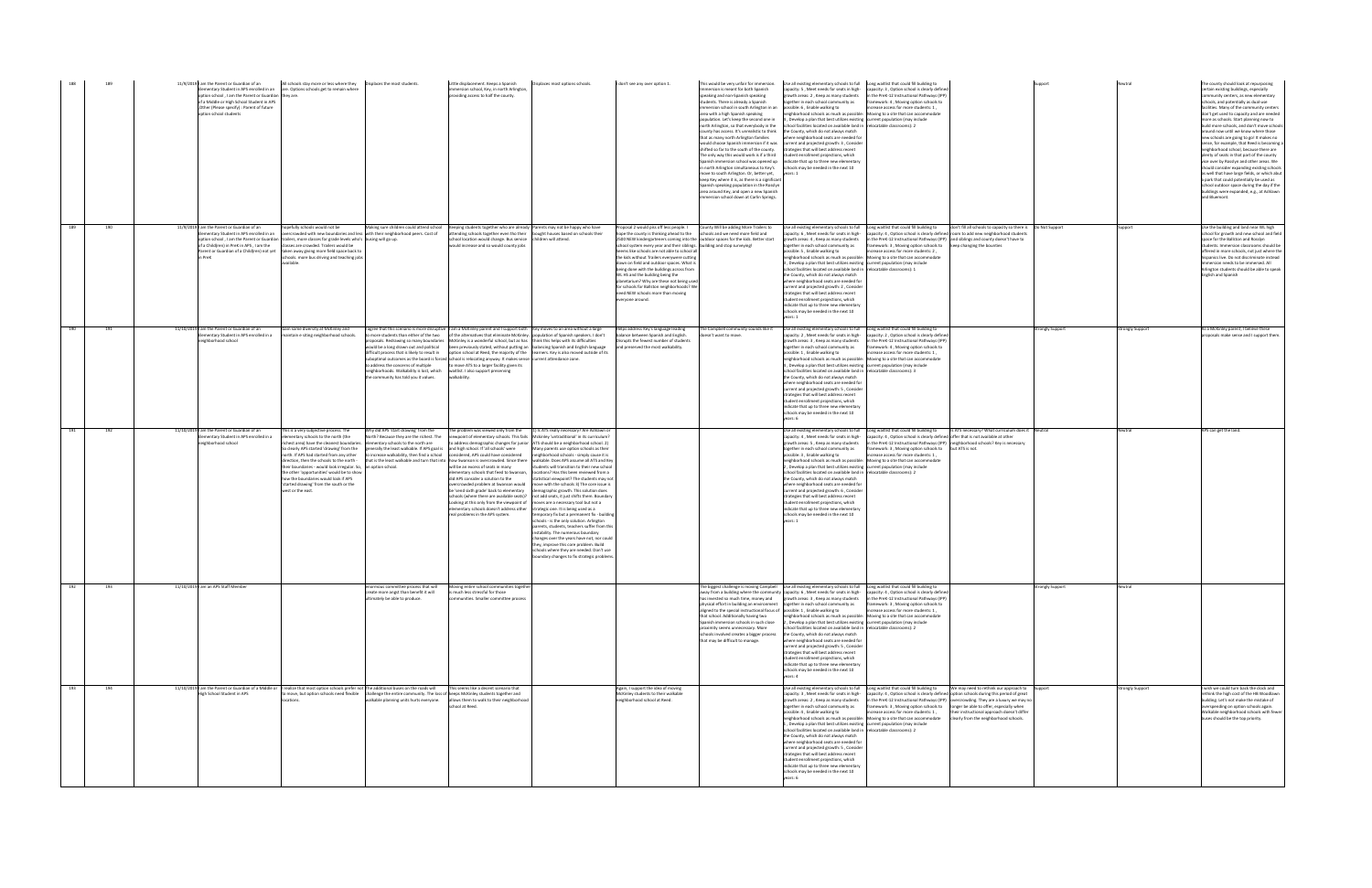|     |     | 11/9/2019 am the Parent or Guardian of an<br>option school, I am the Parent or Guardian they are.<br>of a Middle or High School Student in APS<br>Other (Please specify) : Parent of future<br>option school students | All schools stay more or less where they   Displaces the most students.<br>ementary Student in APS enrolled in an are. Options schools get to remain where                                                                                                                                                                                                                                                                                                                                                                    |                                                                                                                                                                                                                  | Little displacement. Keeps a Spanish<br>nmersion school, Key, in north Arlington,<br>roviding access to half the county.                                                                                                                                                                                                                                                                                                                                                                                                                                                                                                                                                                                                                                                                             | Displaces most options schools.                                                                                                                                                                                                                                                                                                                                                                                                                                                                                                                                                                                                                                                                                                                                                                                                                                                                                                                                                                                                                    | I don't see any over option 1.                                                                                                                                                                                                                                                                                                                                                                                                                                                                                                                        | nmersion is meant for both Spanish<br>speaking and non-Spanish speaking<br>students. There is already a Spanish<br>immersion school in south Arlington in an possible: 6, Enable walking to<br>area with a high Spanish speaking<br>opulation. Let's keep the second one in<br>north Arlington, so that everybody in the<br>county has access. It's unrealistic to think<br>that as many north Arlington families<br>shifted so far to the south of the county.<br>The only way this would work is if a third<br>in north Arlington simultaneous to Key's<br>move to south Arlington. Or, better yet,<br>keep Key where it is, as there is a significant<br>Spanish speaking population in the Rosslyn<br>area around Key, and open a new Spanish<br>nmersion school down at Carlin Springs. | This would be very unfair for immersion. Use all existing elementary schools to full Long waitlist that could fill building to<br>capacity: 5, Meet needs for seats in high-<br>erowth areas: 2, Keep as many students<br>together in each school community as<br>neighborhood schools as much as possible: Moving to a site that can accommodate<br>J, Develop a plan that best utilizes existing current population (may include<br>school facilities located on available land in relocatable classrooms): 2<br>the County, which do not always match<br>where neighborhood seats are needed for<br>would choose Spanish immersion if it was current and projected growth: 3, Consider<br>rategies that will best address recent<br>student enrollment projections, which<br>Spanish immersion school was opened up   indicate that up to three new elementary<br>schools may be needed in the next 10<br>years: 1 | capacity: 3, Option school is clearly defined<br>in the PreK-12 Instructional Pathways (IPP)<br>amework: 4, Moving option schools to<br>crease access for more students: 1,                                                                                                                                                                                                                                                                                                                     |                         |                 | The county should look at repurposing<br>certain existing buildings, especially<br>ommunity centers, as new elementary<br>schools, and potentially as dual-use<br>facilities. Many of the community centers<br>lon't get used to capacity and are needed<br>more as schools. Start planning now to<br>build more schools, and don't move schools<br>around now until we know where those<br>new schools are going to go! It makes no<br>sense, for example, that Reed is becoming a<br>eighborhood school, because there are<br>plenty of seats in that part of the county<br>vice over by Rosslyn and other areas. We<br>should consider expanding existing school:<br>as well that have large fields, or which abut<br>a park that could potentially be used as<br>school outdoor space during the day if the<br>buildings were expanded, e.g., at Ashlawn<br>and Bluemont. |
|-----|-----|-----------------------------------------------------------------------------------------------------------------------------------------------------------------------------------------------------------------------|-------------------------------------------------------------------------------------------------------------------------------------------------------------------------------------------------------------------------------------------------------------------------------------------------------------------------------------------------------------------------------------------------------------------------------------------------------------------------------------------------------------------------------|------------------------------------------------------------------------------------------------------------------------------------------------------------------------------------------------------------------|------------------------------------------------------------------------------------------------------------------------------------------------------------------------------------------------------------------------------------------------------------------------------------------------------------------------------------------------------------------------------------------------------------------------------------------------------------------------------------------------------------------------------------------------------------------------------------------------------------------------------------------------------------------------------------------------------------------------------------------------------------------------------------------------------|----------------------------------------------------------------------------------------------------------------------------------------------------------------------------------------------------------------------------------------------------------------------------------------------------------------------------------------------------------------------------------------------------------------------------------------------------------------------------------------------------------------------------------------------------------------------------------------------------------------------------------------------------------------------------------------------------------------------------------------------------------------------------------------------------------------------------------------------------------------------------------------------------------------------------------------------------------------------------------------------------------------------------------------------------|-------------------------------------------------------------------------------------------------------------------------------------------------------------------------------------------------------------------------------------------------------------------------------------------------------------------------------------------------------------------------------------------------------------------------------------------------------------------------------------------------------------------------------------------------------|----------------------------------------------------------------------------------------------------------------------------------------------------------------------------------------------------------------------------------------------------------------------------------------------------------------------------------------------------------------------------------------------------------------------------------------------------------------------------------------------------------------------------------------------------------------------------------------------------------------------------------------------------------------------------------------------------------------------------------------------------------------------------------------------|-----------------------------------------------------------------------------------------------------------------------------------------------------------------------------------------------------------------------------------------------------------------------------------------------------------------------------------------------------------------------------------------------------------------------------------------------------------------------------------------------------------------------------------------------------------------------------------------------------------------------------------------------------------------------------------------------------------------------------------------------------------------------------------------------------------------------------------------------------------------------------------------------------------------------|-------------------------------------------------------------------------------------------------------------------------------------------------------------------------------------------------------------------------------------------------------------------------------------------------------------------------------------------------------------------------------------------------------------------------------------------------------------------------------------------------|-------------------------|-----------------|-------------------------------------------------------------------------------------------------------------------------------------------------------------------------------------------------------------------------------------------------------------------------------------------------------------------------------------------------------------------------------------------------------------------------------------------------------------------------------------------------------------------------------------------------------------------------------------------------------------------------------------------------------------------------------------------------------------------------------------------------------------------------------------------------------------------------------------------------------------------------------|
| 189 | 190 | 11/9/2019 I am the Parent or Guardian of an<br>ementary Student in APS enrolled in an<br>of a Child(ren) in PreK in APS, I am the classes are crowded. Trailers would be                                              | opefully schools would not be<br>overcrowded with new boundaries and less with their neighborhood peers. Cost of<br>option school, I am the Parent or Guardian trailers, more classes for grade levels who's busing will go up.<br>Parent or Guardian of a Child(ren) not yet taken away giving more field space back to<br>chools. more bus driving and teaching jobs                                                                                                                                                        | Making sure children could attend school                                                                                                                                                                         | Keeping students together who are already Parents may not be happy who have<br>attending schools together even tho their bought houses based on schools their<br>school location would change. Bus service children will attend.<br>would increase and so would county jobs                                                                                                                                                                                                                                                                                                                                                                                                                                                                                                                          |                                                                                                                                                                                                                                                                                                                                                                                                                                                                                                                                                                                                                                                                                                                                                                                                                                                                                                                                                                                                                                                    | pposal 2 would piss off less people. I<br>tope the county is thinking ahead to the<br>school system every year and their siblings. building and stop surveying!<br>eems like schools are not able to school all<br>the kids without Trailers everywere cutting<br>down on field and outdoor spaces. What is<br>being done with the buildings across from<br><b>NL HS and the building being the</b><br>lanetarium? Why are these not being use<br>for schools for Ballston neighborhoods? We<br>need NEW schools more than moving<br>everyone around. | County Will be adding More Trailers to<br>schools and we need more field and<br>2500 NEW kindergarteners coming into the outdoor spaces for the kids. Better start                                                                                                                                                                                                                                                                                                                                                                                                                                                                                                                                                                                                                           | Use all existing elementary schools to full<br>capacity: 6, Meet needs for seats in high-<br>growth areas: 4, Keep as many students<br>together in each school community as<br>possible: 5, Enable walking to<br>eighborhood schools as much as possible:<br>3, Develop a plan that best utilizes existing current population (may include<br>school facilities located on available land in relocatable classrooms): 1<br>the County, which do not always match<br>where neighborhood seats are needed fo<br>current and projected growth: 2, Consider<br>strategies that will best address recent<br>student enrollment projections, which<br>indicate that up to three new elementary<br>schools may be needed in the next 10                                                                                                                                                                                      | Long waitlist that could fill building to<br>don't fill all schools to capacity so there is Do Not Support<br>apacity: 4, Option school is clearly defined room to add new neighborhood students<br>in the PreK-12 Instructional Pathways (IPP) and siblings and county doesn't have to<br>framework: 3, Moving option schools to keep changing the bounties<br>ncrease access for more students: 2,<br>Moving to a site that can accommodate                                                   |                         |                 | Use the building and land near WL high<br>school for growth and new school and field<br>space for the Ballston and Rosslyn<br>students. Immersion classrooms should be<br>offered in more schools, not just where the<br>ispanics live. Do not discriminate instead<br>mmersion needs to be immersed. All<br>Arlington students should be able to speak<br><b>English and Spanish</b>                                                                                                                                                                                                                                                                                                                                                                                                                                                                                         |
| 190 | 191 | 11/10/2019 I am the Parent or Guardian of an<br>ementary Student in APS enrolled in a<br>eighborhood school                                                                                                           | Gain some diversity at McKinley and<br>maintain e siting neighborhood schools.                                                                                                                                                                                                                                                                                                                                                                                                                                                | o more students than either of the two<br>to address the concerns of multiple<br>neighborhoods. Walkability is lost, which waitlist. I also support preserving<br>the community has told you it values.          | I agree that this scenario is more disruptive I am a McKinley parent and I support both Key moves to an area without a large<br>of the alternatives that eliminate McKinley. population of Spanish speakers. I don't<br>roposals. Redrawing so many boundaries McKinley is a wonderful school, but as has think this helps with its difficulties<br>would be a long drawn out and political been previously stated, without putting an balancing Spanish and English language<br>difficult process that is likely to result in option school at Reed, the majority of the learners. Key is also moved outside of its<br>uboptimal outcomes as the board is forced school is relocating anyway. It makes sense current attendance zone.<br>to move ATS to a larger facility given its<br>walkability. |                                                                                                                                                                                                                                                                                                                                                                                                                                                                                                                                                                                                                                                                                                                                                                                                                                                                                                                                                                                                                                                    | Helps address Key's language leading<br>lance between Spanish and English.<br>isrupts the fewest number of students<br>and preserved the most walkability.                                                                                                                                                                                                                                                                                                                                                                                            | The Campbell community sounds like it<br>esn't want to move                                                                                                                                                                                                                                                                                                                                                                                                                                                                                                                                                                                                                                                                                                                                  | Use all existing elementary schools to full Long waitlist that could fill building to<br>capacity: 2, Meet needs for seats in high-<br>growth areas: 3, Keep as many students<br>together in each school community as<br>possible: 1, Enable walking to<br>eighborhood schools as much as possible:<br>J, Develop a plan that best utilizes existing current population (may include<br>school facilities located on available land in relocatable classrooms): 3<br>the County, which do not always match<br>where neighborhood seats are needed for<br>current and projected growth: 5, Consider<br>trategies that will best address recent<br>student enrollment projections, which<br>indicate that up to three new elementary<br>schools may be needed in the next 10<br>years: 6                                                                                                                                | capacity: 2, Option school is clearly defined<br>in the PreK-12 Instructional Pathways (IPP)<br>ramework: 4, Moving option schools to<br>ncrease access for more students: 1,<br>Moving to a site that can accommodate                                                                                                                                                                                                                                                                          | strongly Support        | trongly Support | As a McKinley parent. I believe these<br>roposals make sense and I support them.                                                                                                                                                                                                                                                                                                                                                                                                                                                                                                                                                                                                                                                                                                                                                                                              |
| 191 | 192 | 11/10/2019 I am the Parent or Guardian of an<br>lementary Student in APS enrolled in a<br>heighborhood school                                                                                                         | his is a very subjective process. The<br>elementary schools to the north (the<br>ichest area) have the cleanest boundaries. elementary schools to the north are<br>So clearly APS started 'drawing' from the<br>north. If APS had started from any other<br>direction, then the schools to the north -<br>heir boundaries - would look irregular. So, an option school.<br>the other 'opportunities' would be to show<br>how the boundaries would look if APS<br>'started drawing' from the south or the<br>west or the east. | Why did APS 'start drawing' from the<br>generally the least walkable. If APS goal is and high school. If 'all schools' were<br>to increase walkability, then find a school considered, APS could have considered | The problem was viewed only from the<br>North? Because they are the richest. The viewpoint of elementary schools. This fails Mckinley 'untraditional' in its curriculum?<br>will be an excess of seats in many<br>ementary schools that feed to Swanson,<br>did APS consider a solution to the<br>overcrowded problem at Swanson would<br>be 'send sixth grade' back to elementary<br>Looking at this only from the viewpoint of moves are a necessary tool but not a<br>elementary schools doesn't address other strategic one. It is being used as a<br>real problems in the APS system.                                                                                                                                                                                                           | 1) Is ATS really necessary? Are Ashlawn or<br>to address demographic changes for junior ATS should be a neighborhood school. 2)<br>Many parents use option schools as their<br>neighborhood schools - simply cause it is<br>that is the least walkable and turn that into how Swanson is overcrowded. Since there valkable. Does APS assume all ATS and Key<br>dents will transition to their new school<br>cations? Has this been reviewed from a<br>statistical viewpoint? The students may not<br>move with the schools 3) The core issue is<br>demographic growth. This solution does<br>schools (where there are available seats)? not add seats, it just shifts them. Boundary<br>nporary fix but a permanent fix - building<br>hools - is the only solution. Arlington<br>arents, students, teachers suffer from this<br>nstability. The numerous boundary<br>changes over the years have not, nor could<br>they, improve this core problem. Build<br>hools where they are needed. Don't use<br>boundary changes to fix strategic problems. |                                                                                                                                                                                                                                                                                                                                                                                                                                                                                                                                                       |                                                                                                                                                                                                                                                                                                                                                                                                                                                                                                                                                                                                                                                                                                                                                                                              | Use all existing elementary schools to full Long waitlist that could fill building to<br>capacity: 4, Meet needs for seats in high-<br>growth areas: 5, Keep as many students<br>together in each school community as<br>possible: 3, Enable walking to<br>neighborhood schools as much as possible: Moving to a site that can accommodate<br>. Develop a plan that best utilizes existing current population (may include<br>school facilities located on available land in relocatable classrooms): 2<br>the County, which do not always match<br>where neighborhood seats are needed for<br>current and projected growth: 6, Consider<br>strategies that will best address recent<br>student enrollment projections, which<br>indicate that up to three new elementary<br>schools may be needed in the next 10<br>vears: 1                                                                                         | Is ATS necessary? What curriculum does it Neutral<br>capacity: 4, Option school is clearly defined offer that is not available at other<br>n the PreK-12 Instructional Pathways (IPP) neighborhood schools? Key is necessary<br>ramework: 3, Moving option schools to but ATS is not.<br>increase access for more students: 1,                                                                                                                                                                  |                         | Veutral         | APS can get the land.                                                                                                                                                                                                                                                                                                                                                                                                                                                                                                                                                                                                                                                                                                                                                                                                                                                         |
| 192 | 193 | 11/10/2019 I am an APS Staff Member                                                                                                                                                                                   |                                                                                                                                                                                                                                                                                                                                                                                                                                                                                                                               | normous committee process that will<br>create more angst than benefit it will<br>ultimately be able to produce.                                                                                                  | Moving entire school communities togethe<br>s much less stressful for those<br>communities. Smaller committee process                                                                                                                                                                                                                                                                                                                                                                                                                                                                                                                                                                                                                                                                                |                                                                                                                                                                                                                                                                                                                                                                                                                                                                                                                                                                                                                                                                                                                                                                                                                                                                                                                                                                                                                                                    |                                                                                                                                                                                                                                                                                                                                                                                                                                                                                                                                                       | physical effort in building an environment together in each school community as<br>aligned to the special instructional focus of possible: 1, Enable walking to<br>that school. Additionally having two<br>Spanish immersion schools in such close<br>proximity seems unnecessary. More<br>schools involved creates a bigger process<br>that may be difficult to manage.                                                                                                                                                                                                                                                                                                                                                                                                                     | The biggest challenge is moving Campbell Use all existing elementary schools to full Long waitlist that could fill building to<br>away from a building where the community capacity: 6, Meet needs for seats in high-<br>has invested so much time, money and growth areas: 3, Keep as many students<br>neighborhood schools as much as possible: Moving to a site that can accommodate<br>2, Develop a plan that best utilizes existing current population (may include<br>school facilities located on available land in relocatable classrooms): 2<br>the County, which do not always match<br>where neighborhood seats are needed for<br>current and projected growth: 5, Consider<br>strategies that will best address recent<br>student enrollment projections, which<br>indicate that up to three new elementary<br>schools may be needed in the next 10<br>years: 4                                           | capacity: 4, Option school is clearly defined<br>in the PreK-12 Instructional Pathways (IPP)<br>framework: 3, Moving option schools to<br>crease access for more students: 1,                                                                                                                                                                                                                                                                                                                   | <b>Strongly Support</b> | eutral          |                                                                                                                                                                                                                                                                                                                                                                                                                                                                                                                                                                                                                                                                                                                                                                                                                                                                               |
| 193 | 194 | 11/10/2019 I am the Parent or Guardian of a Middle or I realize that most option schools prefer not The additional buses on the roads will<br><b>High School Student in APS</b>                                       | ocations.                                                                                                                                                                                                                                                                                                                                                                                                                                                                                                                     | o move, but option schools need flexible challenge the entire community. The loss of keeps McKinley students together and<br>valkable planning units hurts everyone.                                             | This seems like a decent scenario that<br>allows them to walk to their neighborhood<br>school at Reed.                                                                                                                                                                                                                                                                                                                                                                                                                                                                                                                                                                                                                                                                                               |                                                                                                                                                                                                                                                                                                                                                                                                                                                                                                                                                                                                                                                                                                                                                                                                                                                                                                                                                                                                                                                    | Again, I support the idea of moving<br>McKinley students to their walkable<br>neighborhood school at Reed.                                                                                                                                                                                                                                                                                                                                                                                                                                            |                                                                                                                                                                                                                                                                                                                                                                                                                                                                                                                                                                                                                                                                                                                                                                                              | Use all existing elementary schools to full Long waitlist that could fill building to<br>capacity: 3 . Meet needs for seats in high-<br>growth areas: 2, Keep as many students<br>together in each school community as<br>oossible: 4, Enable walking to<br>eighborhood schools as much as possible:<br>1. Develop a plan that best utilizes existing current population (may include<br>school facilities located on available land in relocatable classrooms): 2<br>the County, which do not always match<br>where neighborhood seats are needed for<br>current and projected growth: 5, Consider<br>strategies that will best address recent<br>student enrollment projections, which<br>indicate that up to three new elementary<br>schools may be needed in the next 10<br>rears: 6                                                                                                                              | We may need to rethink our approach to Support<br>pacity: 4, Option school is clearly defined option schools during this period of great<br>in the PreK-12 Instructional Pathways (IPP) overcrowding. They are a luxury we may no<br>ramework: 3, Moving option schools to<br>longer be able to offer, especially when<br>ncrease access for more students: 1.<br>their instructional annroach doesn't differ<br>Moving to a site that can accommodate<br>learly from the neighborhood schools. |                         | trongly Support | wish we could turn back the clock and<br>rethink the high cost of the HB Woodlawn<br>building. Let's not make the mistake of<br>werspending on option schools again.<br>Walkable neighborhood schools with fewer<br>buses should be the top priority.                                                                                                                                                                                                                                                                                                                                                                                                                                                                                                                                                                                                                         |